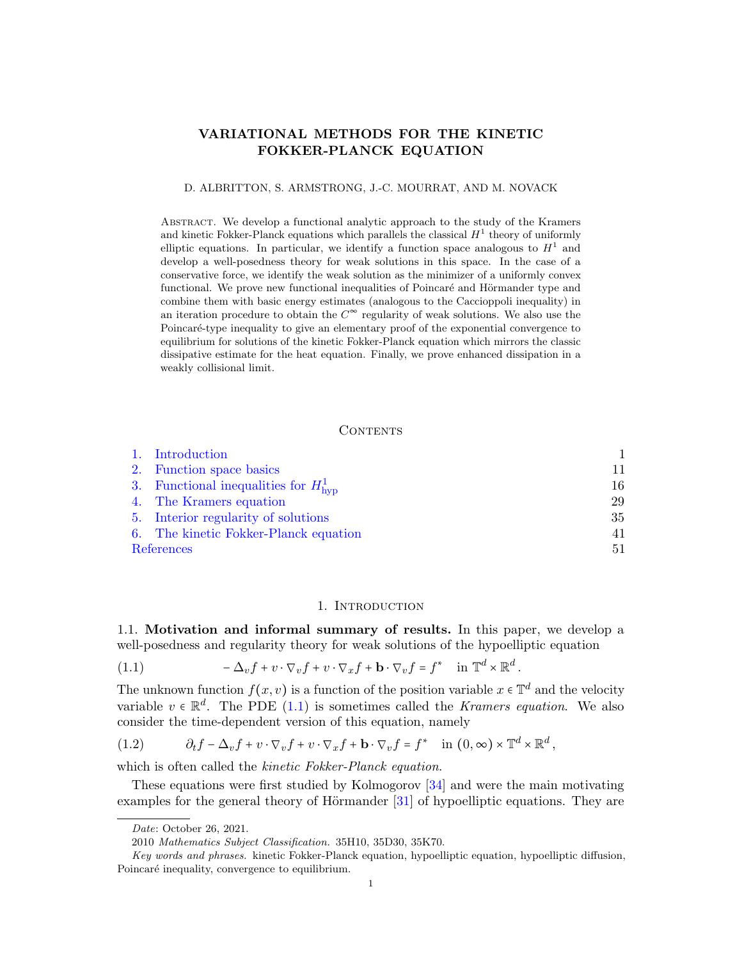# VARIATIONAL METHODS FOR THE KINETIC FOKKER-PLANCK EQUATION

#### D. ALBRITTON, S. ARMSTRONG, J.-C. MOURRAT, AND M. NOVACK

Abstract. We develop a functional analytic approach to the study of the Kramers and kinetic Fokker-Planck equations which parallels the classical  $H^1$  theory of uniformly elliptic equations. In particular, we identify a function space analogous to  $H<sup>1</sup>$  and develop a well-posedness theory for weak solutions in this space. In the case of a conservative force, we identify the weak solution as the minimizer of a uniformly convex functional. We prove new functional inequalities of Poincaré and Hörmander type and combine them with basic energy estimates (analogous to the Caccioppoli inequality) in an iteration procedure to obtain the  $C^{\infty}$  regularity of weak solutions. We also use the Poincaré-type inequality to give an elementary proof of the exponential convergence to equilibrium for solutions of the kinetic Fokker-Planck equation which mirrors the classic dissipative estimate for the heat equation. Finally, we prove enhanced dissipation in a weakly collisional limit.

### **CONTENTS**

|            | 1. Introduction                                   |    |
|------------|---------------------------------------------------|----|
|            | 2. Function space basics                          | 11 |
|            | 3. Functional inequalities for $H_{\text{hvp}}^1$ | 16 |
|            | 4. The Kramers equation                           | 29 |
|            | 5. Interior regularity of solutions               | 35 |
|            | 6. The kinetic Fokker-Planck equation             | 41 |
| References |                                                   | 51 |

#### 1. INTRODUCTION

<span id="page-0-0"></span>1.1. Motivation and informal summary of results. In this paper, we develop a well-posedness and regularity theory for weak solutions of the hypoelliptic equation

<span id="page-0-1"></span>(1.1) 
$$
-\Delta_v f + v \cdot \nabla_v f + v \cdot \nabla_x f + \mathbf{b} \cdot \nabla_v f = f^* \quad \text{in } \mathbb{T}^d \times \mathbb{R}^d.
$$

The unknown function  $f(x, v)$  is a function of the position variable  $x \in \mathbb{T}^d$  and the velocity variable  $v \in \mathbb{R}^d$ . The PDE [\(1.1\)](#page-0-1) is sometimes called the *Kramers equation*. We also consider the time-dependent version of this equation, namely

<span id="page-0-2"></span>(1.2) 
$$
\partial_t f - \Delta_v f + v \cdot \nabla_v f + v \cdot \nabla_x f + \mathbf{b} \cdot \nabla_v f = f^* \quad \text{in } (0, \infty) \times \mathbb{T}^d \times \mathbb{R}^d,
$$

which is often called the *kinetic Fokker-Planck equation*.

These equations were first studied by Kolmogorov [\[34\]](#page-51-0) and were the main motivating examples for the general theory of Hörmander  $[31]$  of hypoelliptic equations. They are

Date: October 26, 2021.

<sup>2010</sup> Mathematics Subject Classification. 35H10, 35D30, 35K70.

Key words and phrases. kinetic Fokker-Planck equation, hypoelliptic equation, hypoelliptic diffusion, Poincaré inequality, convergence to equilibrium.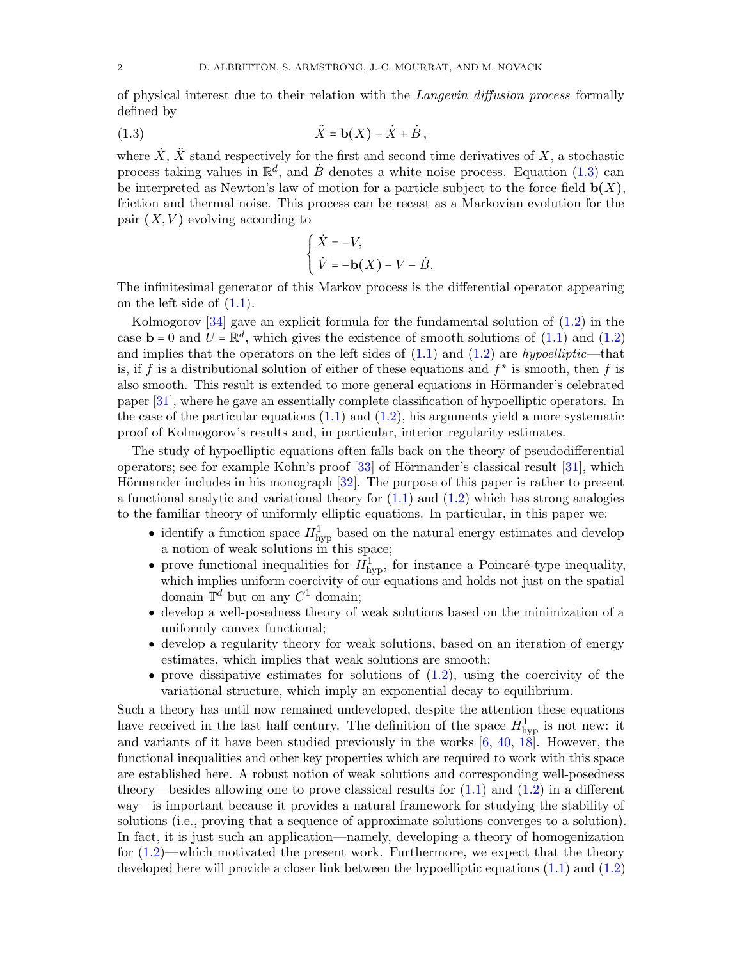of physical interest due to their relation with the Langevin diffusion process formally defined by

(1.3) <sup>X</sup>¨ <sup>=</sup> <sup>b</sup>(X) <sup>−</sup> <sup>X</sup>˙ <sup>+</sup> B , ˙

where  $\dot{X}$ ,  $\ddot{X}$  stand respectively for the first and second time derivatives of X, a stochastic process taking values in  $\mathbb{R}^d$ , and  $\dot{B}$  denotes a white noise process. Equation [\(1.3\)](#page-1-0) can be interpreted as Newton's law of motion for a particle subject to the force field  $\mathbf{b}(X)$ , friction and thermal noise. This process can be recast as a Markovian evolution for the pair  $(X, V)$  evolving according to

<span id="page-1-0"></span>
$$
\begin{cases} \dot{X} = -V, \\ \dot{V} = -\mathbf{b}(X) - V - \dot{B}. \end{cases}
$$

 $(V = -b(X) - V - B.$ <br>The infinitesimal generator of this Markov process is the differential operator appearing on the left side of  $(1.1)$ .

Kolmogorov [\[34\]](#page-51-0) gave an explicit formula for the fundamental solution of [\(1.2\)](#page-0-2) in the case  $\mathbf{b} = 0$  and  $\mathbf{U} = \mathbb{R}^d$ , which gives the existence of smooth solutions of [\(1.1\)](#page-0-1) and [\(1.2\)](#page-0-2) and implies that the operators on the left sides of  $(1.1)$  and  $(1.2)$  are hypoelliptic—that is, if f is a distributional solution of either of these equations and  $f^*$  is smooth, then f is also smooth. This result is extended to more general equations in Hörmander's celebrated paper [\[31\]](#page-51-1), where he gave an essentially complete classification of hypoelliptic operators. In the case of the particular equations  $(1.1)$  and  $(1.2)$ , his arguments yield a more systematic proof of Kolmogorov's results and, in particular, interior regularity estimates.

The study of hypoelliptic equations often falls back on the theory of pseudodifferential operators; see for example Kohn's proof  $[33]$  of Hörmander's classical result  $[31]$ , which Hörmander includes in his monograph  $[32]$ . The purpose of this paper is rather to present a functional analytic and variational theory for  $(1.1)$  and  $(1.2)$  which has strong analogies to the familiar theory of uniformly elliptic equations. In particular, in this paper we:

- identify a function space  $H^1_{\text{hyp}}$  based on the natural energy estimates and develop a notion of weak solutions in this space;
- prove functional inequalities for  $H_{\text{hyp}}^1$ , for instance a Poincaré-type inequality, which implies uniform coercivity of our equations and holds not just on the spatial domain  $\mathbb{T}^d$  but on any  $C^1$  domain;
- develop a well-posedness theory of weak solutions based on the minimization of a uniformly convex functional;
- develop a regularity theory for weak solutions, based on an iteration of energy estimates, which implies that weak solutions are smooth;
- prove dissipative estimates for solutions of  $(1.2)$ , using the coercivity of the variational structure, which imply an exponential decay to equilibrium.

Such a theory has until now remained undeveloped, despite the attention these equations have received in the last half century. The definition of the space  $H_{\text{hyp}}^1$  is not new: it and variants of it have been studied previously in the works  $[6, 40, 18]$  $[6, 40, 18]$  $[6, 40, 18]$  $[6, 40, 18]$  $[6, 40, 18]$ . However, the functional inequalities and other key properties which are required to work with this space are established here. A robust notion of weak solutions and corresponding well-posedness theory—besides allowing one to prove classical results for  $(1.1)$  and  $(1.2)$  in a different way—is important because it provides a natural framework for studying the stability of solutions (i.e., proving that a sequence of approximate solutions converges to a solution). In fact, it is just such an application—namely, developing a theory of homogenization for  $(1.2)$ —which motivated the present work. Furthermore, we expect that the theory developed here will provide a closer link between the hypoelliptic equations [\(1.1\)](#page-0-1) and [\(1.2\)](#page-0-2)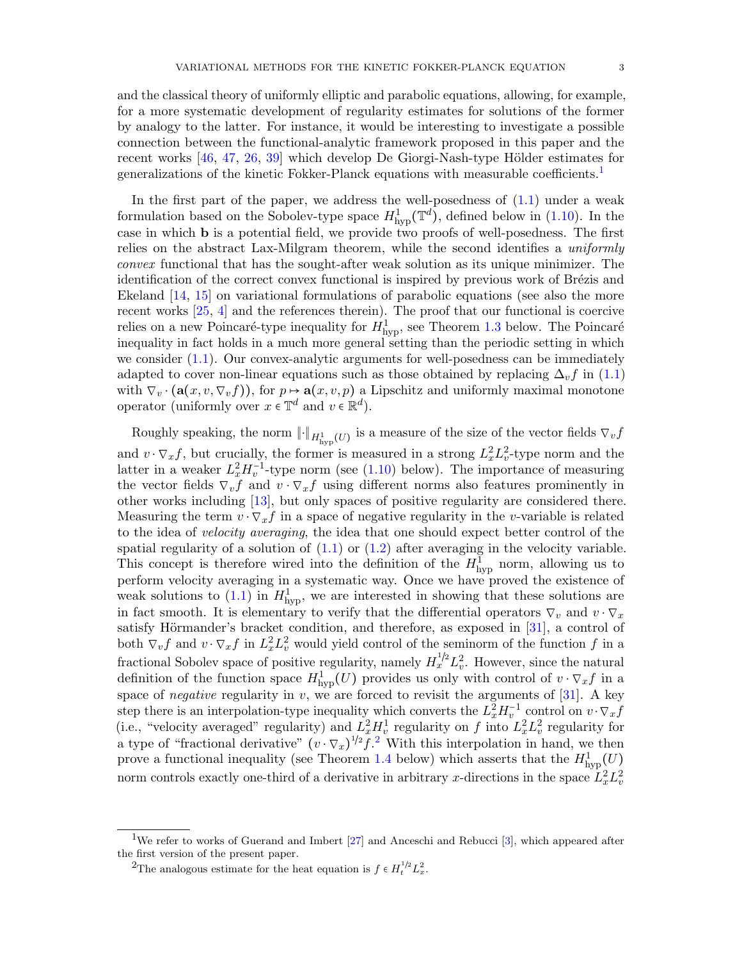and the classical theory of uniformly elliptic and parabolic equations, allowing, for example, for a more systematic development of regularity estimates for solutions of the former by analogy to the latter. For instance, it would be interesting to investigate a possible connection between the functional-analytic framework proposed in this paper and the recent works  $[46, 47, 26, 39]$  $[46, 47, 26, 39]$  $[46, 47, 26, 39]$  $[46, 47, 26, 39]$  $[46, 47, 26, 39]$  $[46, 47, 26, 39]$  $[46, 47, 26, 39]$  which develop De Giorgi-Nash-type Hölder estimates for generalizations of the kinetic Fokker-Planck equations with measurable coefficients.[1](#page-2-0)

In the first part of the paper, we address the well-posedness of [\(1.1\)](#page-0-1) under a weak formulation based on the Sobolev-type space  $H^1_{\text{hyp}}(\mathbb{T}^d)$ , defined below in [\(1.10\)](#page-4-0). In the case in which b is a potential field, we provide two proofs of well-posedness. The first relies on the abstract Lax-Milgram theorem, while the second identifies a uniformly convex functional that has the sought-after weak solution as its unique minimizer. The identification of the correct convex functional is inspired by previous work of Brézis and Ekeland [\[14,](#page-50-3) [15\]](#page-50-4) on variational formulations of parabolic equations (see also the more recent works [\[25,](#page-51-9) [4\]](#page-50-5) and the references therein). The proof that our functional is coercive relies on a new Poincaré-type inequality for  $H_{\text{hyp}}^1$ , see Theorem [1.3](#page-6-0) below. The Poincaré inequality in fact holds in a much more general setting than the periodic setting in which we consider  $(1.1)$ . Our convex-analytic arguments for well-posedness can be immediately adapted to cover non-linear equations such as those obtained by replacing  $\Delta_v f$  in [\(1.1\)](#page-0-1) with  $\nabla_v \cdot (\mathbf{a}(x, v, \nabla_v f))$ , for  $p \mapsto \mathbf{a}(x, v, p)$  a Lipschitz and uniformly maximal monotone operator (uniformly over  $x \in \mathbb{T}^d$  and  $v \in \mathbb{R}^d$ ).

Roughly speaking, the norm  $\lVert \cdot \rVert_{H^1_{\text{hyp}}(U)}$  is a measure of the size of the vector fields  $\nabla_v f$ and  $v \cdot \nabla_x f$ , but crucially, the former is measured in a strong  $L_x^2 L_v^2$ -type norm and the latter in a weaker  $L_x^2 H_v^{-1}$ -type norm (see [\(1.10\)](#page-4-0) below). The importance of measuring the vector fields  $\nabla_v f$  and  $v \cdot \nabla_x f$  using different norms also features prominently in other works including [\[13\]](#page-50-6), but only spaces of positive regularity are considered there. Measuring the term  $v \cdot \nabla_x f$  in a space of negative regularity in the v-variable is related to the idea of velocity averaging, the idea that one should expect better control of the spatial regularity of a solution of  $(1.1)$  or  $(1.2)$  after averaging in the velocity variable. This concept is therefore wired into the definition of the  $H_{\text{hyp}}^1$  norm, allowing us to perform velocity averaging in a systematic way. Once we have proved the existence of weak solutions to  $(1.1)$  in  $H_{\text{hyp}}^1$ , we are interested in showing that these solutions are in fact smooth. It is elementary to verify that the differential operators  $\nabla_v$  and  $v \cdot \nabla_x$ satisfy Hörmander's bracket condition, and therefore, as exposed in  $[31]$ , a control of both  $\nabla_v f$  and  $v \cdot \nabla_x f$  in  $L_x^2 L_v^2$  would yield control of the seminorm of the function f in a fractional Sobolev space of positive regularity, namely  $H_x^{1/2} L_v^2$ . However, since the natural definition of the function space  $H^1_{\text{hyp}}(U)$  provides us only with control of  $v \cdot \nabla_x f$  in a space of *negative* regularity in v, we are forced to revisit the arguments of  $[31]$ . A key step there is an interpolation-type inequality which converts the  $L_x^2 H_v^{-1}$  control on  $v \cdot \nabla_x f$  (i.e., "velocity averaged" regularity) and  $L_x^2 H_v^1$  regularity on f into  $L_x^2 L_v^2$  regularity for a type of "fractional derivative"  $(v \cdot \nabla_x)^{1/2} f^2$  $(v \cdot \nabla_x)^{1/2} f^2$  $(v \cdot \nabla_x)^{1/2} f^2$ . With this interpolation in hand, we then prove a functional inequality (see Theorem [1.4](#page-6-1) below) which asserts that the  $H^1_{\text{hyp}}(U)$ norm controls exactly one-third of a derivative in arbitrary x-directions in the space  $\hat{L}_x^2 L_v^2$ 

<span id="page-2-0"></span><sup>&</sup>lt;sup>1</sup>We refer to works of Guerand and Imbert  $[27]$  and Anceschi and Rebucci  $[3]$ , which appeared after the first version of the present paper.

<span id="page-2-1"></span><sup>&</sup>lt;sup>2</sup>The analogous estimate for the heat equation is  $f \in H_t^{1/2} L_x^2$ .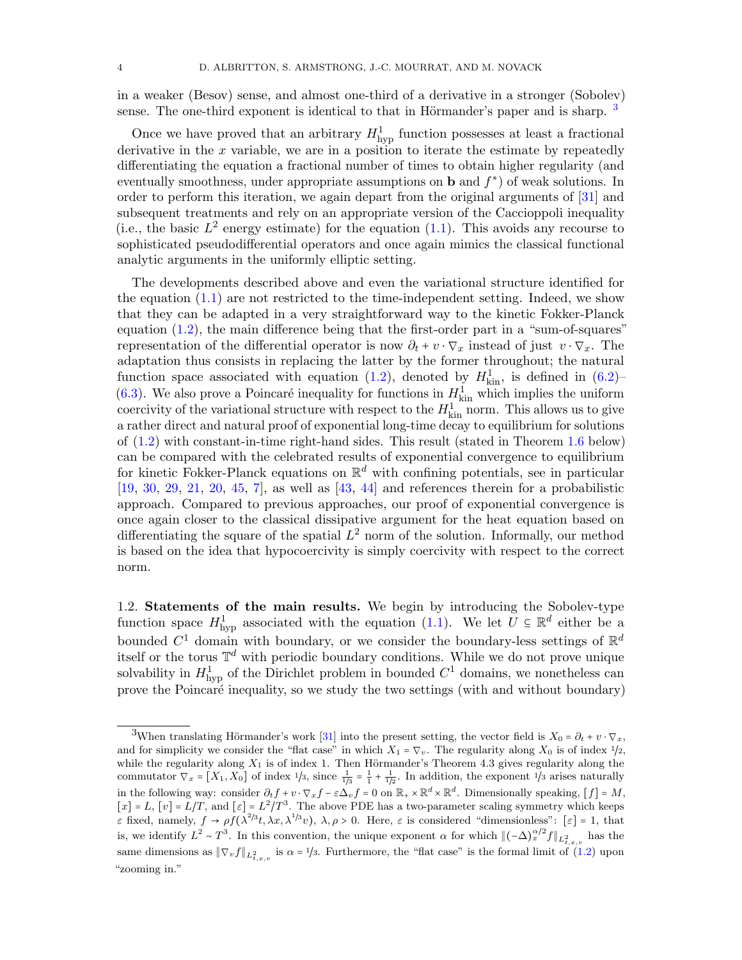in a weaker (Besov) sense, and almost one-third of a derivative in a stronger (Sobolev) sense. The one-third exponent is identical to that in Hörmander's paper and is sharp.  $3$ 

Once we have proved that an arbitrary  $H_{\text{hyp}}^1$  function possesses at least a fractional derivative in the  $x$  variable, we are in a position to iterate the estimate by repeatedly differentiating the equation a fractional number of times to obtain higher regularity (and eventually smoothness, under appropriate assumptions on **b** and  $f^*$ ) of weak solutions. In order to perform this iteration, we again depart from the original arguments of [\[31\]](#page-51-1) and subsequent treatments and rely on an appropriate version of the Caccioppoli inequality (i.e., the basic  $L^2$  energy estimate) for the equation [\(1.1\)](#page-0-1). This avoids any recourse to sophisticated pseudodifferential operators and once again mimics the classical functional analytic arguments in the uniformly elliptic setting.

The developments described above and even the variational structure identified for the equation [\(1.1\)](#page-0-1) are not restricted to the time-independent setting. Indeed, we show that they can be adapted in a very straightforward way to the kinetic Fokker-Planck equation [\(1.2\)](#page-0-2), the main difference being that the first-order part in a "sum-of-squares" representation of the differential operator is now  $\partial_t + v \cdot \nabla_x$  instead of just  $v \cdot \nabla_x$ . The adaptation thus consists in replacing the latter by the former throughout; the natural function space associated with equation [\(1.2\)](#page-0-2), denoted by  $H_{\text{kin}}^1$ , is defined in [\(6.2\)](#page-40-1)– [\(6.3\)](#page-40-2). We also prove a Poincaré inequality for functions in  $H_{\text{kin}}^1$  which implies the uniform coercivity of the variational structure with respect to the  $H_{\text{kin}}^1$  norm. This allows us to give a rather direct and natural proof of exponential long-time decay to equilibrium for solutions of [\(1.2\)](#page-0-2) with constant-in-time right-hand sides. This result (stated in Theorem [1.6](#page-8-0) below) can be compared with the celebrated results of exponential convergence to equilibrium for kinetic Fokker-Planck equations on  $\mathbb{R}^d$  with confining potentials, see in particular  $[19, 30, 29, 21, 20, 45, 7]$  $[19, 30, 29, 21, 20, 45, 7]$  $[19, 30, 29, 21, 20, 45, 7]$  $[19, 30, 29, 21, 20, 45, 7]$  $[19, 30, 29, 21, 20, 45, 7]$  $[19, 30, 29, 21, 20, 45, 7]$  $[19, 30, 29, 21, 20, 45, 7]$  $[19, 30, 29, 21, 20, 45, 7]$  $[19, 30, 29, 21, 20, 45, 7]$  $[19, 30, 29, 21, 20, 45, 7]$  $[19, 30, 29, 21, 20, 45, 7]$  $[19, 30, 29, 21, 20, 45, 7]$  $[19, 30, 29, 21, 20, 45, 7]$ , as well as  $[43, 44]$  $[43, 44]$  $[43, 44]$  and references therein for a probabilistic approach. Compared to previous approaches, our proof of exponential convergence is once again closer to the classical dissipative argument for the heat equation based on differentiating the square of the spatial  $L^2$  norm of the solution. Informally, our method is based on the idea that hypocoercivity is simply coercivity with respect to the correct norm.

1.2. Statements of the main results. We begin by introducing the Sobolev-type function space  $H_{\text{hyp}}^1$  associated with the equation [\(1.1\)](#page-0-1). We let  $\bar{U} \subseteq \mathbb{R}^d$  either be a bounded  $C^1$  domain with boundary, or we consider the boundary-less settings of  $\mathbb{R}^d$ itself or the torus  $\mathbb{T}^d$  with periodic boundary conditions. While we do not prove unique solvability in  $H_{\text{hyp}}^1$  of the Dirichlet problem in bounded  $C^1$  domains, we nonetheless can prove the Poincaré inequality, so we study the two settings (with and without boundary)

<span id="page-3-0"></span><sup>&</sup>lt;sup>3</sup>When translating Hörmander's work [\[31\]](#page-51-1) into the present setting, the vector field is  $X_0 = \partial_t + v \cdot \nabla_x$ , and for simplicity we consider the "flat case" in which  $X_1 = \nabla_v$ . The regularity along  $X_0$  is of index  $1/2$ , while the regularity along  $X_1$  is of index 1. Then Hörmander's Theorem 4.3 gives regularity along the commutator  $\nabla_x = [X_1, X_0]$  of index  $\frac{1}{3}$ , since  $\frac{1}{1/3} = \frac{1}{1} + \frac{1}{1/2}$ . In addition, the exponent  $\frac{1}{3}$  arises naturally in the following way: consider  $\partial_t f + v \cdot \nabla_x f - \varepsilon \Delta_v f = 0$  on  $\mathbb{R}_+ \times \mathbb{R}^d \times \mathbb{R}^d$ . Dimensionally speaking,  $[f] = M$ ,  $[x] = L$ ,  $[v] = L/T$ , and  $[\varepsilon] = L^2/T^3$ . The above PDE has a two-parameter scaling symmetry which keeps  $\varepsilon$  fixed, namely,  $f \to \rho f(\lambda^{2/3}t, \lambda x, \lambda^{1/3}v)$ ,  $\lambda, \rho > 0$ . Here,  $\varepsilon$  is considered "dimensionless":  $[\varepsilon] = 1$ , that is, we identify  $L^2 \sim T^3$ . In this convention, the unique exponent  $\alpha$  for which  $\|(-\Delta)^{\alpha/2}_{x}f\|_{L^2_{t,x,v}}$  has the same dimensions as  $\|\nabla_v f\|_{L^2_{t,x,v}}$  is  $\alpha = 1/3$ . Furthermore, the "flat case" is the formal limit of [\(1.2\)](#page-0-2) upon "zooming in."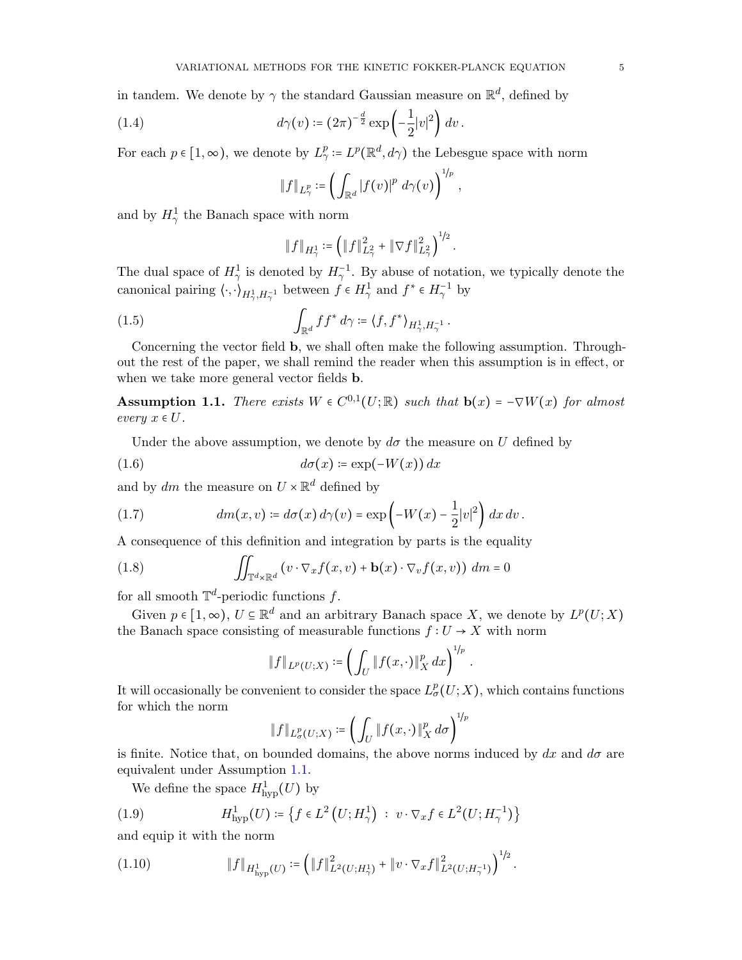in tandem. We denote by  $\gamma$  the standard Gaussian measure on  $\mathbb{R}^d$ , defined by

(1.4) 
$$
d\gamma(v) \coloneqq (2\pi)^{-\frac{d}{2}} \exp\left(-\frac{1}{2}|v|^2\right) dv.
$$

For each  $p \in [1, \infty)$ , we denote by  $L^p_\gamma := L^p(\mathbb{R}^d, d\gamma)$  the Lebesgue space with norm

$$
\|f\|_{L^p_\gamma} \coloneqq \left(\int_{\mathbb{R}^d} |f(v)|^p \ d\gamma(v)\right)^{1/p},\,
$$

and by  $H_{\gamma}^1$  the Banach space with norm

<span id="page-4-3"></span>
$$
\left\|f\right\|_{H^1_\gamma} \coloneqq \left(\left\|f\right\|_{L^2_\gamma}^2 + \left\|\nabla f\right\|_{L^2_\gamma}^2\right)^{1/2}.
$$

The dual space of  $H^1_\gamma$  is denoted by  $H^{-1}_\gamma$ . By abuse of notation, we typically denote the canonical pairing  $\langle \cdot, \cdot \rangle_{H^1_\gamma, H^{-1}_\gamma}$  between  $f \in H^1_\gamma$  and  $f^* \in H^{-1}_\gamma$  by

(1.5) 
$$
\int_{\mathbb{R}^d} ff^* d\gamma = \langle f, f^* \rangle_{H^1_\gamma, H^{-1}_\gamma}.
$$

Concerning the vector field b, we shall often make the following assumption. Throughout the rest of the paper, we shall remind the reader when this assumption is in effect, or when we take more general vector fields b.

<span id="page-4-1"></span>**Assumption 1.1.** There exists  $W \in C^{0,1}(U;\mathbb{R})$  such that  $\mathbf{b}(x) = -\nabla W(x)$  for almost every  $x \in U$ .

Under the above assumption, we denote by  $d\sigma$  the measure on U defined by

$$
(1.6) \t d\sigma(x) \coloneqq \exp(-W(x)) dx
$$

and by  $dm$  the measure on  $U \times \mathbb{R}^d$  defined by

<span id="page-4-4"></span>(1.7) 
$$
dm(x,v) \coloneqq d\sigma(x) d\gamma(v) = \exp\left(-W(x) - \frac{1}{2}|v|^2\right) dx dv.
$$

A consequence of this definition and integration by parts is the equality

(1.8) 
$$
\iint_{\mathbb{T}^d\times\mathbb{R}^d} (v\cdot\nabla_x f(x,v)+\mathbf{b}(x)\cdot\nabla_v f(x,v)) \, dm=0
$$

for all smooth  $\mathbb{T}^d$ -periodic functions f.

Given  $p \in [1, \infty)$ ,  $U \subseteq \mathbb{R}^d$  and an arbitrary Banach space X, we denote by  $L^p(U;X)$ the Banach space consisting of measurable functions  $f:U\to X$  with norm

<span id="page-4-5"></span>
$$
\|f\|_{L^p(U;X)} \coloneqq \left(\int_U \|f(x,\cdot)\|_X^p\,dx\right)^{1/p}
$$

.

It will occasionally be convenient to consider the space  $L^p_{\sigma}(U;X)$ , which contains functions for which the norm

$$
\|f\|_{L^p_{\sigma}(U;X)} \coloneqq \left(\int_U \|f(x,\cdot)\|_X^p d\sigma\right)^{1/p}
$$

is finite. Notice that, on bounded domains, the above norms induced by  $dx$  and  $d\sigma$  are equivalent under Assumption [1.1.](#page-4-1)

<span id="page-4-2"></span>We define the space  $H^1_{\text{hyp}}(U)$  by

(1.9) 
$$
H_{\text{hyp}}^1(U) \coloneqq \left\{ f \in L^2(U; H^1_\gamma) \ : \ v \cdot \nabla_x f \in L^2(U; H^{-1}_\gamma) \right\}
$$

and equip it with the norm

<span id="page-4-0"></span>(1.10) 
$$
\|f\|_{H^1_{\mathrm{hyp}}(U)} \coloneqq \left(\|f\|_{L^2(U;H^1_\gamma)}^2 + \|v \cdot \nabla_x f\|_{L^2(U;H^{-1}_\gamma)}^2\right)^{1/2}.
$$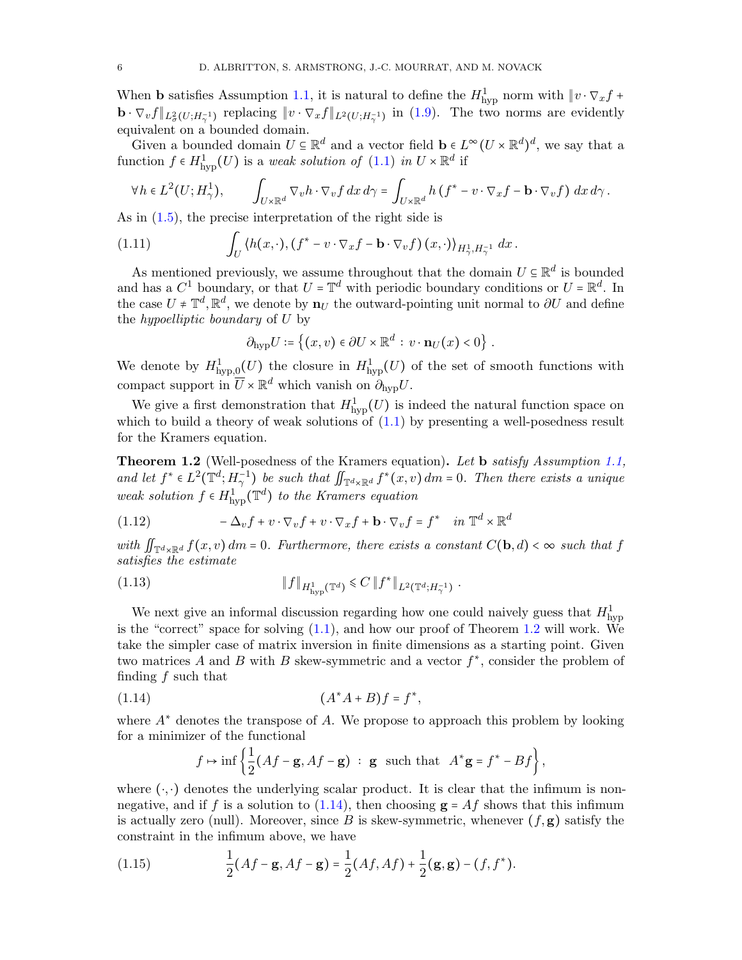When **b** satisfies Assumption [1.1,](#page-4-1) it is natural to define the  $H_{\text{hyp}}^1$  norm with  $\|v \cdot \nabla_x f +$  $\mathbf{b} \cdot \nabla_v f \|_{L^2_v(U; H^{-1}_\gamma)}$  replacing  $\|v \cdot \nabla_x f \|_{L^2(U; H^{-1}_\gamma)}$  in [\(1.9\)](#page-4-2). The two norms are evidently equivalent on a bounded domain.

Given a bounded domain  $U \subseteq \mathbb{R}^d$  and a vector field  $\mathbf{b} \in L^\infty(U \times \mathbb{R}^d)^d$ , we say that a function  $f \in H^1_{\text{hyp}}(U)$  is a weak solution of  $(1.1)$  in  $U \times \mathbb{R}^d$  if

$$
\forall h \in L^{2}(U; H_{\gamma}^{1}), \qquad \int_{U \times \mathbb{R}^{d}} \nabla_{v} h \cdot \nabla_{v} f \, dx \, d\gamma = \int_{U \times \mathbb{R}^{d}} h \left( f^{*} - v \cdot \nabla_{x} f - \mathbf{b} \cdot \nabla_{v} f \right) \, dx \, d\gamma.
$$

As in  $(1.5)$ , the precise interpretation of the right side is

(1.11) 
$$
\int_{U} \langle h(x,\cdot), (f^* - v \cdot \nabla_x f - \mathbf{b} \cdot \nabla_v f)(x,\cdot) \rangle_{H^1_\gamma, H^{-1}_\gamma} dx.
$$

As mentioned previously, we assume throughout that the domain  $U \subseteq \mathbb{R}^d$  is bounded<br>d has a  $Cl$  houndary on that  $U \subseteq \mathbb{R}^d$  with periodic houndary conditions on  $U \subseteq \mathbb{R}^d$ . In and has a  $C^1$  boundary, or that  $U = \mathbb{T}^d$  with periodic boundary conditions or  $U = \mathbb{R}^d$ . In the case  $U \neq \mathbb{T}^d$ ,  $\mathbb{R}^d$ , we denote by  $\mathbf{n}_U$  the outward-pointing unit normal to  $\partial U$  and define the hypodlinic heurders of  $U$  by the *hypoelliptic boundary* of  $U$  by

<span id="page-5-3"></span>
$$
\partial_{\rm hyp} U \coloneqq \left\{ (x, v) \in \partial U \times \mathbb{R}^d : v \cdot \mathbf{n}_U(x) < 0 \right\}.
$$

We denote by  $H^1_{\text{hyp},0}(U)$  the closure in  $H^1_{\text{hyp}}(U)$  of the set of smooth functions with compact support in  $\overline{U} \times \mathbb{R}^d$  which vanish on  $\partial_{\text{hyp}} U$ .

We give a first demonstration that  $H^1_{\text{hyp}}(U)$  is indeed the natural function space on which to build a theory of weak solutions of  $(1.1)$  by presenting a well-posedness result for the Kramers equation.

<span id="page-5-0"></span>Theorem 1.2 (Well-posedness of the Kramers equation). Let b satisfy Assumption [1.1,](#page-4-1) and let  $f^* \in L^2(\mathbb{T}^d; H_\gamma^{-1})$  be such that  $\iint_{\mathbb{T}^d \times \mathbb{R}^d} f^*(x, v) dm = 0$ . Then there exists a unique weak solution  $f \in H^1_{\text{hyp}}(\mathbb{T}^d)$  to the Kramers equation

(1.12) 
$$
-\Delta_v f + v \cdot \nabla_v f + v \cdot \nabla_x f + \mathbf{b} \cdot \nabla_v f = f^* \quad in \ \mathbb{T}^d \times \mathbb{R}^d
$$

with  $\iint_{\mathbb{T}^d\times\mathbb{R}^d} f(x,v) dm = 0$ . Furthermore, there exists a constant  $C(\mathbf{b}, d) < \infty$  such that f satisfies the estimate

(1.13) 
$$
||f||_{H^1_{\text{hyp}}(\mathbb{T}^d)} \leqslant C ||f^*||_{L^2(\mathbb{T}^d; H^{-1}_{\gamma})}.
$$

We next give an informal discussion regarding how one could naively guess that  $H_{\text{hyp}}^1$ is the "correct" space for solving  $(1.1)$ , and how our proof of Theorem [1.2](#page-5-0) will work. We take the simpler case of matrix inversion in finite dimensions as a starting point. Given two matrices A and B with B skew-symmetric and a vector  $f^*$ , consider the problem of finding f such that

(1.14) 
$$
(A^*A + B)f = f^*,
$$

where  $A^*$  denotes the transpose of A. We propose to approach this problem by looking for a minimizer of the functional

<span id="page-5-1"></span>
$$
f \mapsto \inf \left\{ \frac{1}{2} (Af - \mathbf{g}, Af - \mathbf{g}) \ : \ \mathbf{g} \ \text{ such that } \ A^* \mathbf{g} = f^* - Bf \right\},
$$

where  $(\cdot, \cdot)$  denotes the underlying scalar product. It is clear that the infimum is non-negative, and if f is a solution to [\(1.14\)](#page-5-1), then choosing  $g = Af$  shows that this infimum is actually zero (null). Moreover, since B is skew-symmetric, whenever  $(f, g)$  satisfy the constraint in the infimum above, we have

<span id="page-5-2"></span>(1.15) 
$$
\frac{1}{2}(Af - \mathbf{g}, Af - \mathbf{g}) = \frac{1}{2}(Af, Af) + \frac{1}{2}(\mathbf{g}, \mathbf{g}) - (f, f^*).
$$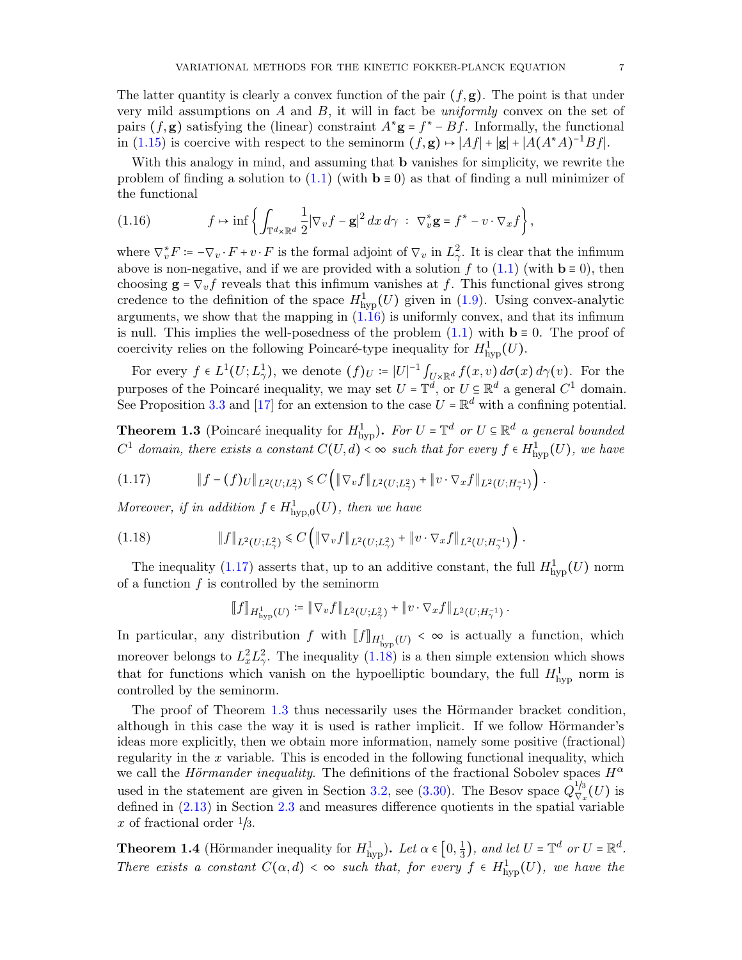The latter quantity is clearly a convex function of the pair  $(f, g)$ . The point is that under very mild assumptions on A and B, it will in fact be *uniformly* convex on the set of pairs  $(f, g)$  satisfying the (linear) constraint  $A^*g = f^* - Bf$ . Informally, the functional<br>in (1,15) is seening with perpect to the seminence  $(f, g) \cup [A f] \cup [g] \cup [A(A^* A)^{-1} B f]$ in [\(1.15\)](#page-5-2) is coercive with respect to the seminorm  $(f, \mathbf{g}) \mapsto |Af| + |\mathbf{g}| + |A(A^*A)^{-1}Bf|$ .

With this analogy in mind, and assuming that **b** vanishes for simplicity, we rewrite the problem of finding a solution to  $(1.1)$  (with  $\mathbf{b} \equiv 0$ ) as that of finding a null minimizer of the functional

<span id="page-6-2"></span>(1.16) 
$$
f \mapsto \inf \left\{ \int_{\mathbb{T}^d \times \mathbb{R}^d} \frac{1}{2} |\nabla_v f - \mathbf{g}|^2 dx d\gamma \; : \; \nabla_v^* \mathbf{g} = f^* - v \cdot \nabla_x f \right\},
$$

where  $\nabla_v^* F := -\nabla_v \cdot F + v \cdot F$  is the formal adjoint of  $\nabla_v$  in  $L^2$ . It is clear that the infimum<br>change is now positive and if we are presided with a solution of the (1,1) (with  $h = 0$ ), then above is non-negative, and if we are provided with a solution f to  $(1.1)$  (with  $\mathbf{b} \equiv 0$ ), then choosing  $\mathbf{g} = \nabla_v f$  reveals that this infimum vanishes at f. This functional gives strong credence to the definition of the space  $H^1_{\text{hyp}}(U)$  given in [\(1.9\)](#page-4-2). Using convex-analytic arguments, we show that the mapping in  $(1.16)$  is uniformly convex, and that its infimum is null. This implies the well-posedness of the problem  $(1.1)$  with  $\mathbf{b} \equiv 0$ . The proof of coercivity relies on the following Poincaré-type inequality for  $H^1_{\text{hyp}}(U)$ .

For every  $f \in L^1(U; L^1)$ , we denote  $(f)_U := |U|^{-1} \int_{U \times \mathbb{R}^d} f(x, v) d\sigma(x) d\gamma(v)$ . For the purposes of the Poincaré inequality, we may set  $U = \mathbb{T}^d$ , or  $U \subseteq \mathbb{R}^d$  a general  $C^1$  domain. See Proposition [3.3](#page-18-0) and [\[17\]](#page-50-9) for an extension to the case  $U = \mathbb{R}^d$  with a confining potential.

<span id="page-6-0"></span>**Theorem 1.3** (Poincaré inequality for  $H_{\text{hyp}}^1$ ). For  $U = \mathbb{T}^d$  or  $U \subseteq \mathbb{R}^d$  a general bounded  $C^1$  domain, there exists a constant  $C(U,d) < \infty$  such that for every  $f \in H^1_{\text{hyp}}(U)$ , we have

<span id="page-6-3"></span>
$$
(1.17) \t\t\t\t|| f - (f)_{U}||_{L^{2}(U;L^{2}_{\gamma})} \leq C \left( || \nabla_{v} f ||_{L^{2}(U;L^{2}_{\gamma})} + || v \cdot \nabla_{x} f ||_{L^{2}(U;H^{-1}_{\gamma})} \right).
$$

Moreover, if in addition  $f \in H^1_{\text{hyp},0}(U)$ , then we have

$$
(1.18) \t\t\t\t||f||_{L^2(U;L^2_\gamma)} \leq C \left( \|\nabla_v f\|_{L^2(U;L^2_\gamma)} + \|v \cdot \nabla_x f\|_{L^2(U;H^{-1}_\gamma)} \right).
$$

The inequality [\(1.17\)](#page-6-3) asserts that, up to an additive constant, the full  $H^1_{\text{hyp}}(U)$  norm of a function  $f$  is controlled by the seminorm

<span id="page-6-4"></span>
$$
[[f]]_{H^1_{\text{hyp}}(U)} := ||\nabla_v f||_{L^2(U;L^2_\gamma)} + ||v \cdot \nabla_x f||_{L^2(U;H^{-1}_\gamma)}.
$$

In particular, any distribution f with  $[[f]]_{H^1_{\text{hyp}}(U)} < \infty$  is actually a function, which moreover belongs to  $L_x^2 L_y^2$ . The inequality  $(1.18)$  is a then simple extension which shows that for functions which vanish on the hypoelliptic boundary, the full  $H_{\text{hyp}}^1$  norm is controlled by the seminorm.

The proof of Theorem [1.3](#page-6-0) thus necessarily uses the Hörmander bracket condition, although in this case the way it is used is rather implicit. If we follow Hörmander's ideas more explicitly, then we obtain more information, namely some positive (fractional) regularity in the  $x$  variable. This is encoded in the following functional inequality, which we call the Hörmander inequality. The definitions of the fractional Sobolev spaces  $H^{\alpha}$ used in the statement are given in Section [3.2,](#page-20-0) see [\(3.30\)](#page-23-0). The Besov space  $Q_{\nabla}^{1/3}$  $\frac{1}{2}$  $\frac{1}{2}$  $\frac{1}{2}$  $\frac{1}{2}$  $\frac{1}{2}$  $\frac{1}{2}$  $\frac{1}{2}$  $\frac{1}{2}$ defined in [\(2.13\)](#page-15-1) in Section [2.3](#page-15-2) and measures difference quotients in the spatial variable x of fractional order  $\frac{1}{3}$ .

<span id="page-6-1"></span>**Theorem 1.4** (Hörmander inequality for  $H^1_{\text{hyp}}$ ). Let  $\alpha \in [0, \frac{1}{3}]$  $\frac{1}{3}$ , and let  $U = \mathbb{T}^d$  or  $U = \mathbb{R}^d$ . There exists a constant  $C(\alpha, d) < \infty$  such that, for every  $f \in H^1_{\text{hyp}}(U)$ , we have the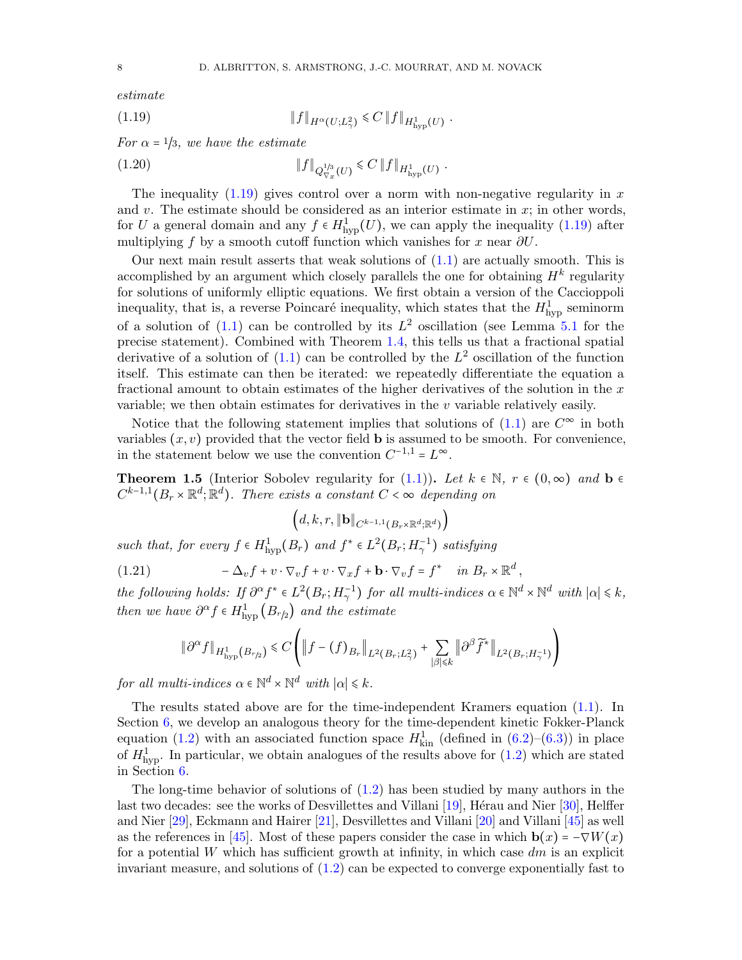estimate

<span id="page-7-0"></span>(1.19) 
$$
||f||_{H^{\alpha}(U;L^2_{\gamma})} \leq C ||f||_{H^1_{\text{hyp}}(U)}.
$$

For  $\alpha = 1/3$ , we have the estimate

(1.20) 
$$
\|f\|_{Q_{\nabla_x}^{1/3}(U)} \leq C \|f\|_{H^1_{\text{hyp}}(U)}.
$$

The inequality  $(1.19)$  gives control over a norm with non-negative regularity in x and v. The estimate should be considered as an interior estimate in  $x$ ; in other words, for U a general domain and any  $f \in H^1_{\text{hyp}}(U)$ , we can apply the inequality [\(1.19\)](#page-7-0) after multiplying f by a smooth cutoff function which vanishes for x near  $\partial U$ .

Our next main result asserts that weak solutions of  $(1.1)$  are actually smooth. This is accomplished by an argument which closely parallels the one for obtaining  $H^k$  regularity for solutions of uniformly elliptic equations. We first obtain a version of the Caccioppoli inequality, that is, a reverse Poincaré inequality, which states that the  $H_{\text{hyp}}^1$  seminorm of a solution of  $(1.1)$  can be controlled by its  $L^2$  oscillation (see Lemma [5.1](#page-35-0) for the precise statement). Combined with Theorem [1.4,](#page-6-1) this tells us that a fractional spatial derivative of a solution of  $(1.1)$  can be controlled by the  $L^2$  oscillation of the function itself. This estimate can then be iterated: we repeatedly differentiate the equation a fractional amount to obtain estimates of the higher derivatives of the solution in the  $x$ variable; we then obtain estimates for derivatives in the  $v$  variable relatively easily.

Notice that the following statement implies that solutions of  $(1.1)$  are  $C^{\infty}$  in both variables  $(x, v)$  provided that the vector field **b** is assumed to be smooth. For convenience, in the statement below we use the convention  $C^{-1,1} = L^{\infty}$ .

<span id="page-7-1"></span>**Theorem 1.5** (Interior Sobolev regularity for  $(1.1)$ ). Let  $k \in \mathbb{N}$ ,  $r \in (0,\infty)$  and  $\mathbf{b} \in \mathbb{N}$  $C^{k-1,1}(B_r \times \mathbb{R}^d; \mathbb{R}^d)$ . There exists a constant  $C < \infty$  depending on

$$
\left(d,k,r,\left\Vert \mathbf{b}\right\Vert _{C^{k-1,1}\left(B_{r}\times\mathbb{R}^{d};\mathbb{R}^{d}\right)}\right)
$$

such that, for every  $f \in H^1_{\text{hyp}}(B_r)$  and  $f^* \in L^2(B_r; H^{-1}_\gamma)$  satisfying

(1.21) 
$$
-\Delta_v f + v \cdot \nabla_v f + v \cdot \nabla_x f + \mathbf{b} \cdot \nabla_v f = f^* \quad in \ B_r \times \mathbb{R}^d,
$$

the following holds: If  $\partial^{\alpha} f^* \in L^2(B_r; H^{-1}_\gamma)$  for all multi-indices  $\alpha \in \mathbb{N}^d \times \mathbb{N}^d$  with  $|\alpha| \leq k$ , then we have  $\partial^{\alpha} f \in H^1_{\text{hyp}}(B_{r/2})$  and the estimate

$$
\|\partial^{\alpha} f\|_{H^1_{\mathrm{hyp}}(B_{r/2})} \leq C \left( \|f - (f)_{B_r}\|_{L^2(B_r;L^2_\gamma)} + \sum_{|\beta| \leq k} \|\partial^{\beta} \widetilde{f}^*\|_{L^2(B_r;H^{-1}_\gamma)} \right)
$$

for all multi-indices  $\alpha \in \mathbb{N}^d \times \mathbb{N}^d$  with  $|\alpha| \leq k$ .

The results stated above are for the time-independent Kramers equation [\(1.1\)](#page-0-1). In Section [6,](#page-40-0) we develop an analogous theory for the time-dependent kinetic Fokker-Planck equation [\(1.2\)](#page-0-2) with an associated function space  $H_{\text{kin}}^1$  (defined in [\(6.2\)](#page-40-1)–[\(6.3\)](#page-40-2)) in place of  $H_{\text{hyp}}^1$ . In particular, we obtain analogues of the results above for  $(1.2)$  which are stated in Section [6.](#page-40-0)

The long-time behavior of solutions of [\(1.2\)](#page-0-2) has been studied by many authors in the last two decades: see the works of Desvillettes and Villani  $[19]$ , Hérau and Nier [\[30\]](#page-51-12), Helffer and Nier [\[29\]](#page-51-13), Eckmann and Hairer [\[21\]](#page-51-14), Desvillettes and Villani [\[20\]](#page-51-15) and Villani [\[45\]](#page-51-16) as well as the references in [\[45\]](#page-51-16). Most of these papers consider the case in which  $\mathbf{b}(x) = -\nabla W(x)$ for a potential W which has sufficient growth at infinity, in which case  $dm$  is an explicit invariant measure, and solutions of [\(1.2\)](#page-0-2) can be expected to converge exponentially fast to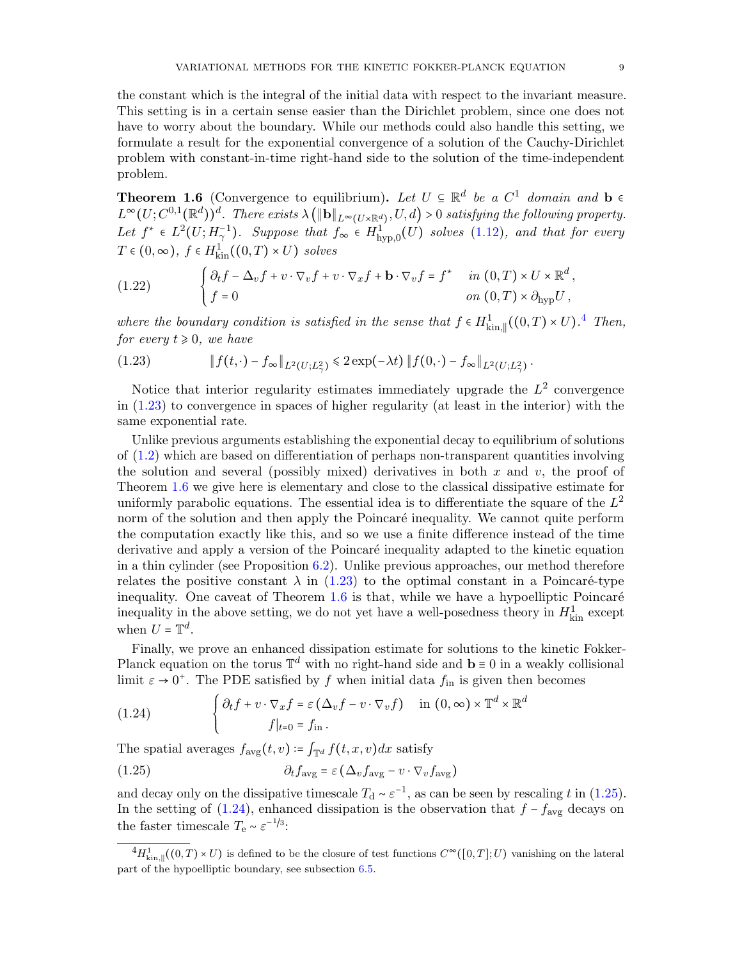the constant which is the integral of the initial data with respect to the invariant measure. This setting is in a certain sense easier than the Dirichlet problem, since one does not have to worry about the boundary. While our methods could also handle this setting, we formulate a result for the exponential convergence of a solution of the Cauchy-Dirichlet problem with constant-in-time right-hand side to the solution of the time-independent problem.

<span id="page-8-0"></span>**Theorem 1.6** (Convergence to equilibrium). Let  $U \subseteq \mathbb{R}^d$  be a  $C^1$  domain and b  $\in$ <br> $L^{\infty}(U, C^{0,1}(\mathbb{R}^d))$   $T^1$  $L^{\infty}(U; C^{0,1}(\mathbb{R}^d))^d$ . There exists  $\lambda (\|\mathbf{b}\|_{L^{\infty}(U\times\mathbb{R}^d)}, U, d) > 0$  satisfying the following property. Let  $f^* \in L^2(U; H_2^{-1})$ . Suppose that  $f_\infty \in H^1_{\text{hyp},0}(U)$  solves  $(1.12)$ , and that for every  $T \in (0, \infty)$ ,  $f \in H_{\text{kin}}^1((0, T) \times U)$  solves

(1.22) 
$$
\begin{cases} \partial_t f - \Delta_v f + v \cdot \nabla_v f + v \cdot \nabla_x f + \mathbf{b} \cdot \nabla_v f = f^* & \text{in } (0, T) \times U \times \mathbb{R}^d, \\ f = 0 & \text{on } (0, T) \times \partial_{\text{hyp}} U, \end{cases}
$$

where the boundary condition is satisfied in the sense that  $f \in H^1_{\text{kin},\parallel}((0,T) \times U)$ .<sup>[4](#page-8-1)</sup> Then,  $f_{\text{kin},\parallel}$  and  $f_{\text{kin},\parallel}$ for every  $t \geq 0$ , we have

<span id="page-8-2"></span>(1.23) 
$$
\|f(t,\cdot)-f_{\infty}\|_{L^2(U;L^2_{\gamma})}\leq 2\exp(-\lambda t)\|f(0,\cdot)-f_{\infty}\|_{L^2(U;L^2_{\gamma})}.
$$

Notice that interior regularity estimates immediately upgrade the  $L^2$  convergence in [\(1.23\)](#page-8-2) to convergence in spaces of higher regularity (at least in the interior) with the same exponential rate.

Unlike previous arguments establishing the exponential decay to equilibrium of solutions of [\(1.2\)](#page-0-2) which are based on differentiation of perhaps non-transparent quantities involving the solution and several (possibly mixed) derivatives in both  $x$  and  $v$ , the proof of Theorem [1.6](#page-8-0) we give here is elementary and close to the classical dissipative estimate for uniformly parabolic equations. The essential idea is to differentiate the square of the  $L^2$ norm of the solution and then apply the Poincaré inequality. We cannot quite perform the computation exactly like this, and so we use a finite difference instead of the time derivative and apply a version of the Poincaré inequality adapted to the kinetic equation in a thin cylinder (see Proposition [6.2\)](#page-41-0). Unlike previous approaches, our method therefore relates the positive constant  $\lambda$  in [\(1.23\)](#page-8-2) to the optimal constant in a Poincaré-type inequality. One caveat of Theorem  $1.6$  is that, while we have a hypoelliptic Poincaré inequality in the above setting, we do not yet have a well-posedness theory in  $H_{\text{kin}}^1$  except when  $U = \mathbb{T}^d$ .

Finally, we prove an enhanced dissipation estimate for solutions to the kinetic Fokker-Planck equation on the torus  $\mathbb{T}^d$  with no right-hand side and  $\mathbf{b} \equiv 0$  in a weakly collisional<br>limit  $\mathbf{c} \sim 0^+$ . The PDE estigated by further initial data function than becomes limit  $\varepsilon \to 0^+$ . The PDE satisfied by f when initial data  $f_{\text{in}}$  is given then becomes

<span id="page-8-4"></span>(1.24) 
$$
\begin{cases} \partial_t f + v \cdot \nabla_x f = \varepsilon \left( \Delta_v f - v \cdot \nabla_v f \right) & \text{in } (0, \infty) \times \mathbb{T}^d \times \mathbb{R}^d \\ f|_{t=0} = f_{\text{in}} \end{cases}
$$

The spatial averages  $f_{\text{avg}}(t, v) \coloneqq \int_{\mathbb{T}^d} f(t, x, v) dx$  satisfy

<span id="page-8-3"></span>(1.25) 
$$
\partial_t f_{\text{avg}} = \varepsilon \left( \Delta_v f_{\text{avg}} - v \cdot \nabla_v f_{\text{avg}} \right)
$$

and decay only on the dissipative timescale  $T_d \sim \varepsilon^{-1}$ , as can be seen by rescaling t in [\(1.25\)](#page-8-3). In the setting of [\(1.24\)](#page-8-4), enhanced dissipation is the observation that  $f - f_{\text{avg}}$  decays on the faster timescale  $T_e \sim \varepsilon^{-1/3}$ :

<span id="page-8-1"></span> ${}^{4}H_{\text{kin},\parallel}^1((0,T)\times U)$  is defined to be the closure of test functions  $C^{\infty}([0,T];U)$  vanishing on the lateral part of the hypoelliptic boundary, see subsection [6.5.](#page-47-0)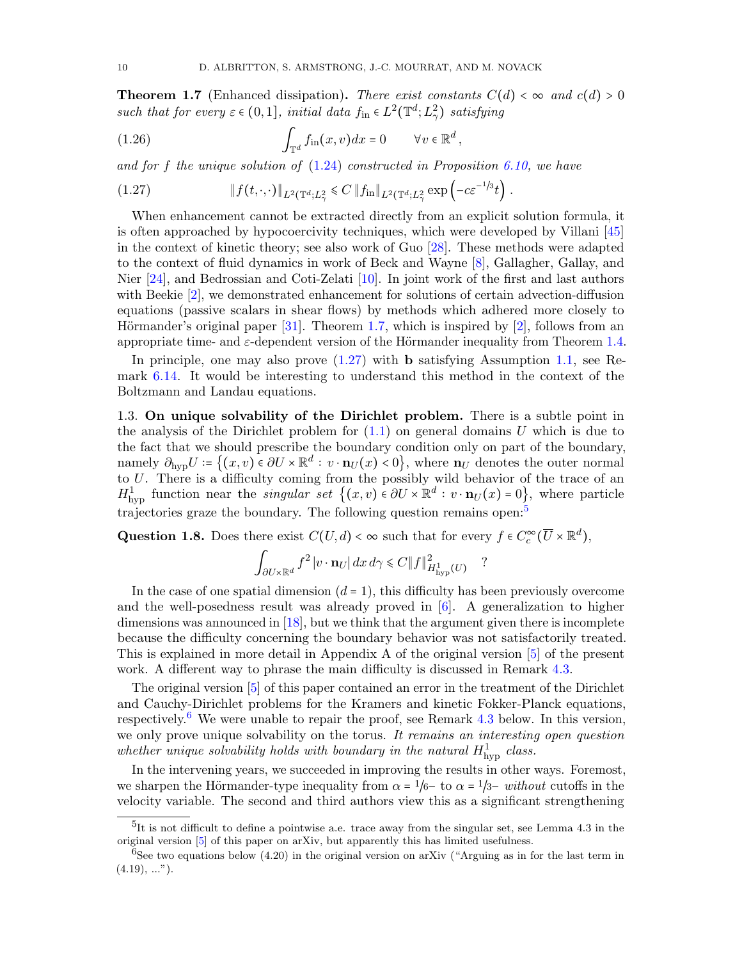<span id="page-9-0"></span>**Theorem 1.7** (Enhanced dissipation). There exist constants  $C(d) < \infty$  and  $c(d) > 0$ such that for every  $\varepsilon \in (0,1]$ , initial data  $f_{\text{in}} \in L^2(\mathbb{T}^d; L^2_\gamma)$  satisfying

<span id="page-9-4"></span>(1.26) 
$$
\int_{\mathbb{T}^d} f_{\text{in}}(x,v) dx = 0 \qquad \forall v \in \mathbb{R}^d,
$$

and for f the unique solution of  $(1.24)$  constructed in Proposition [6.10,](#page-46-0) we have

<span id="page-9-1"></span>(1.27) 
$$
\|f(t,\cdot,\cdot)\|_{L^2(\mathbb{T}^d;L^2_\gamma} \leq C \|f_{\text{in}}\|_{L^2(\mathbb{T}^d;L^2_\gamma)} \exp\left(-c\varepsilon^{-1/3}t\right).
$$

When enhancement cannot be extracted directly from an explicit solution formula, it is often approached by hypocoercivity techniques, which were developed by Villani [\[45\]](#page-51-16) in the context of kinetic theory; see also work of Guo [\[28\]](#page-51-19). These methods were adapted to the context of fluid dynamics in work of Beck and Wayne [\[8\]](#page-50-10), Gallagher, Gallay, and Nier [\[24\]](#page-51-20), and Bedrossian and Coti-Zelati [\[10\]](#page-50-11). In joint work of the first and last authors with Beekie [\[2\]](#page-50-12), we demonstrated enhancement for solutions of certain advection-diffusion equations (passive scalars in shear flows) by methods which adhered more closely to Hörmander's original paper  $[31]$ . Theorem [1.7,](#page-9-0) which is inspired by  $[2]$ , follows from an appropriate time- and  $\varepsilon$ -dependent version of the Hörmander inequality from Theorem [1.4.](#page-6-1)

In principle, one may also prove  $(1.27)$  with **b** satisfying Assumption [1.1,](#page-4-1) see Remark [6.14.](#page-50-13) It would be interesting to understand this method in the context of the Boltzmann and Landau equations.

1.3. On unique solvability of the Dirichlet problem. There is a subtle point in the analysis of the Dirichlet problem for  $(1.1)$  on general domains U which is due to the fact that we should prescribe the boundary condition only on part of the boundary, namely  $\partial_{\text{hyp}}U = \{(x, v) \in \partial U \times \mathbb{R}^d : v \cdot \mathbf{n}_U(x) < 0\}$ , where  $\mathbf{n}_U$  denotes the outer normal to U. There is a difficulty coming from the possibly wild behavior of the trace of an  $H^1_{\text{hyp}}$  function near the *singular set*  $\{(x, v) \in \partial U \times \mathbb{R}^d : v \cdot \mathbf{n}_U(x) = 0\}$ , where particle trajectories graze the boundary. The following question remains open:<sup>[5](#page-9-2)</sup>

Question 1.8. Does there exist  $C(U, d) < \infty$  such that for every  $f \in C_c^{\infty}(\overline{U} \times \mathbb{R}^d)$ ,

$$
\int_{\partial U \times \mathbb{R}^d} f^2 |v \cdot \mathbf{n}_U| dx d\gamma \leq C \|f\|_{H^1_{\text{hyp}}(U)}^2 \quad ?
$$

In the case of one spatial dimension  $(d = 1)$ , this difficulty has been previously overcome and the well-posedness result was already proved in [\[6\]](#page-50-1). A generalization to higher dimensions was announced in [\[18\]](#page-50-2), but we think that the argument given there is incomplete because the difficulty concerning the boundary behavior was not satisfactorily treated. This is explained in more detail in Appendix A of the original version [\[5\]](#page-50-14) of the present work. A different way to phrase the main difficulty is discussed in Remark [4.3.](#page-30-0)

The original version [\[5\]](#page-50-14) of this paper contained an error in the treatment of the Dirichlet and Cauchy-Dirichlet problems for the Kramers and kinetic Fokker-Planck equations, respectively.<sup>[6](#page-9-3)</sup> We were unable to repair the proof, see Remark  $4.3$  below. In this version, we only prove unique solvability on the torus. It remains an interesting open question whether unique solvability holds with boundary in the natural  $H_{\text{hyp}}^1$  class.

In the intervening years, we succeeded in improving the results in other ways. Foremost, we sharpen the Hörmander-type inequality from  $\alpha = 1/6$  to  $\alpha = 1/3$ – without cutoffs in the velocity variable. The second and third authors view this as a significant strengthening

<span id="page-9-2"></span> ${}^{5}$ It is not difficult to define a pointwise a.e. trace away from the singular set, see Lemma 4.3 in the original version [\[5\]](#page-50-14) of this paper on arXiv, but apparently this has limited usefulness.

<span id="page-9-3"></span> ${}^{6}$ See two equations below (4.20) in the original version on arXiv ("Arguing as in for the last term in  $(4.19), \ldots$ ").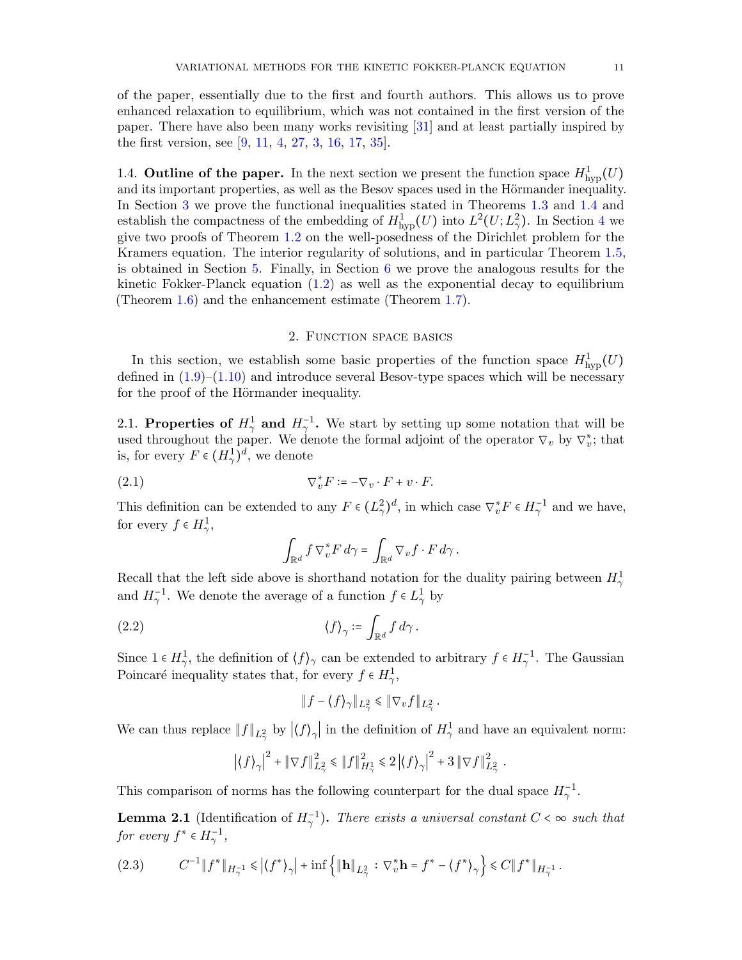of the paper, essentially due to the first and fourth authors. This allows us to prove enhanced relaxation to equilibrium, which was not contained in the first version of the paper. There have also been many works revisiting [\[31\]](#page-51-1) and at least partially inspired by the first version, see [\[9,](#page-50-15) [11,](#page-50-16) [4,](#page-50-5) [27,](#page-51-10) [3,](#page-50-7) [16,](#page-50-17) [17,](#page-50-9) [35\]](#page-51-21).

1.4. **Outline of the paper.** In the next section we present the function space  $H^1_{\text{hyp}}(U)$ and its important properties, as well as the Besov spaces used in the Hörmander inequality. In Section [3](#page-15-0) we prove the functional inequalities stated in Theorems [1.3](#page-6-0) and [1.4](#page-6-1) and establish the compactness of the embedding of  $H^1_{\text{hyp}}(U)$  into  $L^2(U; L^2_\gamma)$ . In Section [4](#page-28-0) we give two proofs of Theorem [1.2](#page-5-0) on the well-posedness of the Dirichlet problem for the Kramers equation. The interior regularity of solutions, and in particular Theorem [1.5,](#page-7-1) is obtained in Section [5.](#page-34-0) Finally, in Section [6](#page-40-0) we prove the analogous results for the kinetic Fokker-Planck equation  $(1.2)$  as well as the exponential decay to equilibrium (Theorem [1.6\)](#page-8-0) and the enhancement estimate (Theorem [1.7\)](#page-9-0).

### 2. Function space basics

<span id="page-10-0"></span>In this section, we establish some basic properties of the function space  $H_{\text{hyp}}^1(U)$ defined in  $(1.9)$ – $(1.10)$  and introduce several Besov-type spaces which will be necessary for the proof of the Hörmander inequality.

2.1. Properties of  $H^1_\gamma$  and  $H^{-1}_\gamma$ . We start by setting up some notation that will be used throughout the paper. We denote the formal adjoint of the operator  $\nabla_v$  by  $\nabla_v^*$ ; that is, for every  $F \in (H^1_\gamma)^d$ , we denote

(2.1) 
$$
\nabla_v^* F \coloneqq -\nabla_v \cdot F + v \cdot F.
$$

This definition can be extended to any  $F \in (L^2_\gamma)^d$ , in which case  $\nabla_v^* F \in H^{-1}_\gamma$  and we have, for every  $f \in H^1_\gamma$ ,

$$
\int_{\mathbb{R}^d} f \nabla_v^* F d\gamma = \int_{\mathbb{R}^d} \nabla_v f \cdot F d\gamma.
$$

Recall that the left side above is shorthand notation for the duality pairing between  $H_{\gamma}^1$ and  $H_{\gamma}^{-1}$ . We denote the average of a function  $f \in L_{\gamma}^{1}$  by

(2.2) 
$$
\langle f \rangle_{\gamma} \coloneqq \int_{\mathbb{R}^d} f \, d\gamma \, .
$$

Since  $1 \in H^1_\gamma$ , the definition of  $\langle f \rangle_\gamma$  can be extended to arbitrary  $f \in H^{-1}_\gamma$ . The Gaussian Poincaré inequality states that, for every  $f \in H^1_\gamma$ ,

$$
\|f - \langle f \rangle_{\gamma}\|_{L^2_{\gamma}} \leq \|\nabla_v f\|_{L^2_{\gamma}}.
$$

We can thus replace  $||f||_{L^2_\gamma}$  by  $|\langle f \rangle_\gamma|$  in the definition of  $H^1_\gamma$  and have an equivalent norm:

$$
\left|\langle f \rangle_\gamma\right|^2 + \left\|\nabla f\right\|_{L^2_\gamma}^2 \leqslant \left\|f\right\|_{H^1_\gamma}^2 \leqslant 2\left|\langle f \rangle_\gamma\right|^2 + 3\left\|\nabla f\right\|_{L^2_\gamma}^2\,.
$$

This comparison of norms has the following counterpart for the dual space  $H_{\gamma}^{-1}$ .

<span id="page-10-2"></span>**Lemma 2.1** (Identification of  $H_{\gamma}^{-1}$ ). There exists a universal constant  $C < \infty$  such that for every  $f^* \in H_{\gamma}^{-1}$ ,

<span id="page-10-1"></span>
$$
(2.3) \t C^{-1} \| f^* \|_{H^{-1}_\gamma} \leq \left| \langle f^* \rangle_\gamma \right| + \inf \left\{ \| \mathbf{h} \|_{L^2_\gamma} : \nabla_v^* \mathbf{h} = f^* - \langle f^* \rangle_\gamma \right\} \leq C \| f^* \|_{H^{-1}_\gamma} \, .
$$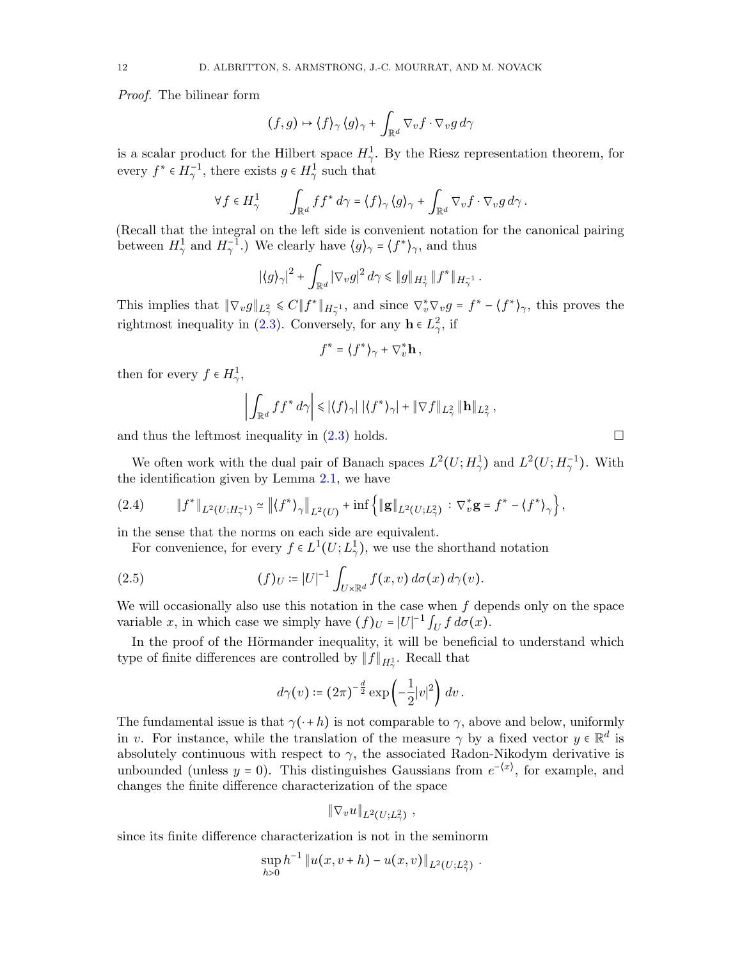Proof. The bilinear form

$$
(f,g)\mapsto \langle f\rangle_{\gamma}\langle g\rangle_{\gamma}+\int_{\mathbb{R}^d}\nabla_v f\cdot\nabla_v g\,d\gamma
$$

is a scalar product for the Hilbert space  $H_{\gamma}^{1}$ . By the Riesz representation theorem, for every  $f^* \in H_{\gamma}^{-1}$ , there exists  $g \in H_{\gamma}^1$  such that

$$
\forall f \in H^1_\gamma \qquad \int_{\mathbb{R}^d} f f^* d\gamma = \langle f \rangle_\gamma \langle g \rangle_\gamma + \int_{\mathbb{R}^d} \nabla_v f \cdot \nabla_v g d\gamma.
$$

(Recall that the integral on the left side is convenient notation for the canonical pairing between  $H^1_\gamma$  and  $H^{-1}_\gamma$ .) We clearly have  $\langle g \rangle_\gamma = \langle f^* \rangle_\gamma$ , and thus

$$
|\langle g \rangle_\gamma|^2 + \int_{\mathbb{R}^d} |\nabla_v g|^2 \, d\gamma \leq \|g\|_{H^1_\gamma} \, \|f^*\|_{H^{-1}_\gamma}
$$

.

This implies that  $\|\nabla_v g\|_{L^2_\gamma} \leq C \|f^*\|_{H^{-1}_\gamma}$ , and since  $\nabla_v^* \nabla_v g = f^* - \langle f^* \rangle_\gamma$ , this proves the rightmost inequality in [\(2.3\)](#page-10-1). Conversely, for any  $\mathbf{h} \in L^2_{\gamma}$ , if

$$
f^* = \langle f^* \rangle_\gamma + \nabla_v^* \mathbf{h} \,,
$$

then for every  $f \in H^1_\gamma$ ,

$$
\left| \int_{\mathbb{R}^d} f f^* d\gamma \right| \leq \left| \langle f \rangle_{\gamma} \right| \left| \langle f^* \rangle_{\gamma} \right| + \|\nabla f\|_{L^2_{\gamma}} \|\mathbf{h}\|_{L^2_{\gamma}},
$$

and thus the leftmost inequality in  $(2.3)$  holds.

We often work with the dual pair of Banach spaces  $L^2(U; H^1_\gamma)$  and  $L^2(U; H^{-1}_\gamma)$ . With the identification given by Lemma [2.1,](#page-10-2) we have

$$
(2.4) \t\t ||f^*||_{L^2(U;H^{-1}_\gamma)} \simeq ||\langle f^* \rangle_\gamma||_{L^2(U)} + \inf \{||g||_{L^2(U;L^2_\gamma)} : \nabla_v^* g = f^* - \langle f^* \rangle_\gamma \},
$$

in the sense that the norms on each side are equivalent.

For convenience, for every  $f \in L^1(U; L^1_\gamma)$ , we use the shorthand notation

(2.5) 
$$
(f)_U := |U|^{-1} \int_{U \times \mathbb{R}^d} f(x, v) d\sigma(x) d\gamma(v).
$$

We will occasionally also use this notation in the case when  $f$  depends only on the space variable x, in which case we simply have  $(f)_U = |U|^{-1} \int_U f d\sigma(x)$ .

In the proof of the Hörmander inequality, it will be beneficial to understand which type of finite differences are controlled by  $\|f\|_{H^1_\gamma}.$  Recall that

<span id="page-11-0"></span>
$$
d\gamma(v)\coloneqq (2\pi)^{-\frac{d}{2}}\exp\left(-\frac{1}{2}|v|^2\right)dv\,.
$$

The fundamental issue is that  $\gamma(\cdot + h)$  is not comparable to  $\gamma$ , above and below, uniformly in v. For instance, while the translation of the measure  $\gamma$  by a fixed vector  $y \in \mathbb{R}^d$  is absolutely continuous with respect to  $\gamma$ , the associated Radon-Nikodym derivative is unbounded (unless  $y = 0$ ). This distinguishes Gaussians from  $e^{-(x)}$ , for example, and changes the finite difference characterization of the space

$$
\|\nabla_v u\|_{L^2(U;L^2_\gamma)} ,
$$

since its finite difference characterization is not in the seminorm

$$
\sup_{h>0} h^{-1} ||u(x,v+h) - u(x,v)||_{L^2(U;L^2_\gamma)}.
$$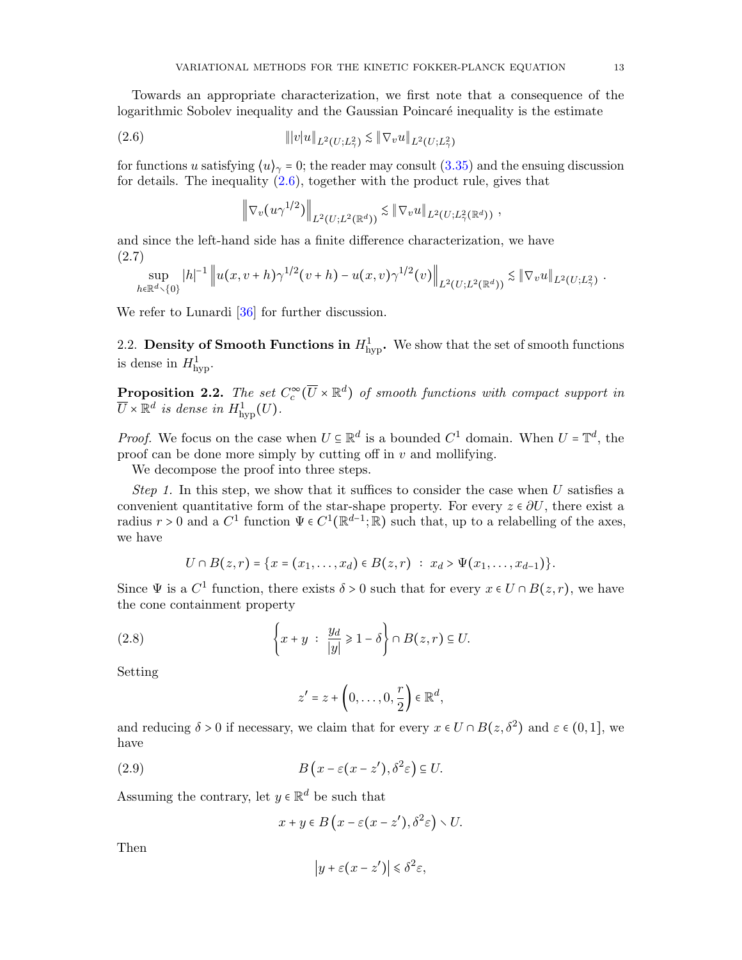Towards an appropriate characterization, we first note that a consequence of the logarithmic Sobolev inequality and the Gaussian Poincaré inequality is the estimate

(2.6) 
$$
\| |v| u \|_{L^2(U;L^2_\gamma)} \lesssim \| \nabla_v u \|_{L^2(U;L^2_\gamma)}
$$

for functions u satisfying  $\langle u \rangle_{\gamma} = 0$ ; the reader may consult [\(3.35\)](#page-26-0) and the ensuing discussion for details. The inequality  $(2.6)$ , together with the product rule, gives that

<span id="page-12-3"></span>
$$
\left\|\nabla_v(u\gamma^{1/2})\right\|_{L^2(U;L^2(\mathbb{R}^d))} \lesssim \|\nabla_v u\|_{L^2(U;L^2_\gamma(\mathbb{R}^d))},
$$

and since the left-hand side has a finite difference characterization, we have (2.7)

$$
\sup_{h \in \mathbb{R}^d \setminus \{0\}} |h|^{-1} \left\| u(x, v+h) \gamma^{1/2} (v+h) - u(x, v) \gamma^{1/2} (v) \right\|_{L^2(U; L^2(\mathbb{R}^d))} \lesssim \|\nabla_v u\|_{L^2(U; L^2_{\gamma})}.
$$

We refer to Lunardi [\[36\]](#page-51-22) for further discussion.

2.2. Density of Smooth Functions in  $H_{\text{hyp}}^1$ . We show that the set of smooth functions is dense in  $H_{\text{hyp}}^1$ .

<span id="page-12-2"></span>**Proposition 2.2.** The set  $C_c^{\infty}(\overline{U} \times \mathbb{R}^d)$  of smooth functions with compact support in  $\overline{U} \times \mathbb{R}^d$  is dense in  $H^1_{\text{hyp}}(U)$ .

*Proof.* We focus on the case when  $U \subseteq \mathbb{R}^d$  is a bounded  $C^1$  domain. When  $U = \mathbb{T}^d$ , the proof can be done more simply by cutting off in  $v$  and mollifying.

We decompose the proof into three steps.

Step 1. In this step, we show that it suffices to consider the case when  $U$  satisfies a convenient quantitative form of the star-shape property. For every  $z \in \partial U$ , there exist a radius  $r > 0$  and a  $C^1$  function  $\Psi \in C^1(\mathbb{R}^{d-1}; \mathbb{R})$  such that, up to a relabelling of the axes, we have

$$
U \cap B(z,r) = \{x = (x_1,\ldots,x_d) \in B(z,r) : x_d > \Psi(x_1,\ldots,x_{d-1})\}.
$$

Since  $\Psi$  is a  $C^1$  function, there exists  $\delta > 0$  such that for every  $x \in U \cap B(z, r)$ , we have the cone containment property

(2.8) 
$$
\left\{x+y \ : \ \frac{y_d}{|y|} \ge 1-\delta\right\} \cap B(z,r) \subseteq U.
$$

Setting

<span id="page-12-0"></span>
$$
z'=z+\left(0,\ldots,0,\frac{r}{2}\right)\in\mathbb{R}^d,
$$

and reducing  $\delta > 0$  if necessary, we claim that for every  $x \in U \cap B(z, \delta^2)$  and  $\varepsilon \in (0, 1]$ , we have

(2.9) 
$$
B\left(x-\varepsilon(x-z'),\delta^2\varepsilon\right)\subseteq U.
$$

Assuming the contrary, let  $y \in \mathbb{R}^d$  be such that

<span id="page-12-1"></span>
$$
x + y \in B\left(x - \varepsilon(x - z'), \delta^2 \varepsilon\right) \setminus U.
$$

Then

$$
\left| y + \varepsilon (x - z') \right| \leq \delta^2 \varepsilon,
$$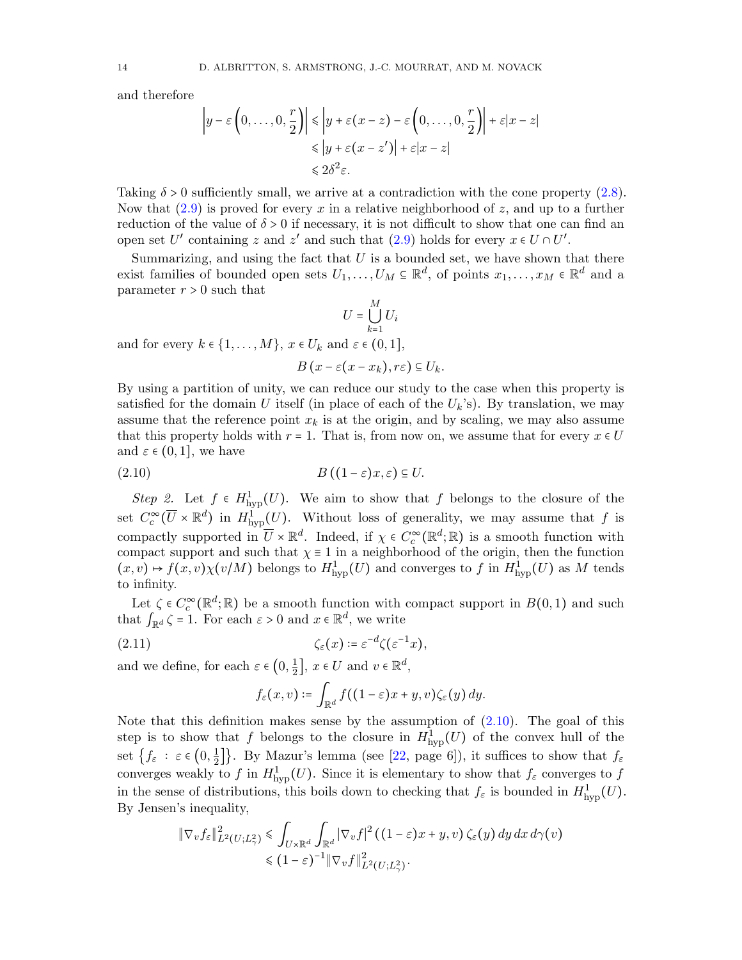and therefore

$$
\left| y - \varepsilon \left( 0, \dots, 0, \frac{r}{2} \right) \right| \leq \left| y + \varepsilon (x - z) - \varepsilon \left( 0, \dots, 0, \frac{r}{2} \right) \right| + \varepsilon |x - z|
$$
  

$$
\leq |y + \varepsilon (x - z')| + \varepsilon |x - z|
$$
  

$$
\leq 2\delta^2 \varepsilon.
$$

Taking  $\delta > 0$  sufficiently small, we arrive at a contradiction with the cone property  $(2.8)$ . Now that  $(2.9)$  is proved for every x in a relative neighborhood of z, and up to a further reduction of the value of  $\delta > 0$  if necessary, it is not difficult to show that one can find an open set U' containing z and z' and such that  $(2.9)$  holds for every  $x \in U \cap U'$ .

Summarizing, and using the fact that  $U$  is a bounded set, we have shown that there exist families of bounded open sets  $U_1, \ldots, U_M \subseteq \mathbb{R}^d$ , of points  $x_1, \ldots, x_M \in \mathbb{R}^d$  and a parameter  $r > 0$  such that M

$$
U = \bigcup_{k=1} U_i
$$
  
and for every  $k \in \{1, ..., M\}$ ,  $x \in U_k$  and  $\varepsilon \in (0, 1]$ ,

<span id="page-13-0"></span> $B(x - \varepsilon(x - x_k), r\varepsilon) \subseteq U_k$ .

By using a partition of unity, we can reduce our study to the case when this property is satisfied for the domain U itself (in place of each of the  $U_k$ 's). By translation, we may assume that the reference point  $x_k$  is at the origin, and by scaling, we may also assume that this property holds with  $r = 1$ . That is, from now on, we assume that for every  $x \in U$ and  $\varepsilon \in (0,1]$ , we have

$$
(2.10) \t\t B\left((1-\varepsilon)x,\varepsilon\right)\subseteq U.
$$

Step 2. Let  $f \in H^1_{\text{hyp}}(U)$ . We aim to show that f belongs to the closure of the set  $C_c^{\infty}(\overline{U} \times \mathbb{R}^d)$  in  $H^1_{\text{hyp}}(U)$ . Without loss of generality, we may assume that f is compactly supported in  $\overline{U} \times \mathbb{R}^d$ . Indeed, if  $\chi \in C_c^{\infty}(\mathbb{R}^d; \mathbb{R})$  is a smooth function with compact support and such that  $\chi \equiv 1$  in a neighborhood of the origin, then the function  $(x, v) \mapsto f(x, v)\chi(v/M)$  belongs to  $H^1_{\text{hyp}}(U)$  and converges to f in  $H^1_{\text{hyp}}(U)$  as M tends to infinity.

Let  $\zeta \in C_c^{\infty}(\mathbb{R}^d;\mathbb{R})$  be a smooth function with compact support in  $B(0,1)$  and such that  $\int_{\mathbb{R}^d} \zeta = 1$ . For each  $\varepsilon > 0$  and  $x \in \mathbb{R}^d$ , we write

(2.11) 
$$
\zeta_{\varepsilon}(x) \coloneqq \varepsilon^{-d} \zeta(\varepsilon^{-1} x),
$$

and we define, for each  $\varepsilon \in (0, \frac{1}{2})$  $\frac{1}{2}$ ,  $x \in U$  and  $v \in \mathbb{R}^d$ ,

<span id="page-13-1"></span>
$$
f_{\varepsilon}(x,v) \coloneqq \int_{\mathbb{R}^d} f((1-\varepsilon)x + y, v)\zeta_{\varepsilon}(y) dy.
$$

Note that this definition makes sense by the assumption of  $(2.10)$ . The goal of this step is to show that f belongs to the closure in  $H^1_{\text{hyp}}(U)$  of the convex hull of the set  $\{f_{\varepsilon} : \varepsilon \in \left(0, \frac{1}{2}\right) \}$  $\left\{\frac{1}{2}\right\}$ . By Mazur's lemma (see [\[22,](#page-51-23) page 6]), it suffices to show that  $f_{\varepsilon}$ converges weakly to f in  $H^1_{\text{hyp}}(U)$ . Since it is elementary to show that  $f_{\varepsilon}$  converges to f in the sense of distributions, this boils down to checking that  $f_{\varepsilon}$  is bounded in  $H_{\text{hyp}}^1(U)$ . By Jensen's inequality,

$$
\|\nabla_v f_{\varepsilon}\|^2_{L^2(U;L^2_\gamma)} \leq \int_{U\times\mathbb{R}^d} \int_{\mathbb{R}^d} |\nabla_v f|^2 \left( (1-\varepsilon)x + y, v \right) \zeta_{\varepsilon}(y) \, dy \, dx \, d\gamma(v)
$$
  

$$
\leq (1-\varepsilon)^{-1} \|\nabla_v f\|^2_{L^2(U;L^2_\gamma)}.
$$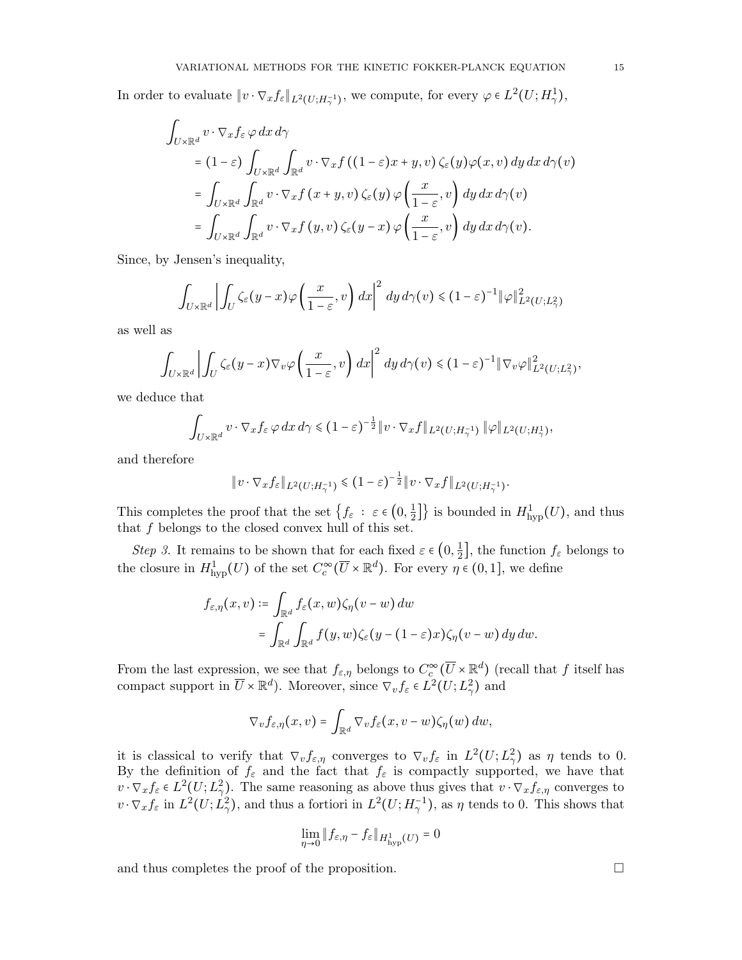In order to evaluate  $\|v \cdot \nabla_x f_{\varepsilon}\|_{L^2(U;H_{\gamma}^{-1})}$ , we compute, for every  $\varphi \in L^2(U;H_{\gamma}^1)$ ,

$$
\int_{U \times \mathbb{R}^d} v \cdot \nabla_x f_{\varepsilon} \varphi \, dx \, d\gamma
$$
\n
$$
= (1 - \varepsilon) \int_{U \times \mathbb{R}^d} \int_{\mathbb{R}^d} v \cdot \nabla_x f \left( (1 - \varepsilon) x + y, v \right) \zeta_{\varepsilon}(y) \varphi(x, v) \, dy \, dx \, d\gamma(v)
$$
\n
$$
= \int_{U \times \mathbb{R}^d} \int_{\mathbb{R}^d} v \cdot \nabla_x f \left( x + y, v \right) \zeta_{\varepsilon}(y) \varphi \left( \frac{x}{1 - \varepsilon}, v \right) \, dy \, dx \, d\gamma(v)
$$
\n
$$
= \int_{U \times \mathbb{R}^d} \int_{\mathbb{R}^d} v \cdot \nabla_x f \left( y, v \right) \zeta_{\varepsilon}(y - x) \varphi \left( \frac{x}{1 - \varepsilon}, v \right) \, dy \, dx \, d\gamma(v).
$$

Since, by Jensen's inequality,

$$
\int_{U\times\mathbb{R}^d}\left|\int_U\zeta_{\varepsilon}(y-x)\varphi\left(\frac{x}{1-\varepsilon},v\right)dx\right|^2\,dy\,d\gamma(v)\leq (1-\varepsilon)^{-1}\|\varphi\|^2_{L^2(U;L^2_\gamma)}
$$

as well as

$$
\int_{U\times\mathbb{R}^d}\left|\int_U\zeta_{\varepsilon}(y-x)\nabla_v\varphi\left(\frac{x}{1-\varepsilon},v\right)dx\right|^2\,dy\,d\gamma(v)\leq (1-\varepsilon)^{-1}\|\nabla_v\varphi\|_{L^2(U;L^2_\gamma)}^2,
$$

we deduce that

$$
\int_{U\times\mathbb{R}^d} v\cdot\nabla_x f_{\varepsilon} \,\varphi\,dx\,d\gamma \leq (1-\varepsilon)^{-\frac{1}{2}} \|v\cdot\nabla_x f\|_{L^2(U;H^{-1}_\gamma)} \, \|\varphi\|_{L^2(U;H^1_\gamma)},
$$

and therefore

$$
||v \cdot \nabla_x f_{\varepsilon}||_{L^2(U;H_{\gamma}^{-1})} \leq (1-\varepsilon)^{-\frac{1}{2}}||v \cdot \nabla_x f||_{L^2(U;H_{\gamma}^{-1})}.
$$

This completes the proof that the set  $\{f_{\varepsilon} : \varepsilon \in (0, \frac{1}{2})\}$  $\left\{\frac{1}{2}\right\}$  is bounded in  $H^1_{\text{hyp}}(U)$ , and thus that f belongs to the closed convex hull of this set.

*Step 3.* It remains to be shown that for each fixed  $\varepsilon \in (0, \frac{1}{2})$  $\frac{1}{2}$ , the function  $f_{\varepsilon}$  belongs to the closure in  $H^1_{\text{hyp}}(U)$  of the set  $C_c^{\infty}(\overline{U} \times \mathbb{R}^d)$ . For every  $\eta \in (0,1]$ , we define

$$
f_{\varepsilon,\eta}(x,v) \coloneqq \int_{\mathbb{R}^d} f_{\varepsilon}(x,w)\zeta_{\eta}(v-w) \, dw
$$
  
= 
$$
\int_{\mathbb{R}^d} \int_{\mathbb{R}^d} f(y,w)\zeta_{\varepsilon}(y-(1-\varepsilon)x)\zeta_{\eta}(v-w) \, dy \, dw.
$$

From the last expression, we see that  $f_{\varepsilon,\eta}$  belongs to  $C_c^{\infty}(\overline{U} \times \mathbb{R}^d)$  (recall that f itself has compact support in  $\overline{U} \times \mathbb{R}^d$ ). Moreover, since  $\nabla_v f_\varepsilon \in L^2(U; L^2_\gamma)$  and

$$
\nabla_v f_{\varepsilon,\eta}(x,v) = \int_{\mathbb{R}^d} \nabla_v f_{\varepsilon}(x,v-w) \zeta_{\eta}(w) \, dw,
$$

it is classical to verify that  $\nabla_v f_{\varepsilon, \eta}$  converges to  $\nabla_v f_{\varepsilon}$  in  $L^2(U; L^2_{\gamma})$  as  $\eta$  tends to 0.<br>By the definition of  $f_{\varepsilon}$  and the fact that  $f_{\varepsilon}$  is compactly supported, we have that  $v \cdot \nabla_x f_{\varepsilon} \in L^2(U; L^2)$ . The same reasoning as above thus gives that  $v \cdot \nabla_x f_{\varepsilon, \eta}$  converges to  $v \cdot \nabla_x f_\varepsilon$  in  $L^2(U; L^2_\gamma)$ , and thus a fortiori in  $L^2(U; H^{-1}_\gamma)$ , as  $\eta$  tends to 0. This shows that

$$
\lim_{\eta \to 0} \|f_{\varepsilon, \eta} - f_{\varepsilon}\|_{H^1_{\text{hyp}}(U)} = 0
$$

and thus completes the proof of the proposition.  $\Box$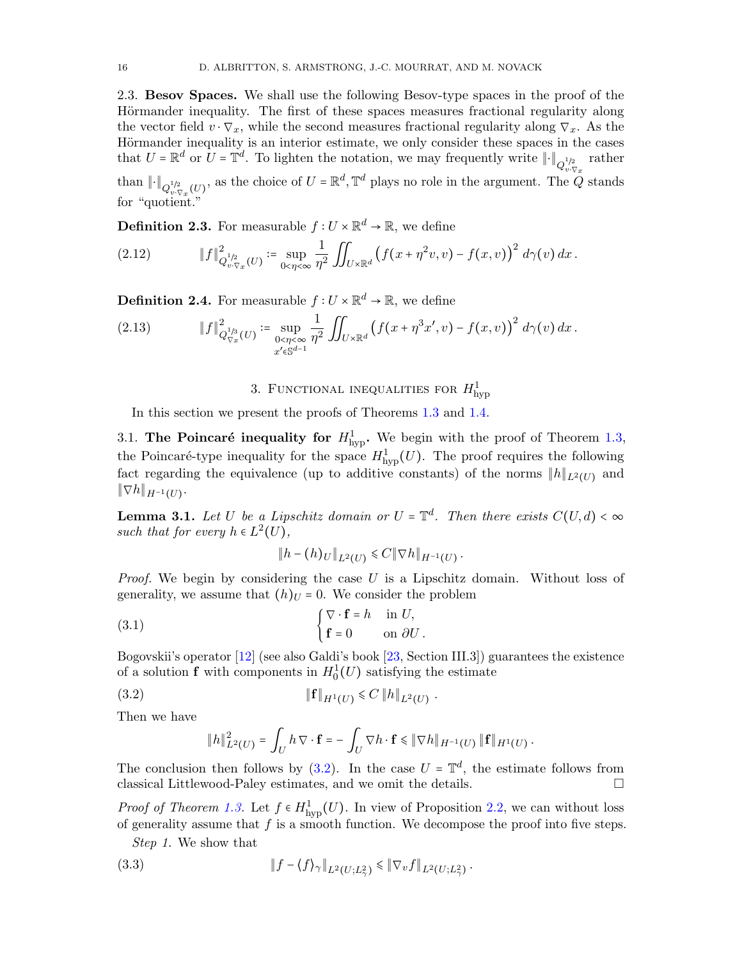<span id="page-15-2"></span>2.3. Besov Spaces. We shall use the following Besov-type spaces in the proof of the Hörmander inequality. The first of these spaces measures fractional regularity along the vector field  $v \cdot \nabla_x$ , while the second measures fractional regularity along  $\nabla_x$ . As the Hörmander inequality is an interior estimate, we only consider these spaces in the cases that  $U = \mathbb{R}^d$  or  $U = \mathbb{T}^d$ . To lighten the notation, we may frequently write  $\|\cdot\|_{Q^{1/2}_{v \cdot \nabla x}}$  rather than  $\|\cdot\|_{Q_{v\cdot\nabla_x}^{1/2}(U)}$ , as the choice of  $U=\mathbb{R}^d,\mathbb{T}^d$  plays no role in the argument. The  $\widetilde{Q}$  stands for "quotient."

**Definition 2.3.** For measurable  $f: U \times \mathbb{R}^d \to \mathbb{R}$ , we define

(2.12) 
$$
\|f\|_{Q_{v,\nabla_x}(U)}^2 := \sup_{0<\eta<\infty} \frac{1}{\eta^2} \iint_{U\times\mathbb{R}^d} \left(f(x+\eta^2 v,v)-f(x,v)\right)^2 d\gamma(v) dx.
$$

**Definition 2.4.** For measurable  $f: U \times \mathbb{R}^d \to \mathbb{R}$ , we define

<span id="page-15-1"></span>(2.13) 
$$
\|f\|_{Q_{\nabla_x}^{1/3}(U)}^2 := \sup_{\substack{0 < \eta < \infty \\ x' \in \mathbb{S}^{d-1}}} \frac{1}{\eta^2} \iint_{U \times \mathbb{R}^d} \left( f(x + \eta^3 x', v) - f(x, v) \right)^2 d\gamma(v) dx.
$$

# 3. FUNCTIONAL INEQUALITIES FOR  $H_{\mathrm{hyp}}^1$

<span id="page-15-0"></span>In this section we present the proofs of Theorems [1.3](#page-6-0) and [1.4.](#page-6-1)

3.1. The Poincaré inequality for  $H_{\text{hyp}}^1$ . We begin with the proof of Theorem [1.3,](#page-6-0) the Poincaré-type inequality for the space  $H^1_{\text{hyp}}(U)$ . The proof requires the following fact regarding the equivalence (up to additive constants) of the norms  $||h||_{L^2(U)}$  and  $\|\nabla h\|_{H^{-1}(U)}$ .

<span id="page-15-5"></span>**Lemma 3.1.** Let U be a Lipschitz domain or  $U = \mathbb{T}^d$ . Then there exists  $C(U, d) < \infty$ such that for every  $h \in L^2(U)$ ,

$$
||h - (h)U||_{L^2(U)} \leq C ||\nabla h||_{H^{-1}(U)}.
$$

*Proof.* We begin by considering the case  $U$  is a Lipschitz domain. Without loss of generality, we assume that  $(h)_U = 0$ . We consider the problem

(3.1) 
$$
\begin{cases} \nabla \cdot \mathbf{f} = h & \text{in } U, \\ \mathbf{f} = 0 & \text{on } \partial U. \end{cases}
$$

Bogovskii's operator [\[12\]](#page-50-18) (see also Galdi's book [\[23,](#page-51-24) Section III.3]) guarantees the existence of a solution **f** with components in  $H_0^1(U)$  satisfying the estimate

(3.2) 
$$
\|\mathbf{f}\|_{H^1(U)} \leq C \|h\|_{L^2(U)}.
$$

Then we have

<span id="page-15-3"></span>
$$
||h||_{L^{2}(U)}^{2} = \int_{U} h \nabla \cdot \mathbf{f} = -\int_{U} \nabla h \cdot \mathbf{f} \le ||\nabla h||_{H^{-1}(U)} ||\mathbf{f}||_{H^{1}(U)}
$$

.

The conclusion then follows by [\(3.2\)](#page-15-3). In the case  $U = \mathbb{T}^d$ , the estimate follows from classical Littlewood-Paley estimates, and we omit the details.

*Proof of Theorem [1.3.](#page-6-0)* Let  $f \in H^1_{\text{hyp}}(U)$ . In view of Proposition [2.2,](#page-12-2) we can without loss of generality assume that  $f$  is a smooth function. We decompose the proof into five steps.

<span id="page-15-4"></span>Step 1. We show that

(3.3) 
$$
\|f - \langle f \rangle_{\gamma}\|_{L^2(U;L^2_{\gamma})} \leq \|\nabla_v f\|_{L^2(U;L^2_{\gamma})}.
$$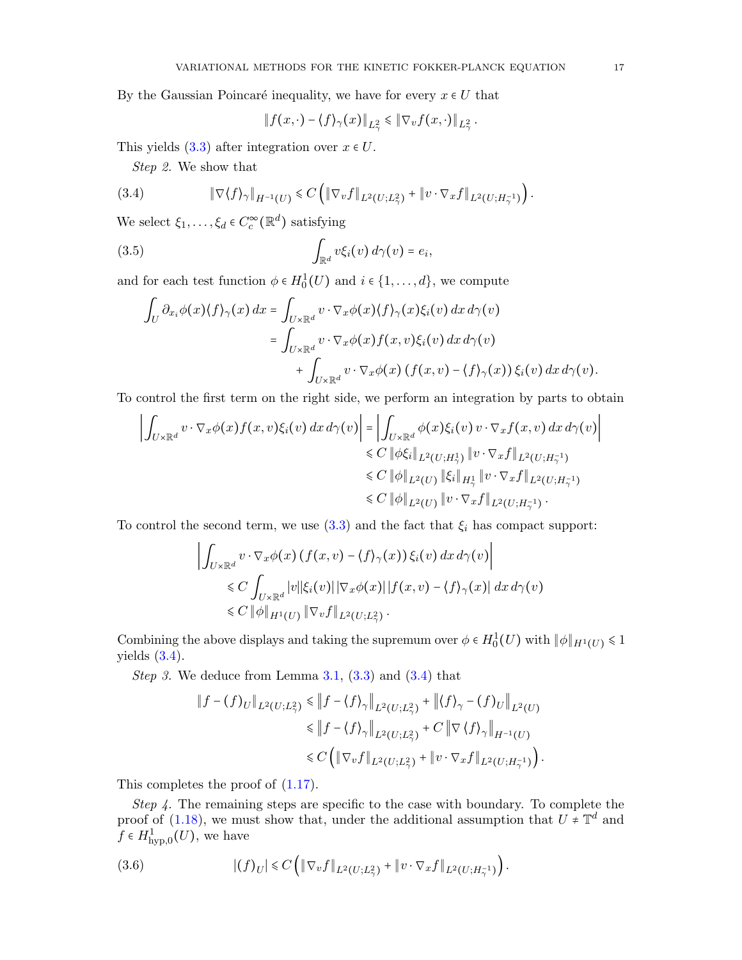By the Gaussian Poincaré inequality, we have for every  $x \in U$  that

$$
\|f(x,\cdot)-\langle f\rangle_\gamma(x)\|_{L^2_\gamma}\leq \|\nabla_v f(x,\cdot)\|_{L^2_\gamma}.
$$

This yields  $(3.3)$  after integration over  $x \in U$ .

<span id="page-16-0"></span>Step 2. We show that

(3.4) 
$$
\|\nabla \langle f \rangle_{\gamma}\|_{H^{-1}(U)} \leq C \left( \|\nabla_v f\|_{L^2(U;L^2_{\gamma})} + \|v \cdot \nabla_x f\|_{L^2(U;H^{-1}_{\gamma})} \right).
$$

We select  $\xi_1, \ldots, \xi_d \in C_c^{\infty}(\mathbb{R}^d)$  satisfying

(3.5) 
$$
\int_{\mathbb{R}^d} v \xi_i(v) d\gamma(v) = e_i,
$$

and for each test function  $\phi \in H_0^1(U)$  and  $i \in \{1, ..., d\}$ , we compute

$$
\int_{U} \partial_{x_i} \phi(x) \langle f \rangle_{\gamma}(x) dx = \int_{U \times \mathbb{R}^d} v \cdot \nabla_x \phi(x) \langle f \rangle_{\gamma}(x) \xi_i(v) dx d\gamma(v)
$$
\n
$$
= \int_{U \times \mathbb{R}^d} v \cdot \nabla_x \phi(x) f(x, v) \xi_i(v) dx d\gamma(v)
$$
\n
$$
+ \int_{U \times \mathbb{R}^d} v \cdot \nabla_x \phi(x) (f(x, v) - \langle f \rangle_{\gamma}(x)) \xi_i(v) dx d\gamma(v).
$$

To control the first term on the right side, we perform an integration by parts to obtain

$$
\left| \int_{U \times \mathbb{R}^d} v \cdot \nabla_x \phi(x) f(x, v) \xi_i(v) dx d\gamma(v) \right| = \left| \int_{U \times \mathbb{R}^d} \phi(x) \xi_i(v) v \cdot \nabla_x f(x, v) dx d\gamma(v) \right|
$$
  
\n
$$
\leq C \|\phi \xi_i\|_{L^2(U; H^1_\gamma)} \|v \cdot \nabla_x f\|_{L^2(U; H^{-1}_\gamma)}
$$
  
\n
$$
\leq C \|\phi\|_{L^2(U)} \|\xi_i\|_{H^1_\gamma} \|v \cdot \nabla_x f\|_{L^2(U; H^{-1}_\gamma)}
$$
  
\n
$$
\leq C \|\phi\|_{L^2(U)} \|v \cdot \nabla_x f\|_{L^2(U; H^{-1}_\gamma)}.
$$

To control the second term, we use  $(3.3)$  and the fact that  $\xi_i$  has compact support:

$$
\left| \int_{U \times \mathbb{R}^d} v \cdot \nabla_x \phi(x) \left( f(x, v) - \langle f \rangle_{\gamma}(x) \right) \xi_i(v) dx d\gamma(v) \right|
$$
  
\$\leq C \int\_{U \times \mathbb{R}^d} |v| |\xi\_i(v)| |\nabla\_x \phi(x)| |f(x, v) - \langle f \rangle\_{\gamma}(x)| dx d\gamma(v)\$  
\$\leq C \|\phi\|\_{H^1(U)} \|\nabla\_v f\|\_{L^2(U;L^2\_{\gamma})}.

Combining the above displays and taking the supremum over  $\phi \in H_0^1(U)$  with  $\|\phi\|_{H^1(U)} \leq 1$ yields  $(3.4)$ .

Step 3. We deduce from Lemma  $3.1, (3.3)$  $3.1, (3.3)$  $3.1, (3.3)$  and  $(3.4)$  that

$$
\|f - (f)_U\|_{L^2(U;L^2_\gamma)} \le \|f - \langle f \rangle_\gamma\|_{L^2(U;L^2_\gamma)} + \|\langle f \rangle_\gamma - (f)_U\|_{L^2(U)} \le \|f - \langle f \rangle_\gamma\|_{L^2(U;L^2_\gamma)} + C \|\nabla \langle f \rangle_\gamma\|_{H^{-1}(U)} \le C \left( \|\nabla_v f\|_{L^2(U;L^2_\gamma)} + \|v \cdot \nabla_x f\|_{L^2(U;H^{-1}_\gamma)} \right).
$$

This completes the proof of [\(1.17\)](#page-6-3).

Step 4. The remaining steps are specific to the case with boundary. To complete the proof of [\(1.18\)](#page-6-4), we must show that, under the additional assumption that  $U \neq \mathbb{T}^d$  and  $f \in H^1_{\text{hyp},0}(U)$ , we have

<span id="page-16-1"></span>(3.6) 
$$
|(f)_{U}| \leq C \left( \|\nabla_{v} f\|_{L^{2}(U;L^{2}_{\gamma})} + \|v \cdot \nabla_{x} f\|_{L^{2}(U;H^{-1}_{\gamma})} \right).
$$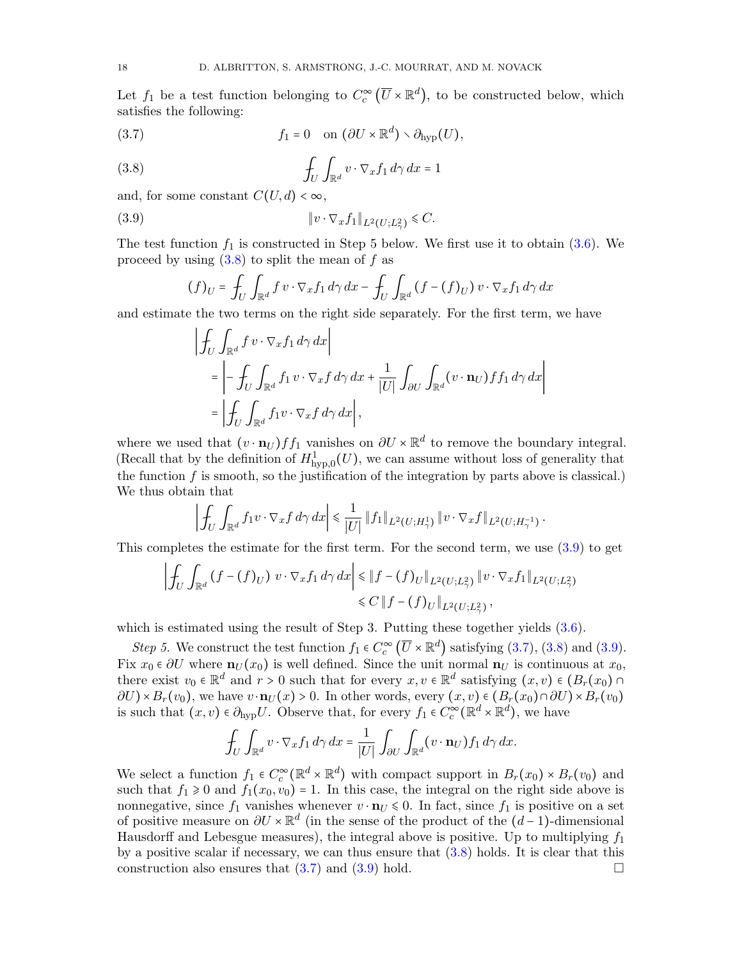Let  $f_1$  be a test function belonging to  $C_c^{\infty}(\overline{U}\times \mathbb{R}^d)$ , to be constructed below, which satisfies the following:

<span id="page-17-2"></span>(3.7) 
$$
f_1 = 0 \quad \text{on } (\partial U \times \mathbb{R}^d) \setminus \partial_{\text{hyp}}(U),
$$

(3.8) 
$$
\int_{U} \int_{\mathbb{R}^{d}} v \cdot \nabla_{x} f_{1} d\gamma dx = 1
$$

and, for some constant  $C(U, d) < \infty$ ,

$$
(3.9) \t\t\t\t\t||v \cdot \nabla_x f_1||_{L^2(U;L^2_\gamma)} \leq C.
$$

The test function  $f_1$  is constructed in Step 5 below. We first use it to obtain [\(3.6\)](#page-16-1). We proceed by using  $(3.8)$  to split the mean of f as

<span id="page-17-1"></span><span id="page-17-0"></span>
$$
(f)_U = \int_U \int_{\mathbb{R}^d} f \, v \cdot \nabla_x f_1 \, d\gamma \, dx - \int_U \int_{\mathbb{R}^d} \left( f - (f)_U \right) v \cdot \nabla_x f_1 \, d\gamma \, dx
$$

and estimate the two terms on the right side separately. For the first term, we have

$$
\left| \oint_{U} \int_{\mathbb{R}^{d}} f \, v \cdot \nabla_{x} f_{1} \, d\gamma \, dx \right|
$$
\n
$$
= \left| - \oint_{U} \int_{\mathbb{R}^{d}} f_{1} \, v \cdot \nabla_{x} f \, d\gamma \, dx + \frac{1}{|U|} \int_{\partial U} \int_{\mathbb{R}^{d}} (v \cdot \mathbf{n}_{U}) f f_{1} \, d\gamma \, dx \right|
$$
\n
$$
= \left| \oint_{U} \int_{\mathbb{R}^{d}} f_{1} v \cdot \nabla_{x} f \, d\gamma \, dx \right|,
$$

where we used that  $(v \cdot \mathbf{n}_U) f f_1$  vanishes on  $\partial U \times \mathbb{R}^d$  to remove the boundary integral. (Recall that by the definition of  $H^1_{\text{hyp},0}(U)$ , we can assume without loss of generality that the function  $f$  is smooth, so the justification of the integration by parts above is classical.) We thus obtain that

$$
\left| \int_{U} \int_{\mathbb{R}^{d}} f_{1}v \cdot \nabla_{x} f \, d\gamma \, dx \right| \leq \frac{1}{|U|} \| f_{1} \|_{L^{2}(U;H^{1}_{\gamma})} \| v \cdot \nabla_{x} f \|_{L^{2}(U;H^{-1}_{\gamma})}.
$$

This completes the estimate for the first term. For the second term, we use  $(3.9)$  to get

$$
\left| \oint_{U} \int_{\mathbb{R}^{d}} (f - (f)_{U}) v \cdot \nabla_{x} f_{1} d\gamma dx \right| \leq \| f - (f)_{U} \|_{L^{2}(U; L^{2}_{\gamma})} \| v \cdot \nabla_{x} f_{1} \|_{L^{2}(U; L^{2}_{\gamma})} \leq C \| f - (f)_{U} \|_{L^{2}(U; L^{2}_{\gamma})},
$$

which is estimated using the result of Step 3. Putting these together yields  $(3.6)$ .

Step 5. We construct the test function  $f_1 \in C_c^{\infty}(\overline{U} \times \mathbb{R}^d)$  satisfying [\(3.7\)](#page-17-2), [\(3.8\)](#page-17-0) and [\(3.9\)](#page-17-1). Fix  $x_0 \in \partial U$  where  $\mathbf{n}_U(x_0)$  is well defined. Since the unit normal  $\mathbf{n}_U$  is continuous at  $x_0$ , there exist  $v_0 \in \mathbb{R}^d$  and  $r > 0$  such that for every  $x, v \in \mathbb{R}^d$  satisfying  $(x, v) \in (B_r(x_0) \cap B(r)) \times B_r(x_0)$  or  $\mathbb{R}^d$  and  $\mathbb{R}^d$  or  $\mathbb{R}^d$  and  $\mathbb{R}^d$  or  $\mathbb{R}^d$  or  $\mathbb{R}^d$  and  $\mathbb{R}^d$  or  $\$  $\partial U$ )× $B_r(v_0)$ , we have  $v \cdot \mathbf{n}_U(x) > 0$ . In other words, every  $(x, v) \in (B_r(x_0) \cap \partial U) \times B_r(v_0)$ is such that  $(x, v) \in \partial_{\text{hyp}} U$ . Observe that, for every  $f_1 \in C_c^{\infty}(\mathbb{R}^d \times \mathbb{R}^d)$ , we have

$$
\int_U \int_{\mathbb{R}^d} v \cdot \nabla_x f_1 \, d\gamma \, dx = \frac{1}{|U|} \int_{\partial U} \int_{\mathbb{R}^d} (v \cdot \mathbf{n}_U) f_1 \, d\gamma \, dx.
$$

We select a function  $f_1 \in C_c^{\infty}(\mathbb{R}^d \times \mathbb{R}^d)$  with compact support in  $B_r(x_0) \times B_r(v_0)$  and such that  $f_1 \geq 0$  and  $f_1(x_0, v_0) = 1$ . In this case, the integral on the right side above is nonnegative, since  $f_1$  vanishes whenever  $v \cdot \mathbf{n}_U \leq 0$ . In fact, since  $f_1$  is positive on a set of positive measure on  $\partial U \times \mathbb{R}^d$  (in the sense of the product of the  $(d-1)$ -dimensional<br>Here is not the sense measure of the integral share is notitive. He to multiplying for Hausdorff and Lebesgue measures), the integral above is positive. Up to multiplying  $f_1$ by a positive scalar if necessary, we can thus ensure that  $(3.8)$  holds. It is clear that this construction also ensures that  $(3.7)$  and  $(3.9)$  hold.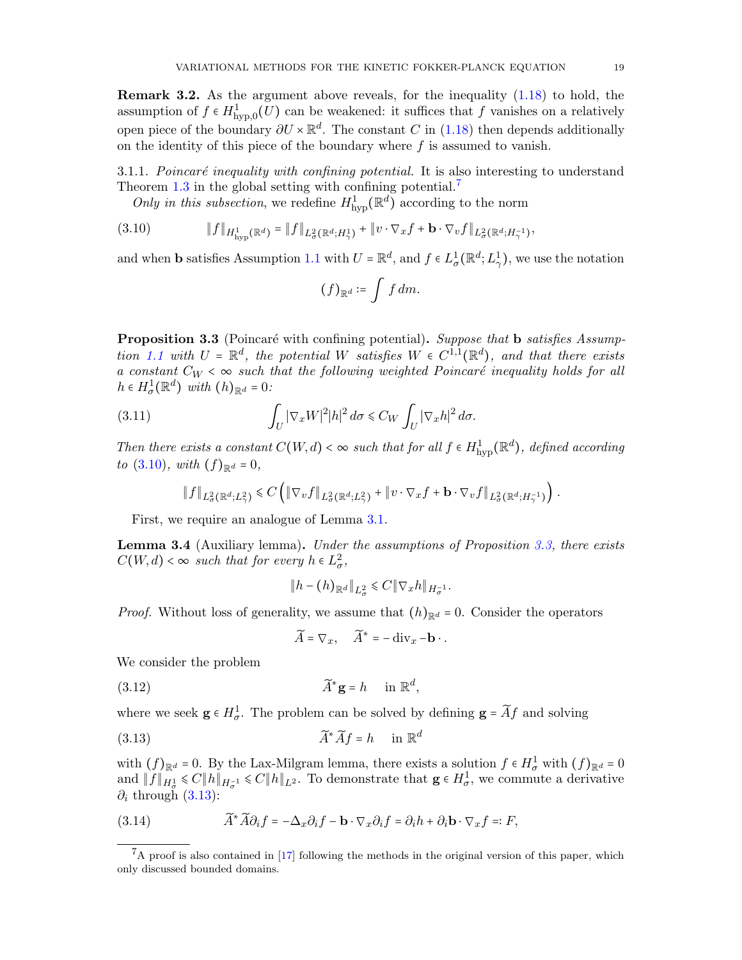<span id="page-18-7"></span>Remark 3.2. As the argument above reveals, for the inequality [\(1.18\)](#page-6-4) to hold, the assumption of  $f \in H^1_{\text{hyp},0}(U)$  can be weakened: it suffices that f vanishes on a relatively open piece of the boundary  $\partial U \times \mathbb{R}^d$ . The constant C in [\(1.18\)](#page-6-4) then depends additionally on the identity of this piece of the boundary where  $f$  is assumed to vanish.

3.1.1. Poincaré inequality with confining potential. It is also interesting to understand Theorem [1.3](#page-6-0) in the global setting with confining potential.<sup>[7](#page-18-1)</sup>

<span id="page-18-2"></span>Only in this subsection, we redefine  $H^1_{\text{hyp}}(\mathbb{R}^d)$  according to the norm

$$
(3.10) \t\t\t ||f||_{H^1_{\text{hyp}}(\mathbb{R}^d)} = ||f||_{L^2_{\sigma}(\mathbb{R}^d; H^1_{\gamma})} + ||v \cdot \nabla_x f + \mathbf{b} \cdot \nabla_v f||_{L^2_{\sigma}(\mathbb{R}^d; H^{-1}_{\gamma})},
$$

and when **b** satisfies Assumption [1.1](#page-4-1) with  $U = \mathbb{R}^d$ , and  $f \in L^1_\sigma(\mathbb{R}^d; L^1_\gamma)$ , we use the notation

$$
(f)_{\mathbb{R}^d} \coloneqq \int f dm.
$$

<span id="page-18-0"></span>**Proposition 3.3** (Poincaré with confining potential). Suppose that **b** satisfies Assump-tion [1.1](#page-4-1) with  $U = \mathbb{R}^d$ , the potential W satisfies  $W \in C^{1,1}(\mathbb{R}^d)$ , and that there exists a constant  $C_W < \infty$  such that the following weighted Poincaré inequality holds for all  $h \in H^1_\sigma(\mathbb{R}^d)$  with  $(h)_{\mathbb{R}^d} = 0$ :

(3.11) 
$$
\int_{U} |\nabla_x W|^2 |h|^2 d\sigma \leq C_W \int_{U} |\nabla_x h|^2 d\sigma.
$$

Then there exists a constant  $C(W, d) < \infty$  such that for all  $f \in H^1_{\text{hyp}}(\mathbb{R}^d)$ , defined according to  $(3.10)$ , with  $(f)_{\mathbb{R}^d} = 0$ ,

<span id="page-18-5"></span>
$$
\|f\|_{L^2_{\sigma}(\mathbb{R}^d; L^2_{\gamma})} \leq C \left( \|\nabla_v f\|_{L^2_{\sigma}(\mathbb{R}^d; L^2_{\gamma})} + \|v \cdot \nabla_x f + \mathbf{b} \cdot \nabla_v f\|_{L^2_{\sigma}(\mathbb{R}^d; H^{-1}_{\gamma})} \right).
$$

First, we require an analogue of Lemma [3.1.](#page-15-5)

<span id="page-18-6"></span>Lemma 3.4 (Auxiliary lemma). Under the assumptions of Proposition [3.3,](#page-18-0) there exists  $C(W, d) < \infty$  such that for every  $h \in L^2_{\sigma}$ ,

$$
||h - (h)_{\mathbb{R}^d}||_{L^2_{\sigma}} \leq C ||\nabla_x h||_{H^{-1}_{\sigma}}.
$$

*Proof.* Without loss of generality, we assume that  $(h)_{\mathbb{R}^d} = 0$ . Consider the operators

<span id="page-18-3"></span>
$$
\widetilde{A} = \nabla_x, \quad \widetilde{A}^* = -\operatorname{div}_x - \mathbf{b} \cdot.
$$

We consider the problem

(3.12) 
$$
\widetilde{A}^* \mathbf{g} = h \quad \text{in } \mathbb{R}^d,
$$

where we seek  $\mathbf{g} \in H^1_\sigma$ . The problem can be solved by defining  $\mathbf{g} = \widetilde{A}f$  and solving

$$
\widetilde{A}^* \widetilde{A} f = h \quad \text{in } \mathbb{R}^d
$$

with  $(f)_{\mathbb{R}^d} = 0$ . By the Lax-Milgram lemma, there exists a solution  $f \in H^1_{\sigma}$  with  $(f)_{\mathbb{R}^d} = 0$ and  $||f||_{H^1_{\sigma}} \leq C||h||_{H^{-1}_{\sigma}} \leq C||h||_{L^2}$ . To demonstrate that  $g \in H^1_{\sigma}$ , we commute a derivative  $\partial_i$  through [\(3.13\)](#page-18-3):

<span id="page-18-4"></span>(3.14) 
$$
\widetilde{A}^* \widetilde{A} \partial_i f = -\Delta_x \partial_i f - \mathbf{b} \cdot \nabla_x \partial_i f = \partial_i h + \partial_i \mathbf{b} \cdot \nabla_x f =: F,
$$

<span id="page-18-1"></span> ${}^{7}$ A proof is also contained in [\[17\]](#page-50-9) following the methods in the original version of this paper, which only discussed bounded domains.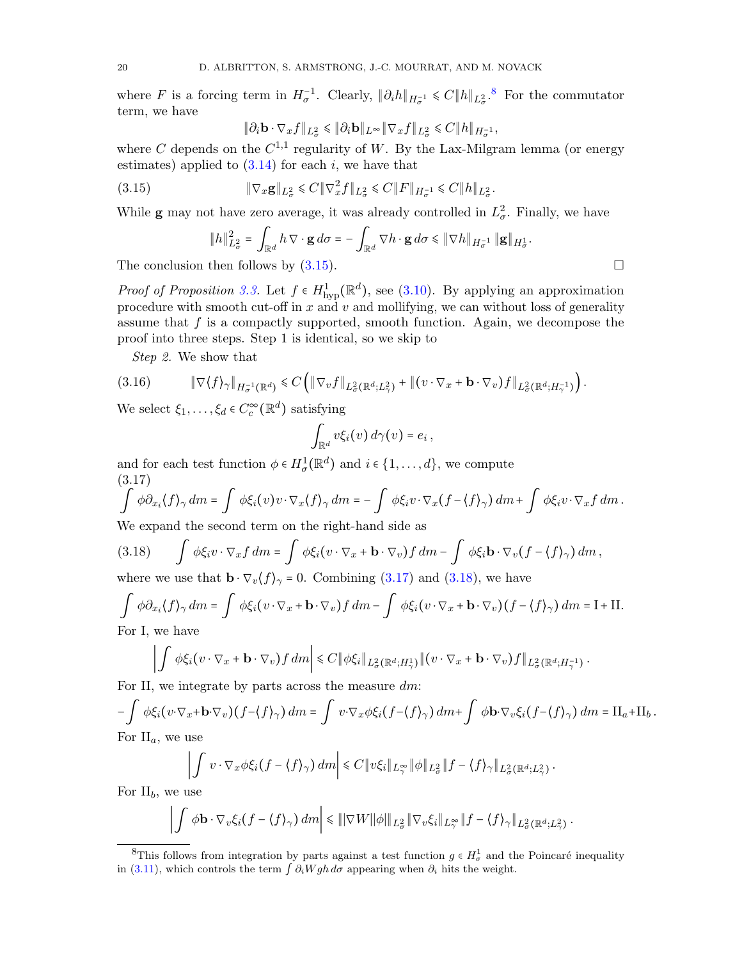where F is a forcing term in  $H_{\sigma}^{-1}$ . Clearly,  $\|\partial_i h\|_{H_{\sigma}^{-1}} \leq C \|h\|_{L_{\sigma}^2}$ .<sup>[8](#page-19-0)</sup> For the commutator term, we have

<span id="page-19-1"></span>
$$
\|\partial_i \mathbf{b} \cdot \nabla_x f\|_{L^2_{\sigma}} \le \|\partial_i \mathbf{b}\|_{L^\infty} \|\nabla_x f\|_{L^2_{\sigma}} \le C \|h\|_{H^{-1}_{\sigma}},
$$

where C depends on the  $C^{1,1}$  regularity of W. By the Lax-Milgram lemma (or energy estimates) applied to  $(3.14)$  for each i, we have that

(3.15) 
$$
\|\nabla_x \mathbf{g}\|_{L^2_{\sigma}} \leq C \|\nabla_x^2 f\|_{L^2_{\sigma}} \leq C \|F\|_{H^{-1}_{\sigma}} \leq C \|h\|_{L^2_{\sigma}}.
$$

While **g** may not have zero average, it was already controlled in  $L^2_{\sigma}$ . Finally, we have

$$
\|h\|_{L^2_{\sigma}}^2 = \int_{\mathbb{R}^d} h \nabla \cdot \mathbf{g} d\sigma = -\int_{\mathbb{R}^d} \nabla h \cdot \mathbf{g} d\sigma \le \|\nabla h\|_{H^{-1}_{\sigma}} \|\mathbf{g}\|_{H^1_{\sigma}}.
$$

The conclusion then follows by  $(3.15)$ .

*Proof of Proposition [3.3.](#page-18-0)* Let  $f \in H^1_{\text{hyp}}(\mathbb{R}^d)$ , see [\(3.10\)](#page-18-2). By applying an approximation procedure with smooth cut-off in x and v and mollifying, we can without loss of generality assume that  $f$  is a compactly supported, smooth function. Again, we decompose the proof into three steps. Step 1 is identical, so we skip to

<span id="page-19-4"></span>Step 2. We show that

$$
(3.16) \t\t\t \|\nabla \langle f \rangle_{\gamma}\|_{H_{\sigma}^{-1}(\mathbb{R}^d)} \leq C \left( \|\nabla_v f\|_{L_{\sigma}^2(\mathbb{R}^d; L_{\gamma}^2)} + \|(v \cdot \nabla_x + \mathbf{b} \cdot \nabla_v) f\|_{L_{\sigma}^2(\mathbb{R}^d; H_{\gamma}^{-1})} \right).
$$

We select  $\xi_1, \ldots, \xi_d \in C_c^{\infty}(\mathbb{R}^d)$  satisfying

<span id="page-19-2"></span>
$$
\int_{\mathbb{R}^d} v \xi_i(v) \, d\gamma(v) = e_i \,,
$$

and for each test function  $\phi \in H^1_\sigma(\mathbb{R}^d)$  and  $i \in \{1, \ldots, d\}$ , we compute (3.17)

$$
\int \phi \partial_{x_i} \langle f \rangle_{\gamma} dm = \int \phi \xi_i(v) v \cdot \nabla_x \langle f \rangle_{\gamma} dm = - \int \phi \xi_i v \cdot \nabla_x (f - \langle f \rangle_{\gamma}) dm + \int \phi \xi_i v \cdot \nabla_x f dm.
$$
  
We proved the second term on the right hand side as

We expand the second term on the right-hand side as

<span id="page-19-3"></span>(3.18) 
$$
\int \phi \xi_i v \cdot \nabla_x f dm = \int \phi \xi_i (v \cdot \nabla_x + \mathbf{b} \cdot \nabla_v) f dm - \int \phi \xi_i \mathbf{b} \cdot \nabla_v (f - \langle f \rangle_\gamma) dm,
$$

where we use that  $\mathbf{b} \cdot \nabla_v \langle f \rangle_{\gamma} = 0$ . Combining [\(3.17\)](#page-19-2) and [\(3.18\)](#page-19-3), we have

<span id="page-19-5"></span>
$$
\int \phi \partial_{x_i} \langle f \rangle_{\gamma} dm = \int \phi \xi_i (v \cdot \nabla_x + \mathbf{b} \cdot \nabla_v) f dm - \int \phi \xi_i (v \cdot \nabla_x + \mathbf{b} \cdot \nabla_v) (f - \langle f \rangle_{\gamma}) dm = I + II.
$$
  
For I, we have

For I, we have

$$
\left| \int \phi \xi_i (v \cdot \nabla_x + \mathbf{b} \cdot \nabla_v) f \, dm \right| \leq C \| \phi \xi_i \|_{L^2_{\sigma}(\mathbb{R}^d; H^1_{\gamma})} \| (v \cdot \nabla_x + \mathbf{b} \cdot \nabla_v) f \|_{L^2_{\sigma}(\mathbb{R}^d; H^{-1}_{\gamma})}.
$$

For II, we integrate by parts across the measure  $dm$ :

$$
-\int \phi \xi_i (v \cdot \nabla_x + \mathbf{b} \cdot \nabla_v) (f - \langle f \rangle_\gamma) dm = \int v \cdot \nabla_x \phi \xi_i (f - \langle f \rangle_\gamma) dm + \int \phi \mathbf{b} \cdot \nabla_v \xi_i (f - \langle f \rangle_\gamma) dm = \Pi_a + \Pi_b.
$$
  
For  $\Pi_a$ , we use

$$
\left|\int v\cdot\nabla_x\phi\xi_i(f-\langle f\rangle_\gamma)\ dm\right|\leq C\|v\xi_i\|_{L^\infty_\gamma}\|\phi\|_{L^2_\sigma}\|f-\langle f\rangle_\gamma\|_{L^2_\sigma(\mathbb{R}^d;L^2_\gamma)}.
$$

For  $II_b$ , we use

$$
\left|\int \phi \mathbf{b} \cdot \nabla_v \xi_i (f - \langle f \rangle_\gamma) dm \right| \leq \||\nabla W||\phi||_{L^2_{\sigma}} \|\nabla_v \xi_i\|_{L^\infty_\gamma} \|f - \langle f \rangle_\gamma\|_{L^2_{\sigma}(\mathbb{R}^d; L^2_\gamma)}.
$$

<span id="page-19-0"></span><sup>&</sup>lt;sup>8</sup>This follows from integration by parts against a test function  $g \in H^1_\sigma$  and the Poincaré inequality in [\(3.11\)](#page-18-5), which controls the term  $\int \partial_i Wgh d\sigma$  appearing when  $\partial_i$  hits the weight.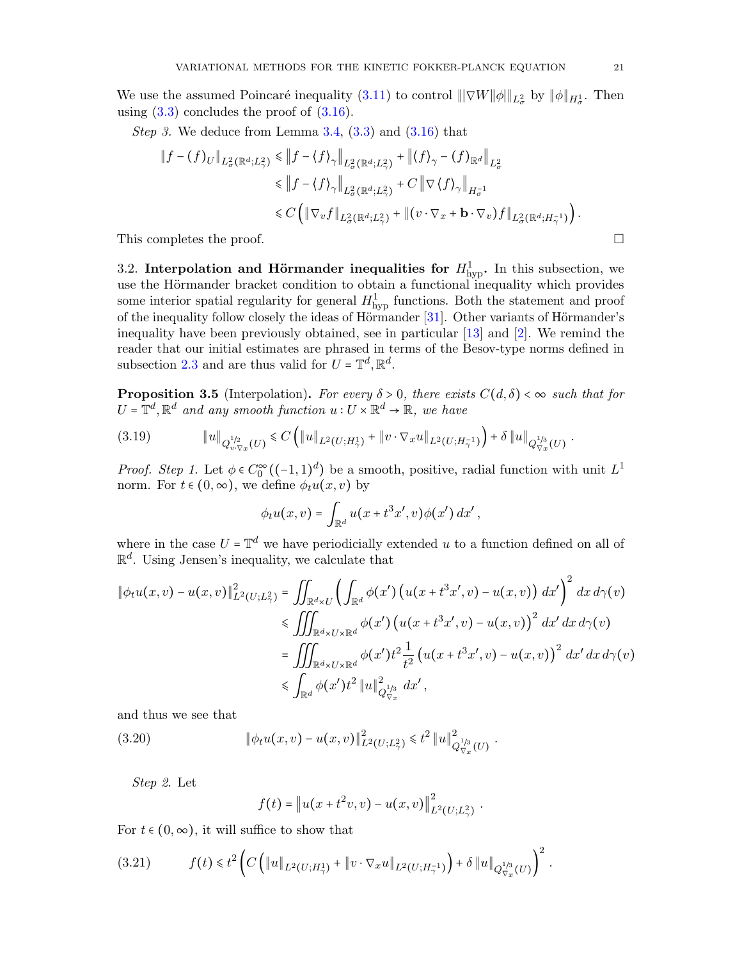We use the assumed Poincaré inequality  $(3.11)$  to control  $||\nabla W||\phi||_{L^2_{\sigma}}$  by  $||\phi||_{H^1_{\sigma}}$ . Then using  $(3.3)$  concludes the proof of  $(3.16)$ .

*Step 3.* We deduce from Lemma  $3.4$ ,  $(3.3)$  and  $(3.16)$  that

$$
\|f - (f)_U\|_{L^2_{\sigma}(\mathbb{R}^d; L^2_{\gamma})} \le \|f - \langle f \rangle_{\gamma}\|_{L^2_{\sigma}(\mathbb{R}^d; L^2_{\gamma})} + \|\langle f \rangle_{\gamma} - (f)_{\mathbb{R}^d}\|_{L^2_{\sigma}}
$$
  
\n
$$
\le \|f - \langle f \rangle_{\gamma}\|_{L^2_{\sigma}(\mathbb{R}^d; L^2_{\gamma})} + C \|\nabla \langle f \rangle_{\gamma}\|_{H^{-1}_{\sigma}}
$$
  
\n
$$
\le C \left( \|\nabla_v f\|_{L^2_{\sigma}(\mathbb{R}^d; L^2_{\gamma})} + \|(v \cdot \nabla_x + \mathbf{b} \cdot \nabla_v)f\|_{L^2_{\sigma}(\mathbb{R}^d; H^{-1}_{\gamma})} \right).
$$

This completes the proof.  $\Box$ 

<span id="page-20-0"></span>3.2. Interpolation and Hörmander inequalities for  $H_{\text{hyp}}^1$ . In this subsection, we use the Hörmander bracket condition to obtain a functional inequality which provides some interior spatial regularity for general  $H_{\text{hyp}}^1$  functions. Both the statement and proof of the inequality follow closely the ideas of Hörmander  $[31]$ . Other variants of Hörmander's inequality have been previously obtained, see in particular [\[13\]](#page-50-6) and [\[2\]](#page-50-12). We remind the reader that our initial estimates are phrased in terms of the Besov-type norms defined in subsection [2.3](#page-15-2) and are thus valid for  $U = \mathbb{T}^d, \mathbb{R}^d$ .

<span id="page-20-1"></span>**Proposition 3.5** (Interpolation). For every  $\delta > 0$ , there exists  $C(d, \delta) < \infty$  such that for  $U = \mathbb{T}^d, \mathbb{R}^d$  and any smooth function  $u: U \times \mathbb{R}^d \to \mathbb{R}$ , we have

$$
(3.19) \t\t\t \|u\|_{Q_{v,\nabla_x}^{1/2}(U)} \leq C\left(\|u\|_{L^2(U;H^1_\gamma)} + \|v\cdot\nabla_x u\|_{L^2(U;H^{-1}_\gamma)}\right) + \delta \|u\|_{Q_{\nabla_x}^{1/3}(U)}.
$$

Proof. Step 1. Let  $\phi \in C_0^{\infty}((-1,1)^d)$  be a smooth, positive, radial function with unit  $L^1$ norm. For  $t \in (0, \infty)$ , we define  $\phi_t u(x, v)$  by

$$
\phi_t u(x,v) = \int_{\mathbb{R}^d} u(x + t^3 x', v) \phi(x') dx',
$$

where in the case  $U = \mathbb{T}^d$  we have periodicially extended u to a function defined on all of  $\mathbb{R}^d$ . Using Jensen's inequality, we calculate that

$$
\begin{split} \|\phi_t u(x,v) - u(x,v)\|_{L^2(U;L^2_{\gamma})}^2 &= \iint_{\mathbb{R}^d \times U} \left( \int_{\mathbb{R}^d} \phi(x') \left( u(x + t^3 x', v) - u(x,v) \right) dx' \right)^2 dx \, d\gamma(v) \\ &\leqslant \iiint_{\mathbb{R}^d \times U \times \mathbb{R}^d} \phi(x') \left( u(x + t^3 x', v) - u(x,v) \right)^2 dx' \, dx \, d\gamma(v) \\ &= \iiint_{\mathbb{R}^d \times U \times \mathbb{R}^d} \phi(x') t^2 \frac{1}{t^2} \left( u(x + t^3 x', v) - u(x,v) \right)^2 dx' \, dx \, d\gamma(v) \\ &\leqslant \int_{\mathbb{R}^d} \phi(x') t^2 \, \|u\|_{Q_{\nabla_x}^{1/3}}^2 \, dx', \end{split}
$$

.

and thus we see that

(3.20) 
$$
\|\phi_t u(x,v) - u(x,v)\|_{L^2(U;L^2_\gamma)}^2 \leq t^2 \|u\|_{Q_{\nabla_x}^{1/3}(U)}^2
$$

Step 2. Let

$$
f(t) = \|u(x + t^2v, v) - u(x, v)\|_{L^2(U; L^2_\gamma)}^2.
$$

For  $t \in (0, \infty)$ , it will suffice to show that

$$
(3.21) \t f(t) \leq t^2 \left( C \left( \|u\|_{L^2(U;H^1_\gamma)} + \|v \cdot \nabla_x u\|_{L^2(U;H^{-1}_\gamma)} \right) + \delta \|u\|_{Q_{\nabla_x}^{1/3}(U)} \right)^2.
$$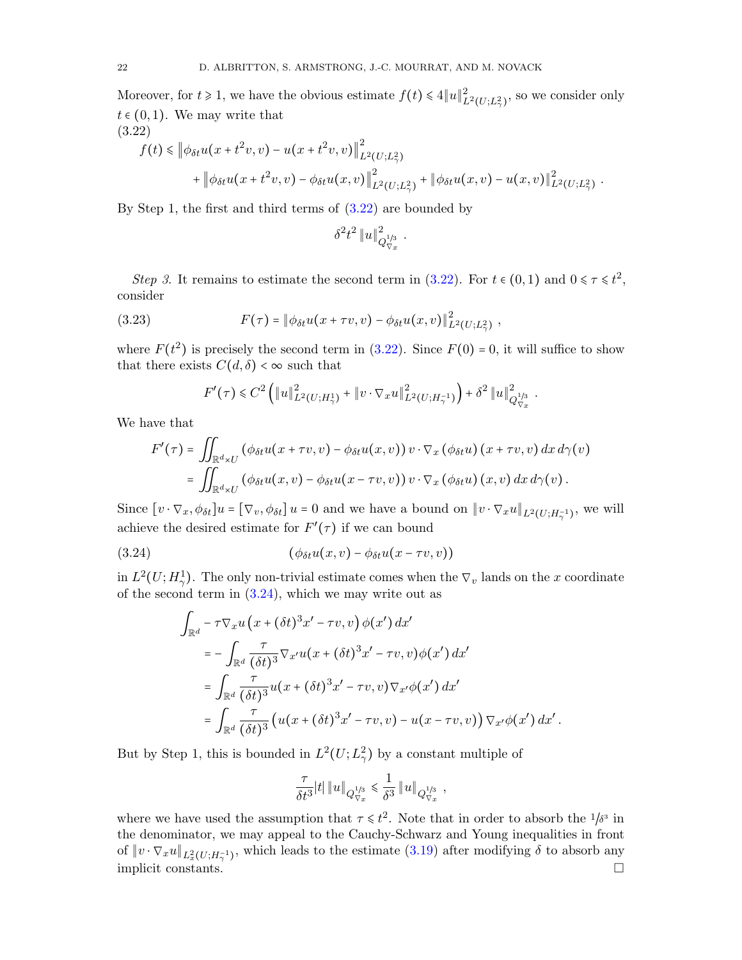Moreover, for  $t \ge 1$ , we have the obvious estimate  $f(t) \le 4||u||^2_{L^2(U;L^2_\gamma)}$ , so we consider only  $t \in (0, 1)$ . We may write that (3.22)

<span id="page-21-0"></span>
$$
f(t) \leq \left\| \phi_{\delta t} u(x + t^2 v, v) - u(x + t^2 v, v) \right\|_{L^2(U; L^2_\gamma)}^2 + \left\| \phi_{\delta t} u(x + t^2 v, v) - \phi_{\delta t} u(x, v) \right\|_{L^2(U; L^2_\gamma)}^2 + \left\| \phi_{\delta t} u(x, v) - u(x, v) \right\|_{L^2(U; L^2_\gamma)}^2.
$$

By Step 1, the first and third terms of [\(3.22\)](#page-21-0) are bounded by

$$
\delta^2 t^2 \, \|u\|_{Q_{\nabla x}^{1/3}}^2 \ .
$$

Step 3. It remains to estimate the second term in [\(3.22\)](#page-21-0). For  $t \in (0,1)$  and  $0 \le \tau \le t^2$ , consider

(3.23) 
$$
F(\tau) = \|\phi_{\delta t} u(x + \tau v, v) - \phi_{\delta t} u(x, v)\|_{L^2(U; L^2_{\gamma})}^2,
$$

where  $F(t^2)$  is precisely the second term in [\(3.22\)](#page-21-0). Since  $F(0) = 0$ , it will suffice to show that there exists  $C(d, \delta) < \infty$  such that

$$
F'(\tau) \leq C^2 \left( \|u\|_{L^2(U;H^1_\gamma)}^2 + \|v \cdot \nabla_x u\|_{L^2(U;H^{-1}_\gamma)}^2 \right) + \delta^2 \|u\|_{Q_{\nabla_x}^{1/3}}^2.
$$

We have that

$$
F'(\tau) = \iint_{\mathbb{R}^d \times U} (\phi_{\delta t} u(x + \tau v, v) - \phi_{\delta t} u(x, v)) v \cdot \nabla_x (\phi_{\delta t} u) (x + \tau v, v) dx d\gamma(v)
$$
  
= 
$$
\iint_{\mathbb{R}^d \times U} (\phi_{\delta t} u(x, v) - \phi_{\delta t} u(x - \tau v, v)) v \cdot \nabla_x (\phi_{\delta t} u) (x, v) dx d\gamma(v).
$$

Since  $[v \cdot \nabla_x, \phi_{\delta t}] u = [\nabla_v, \phi_{\delta t}] u = 0$  and we have a bound on  $||v \cdot \nabla_x u||_{L^2(U; H^{-1}_\gamma)}$ , we will achieve the desired estimate for  $F'(\tau)$  if we can bound

(3.24) 
$$
(\phi_{\delta t} u(x,v) - \phi_{\delta t} u(x-\tau v,v))
$$

in  $L^2(U; H^1)$ . The only non-trivial estimate comes when the  $\nabla_v$  lands on the x coordinate of the second term in  $(3.24)$ , which we may write out as

<span id="page-21-1"></span>
$$
\int_{\mathbb{R}^d} -\tau \nabla_x u (x + (\delta t)^3 x' - \tau v, v) \phi(x') dx'
$$
\n
$$
= -\int_{\mathbb{R}^d} \frac{\tau}{(\delta t)^3} \nabla_{x'} u(x + (\delta t)^3 x' - \tau v, v) \phi(x') dx'
$$
\n
$$
= \int_{\mathbb{R}^d} \frac{\tau}{(\delta t)^3} u(x + (\delta t)^3 x' - \tau v, v) \nabla_{x'} \phi(x') dx'
$$
\n
$$
= \int_{\mathbb{R}^d} \frac{\tau}{(\delta t)^3} (u(x + (\delta t)^3 x' - \tau v, v) - u(x - \tau v, v)) \nabla_{x'} \phi(x') dx'.
$$

But by Step 1, this is bounded in  $L^2(U; L^2_\gamma)$  by a constant multiple of

$$
\frac{\tau}{\delta t^3} |t| \left\| u \right\|_{Q_{\nabla x}^{1/3}} \leqslant \frac{1}{\delta^3} \left\| u \right\|_{Q_{\nabla x}^{1/3}} ,
$$

where we have used the assumption that  $\tau \le t^2$ . Note that in order to absorb the  $1/\delta^3$  in<br>the dependence we way appeal to the Gausey Sebware and Vaung inequalities in front the denominator, we may appeal to the Cauchy-Schwarz and Young inequalities in front of  $\|v \cdot \nabla_x u\|_{L^2_x(U;H^{-1}_\gamma)}$ , which leads to the estimate  $(3.19)$  after modifying  $\delta$  to absorb any implicit constants.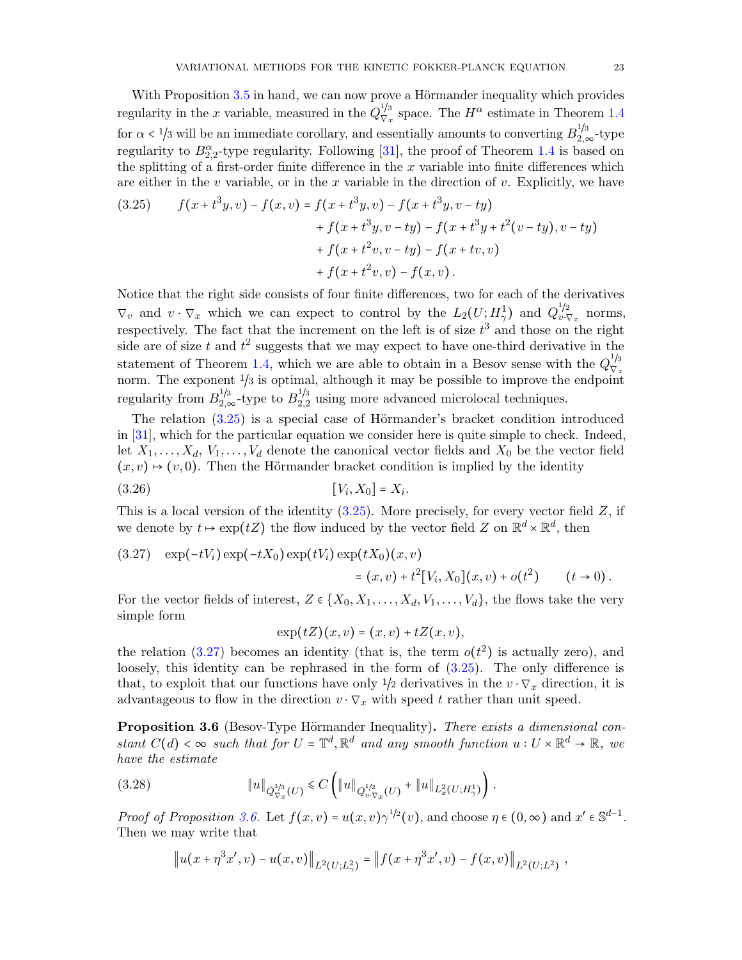With Proposition [3.5](#page-20-1) in hand, we can now prove a Hörmander inequality which provides regularity in the x variable, measured in the  $Q_{\nabla_c}^{1/3}$  space. The  $H^{\alpha}$  estimate in Theorem [1.4](#page-6-1)  $V_x$ for  $\alpha < 1/3$  will be an immediate corollary, and essentially amounts to converting  $B_{2,\infty}^{1/3}$ -type regularity to  $B_{2,2}^{\alpha}$ -type regularity. Following [\[31\]](#page-51-1), the proof of Theorem [1.4](#page-6-1) is based on the splitting of a first-order finite difference in the  $x$  variable into finite differences which are either in the v variable, or in the x variable in the direction of v. Explicitly, we have

<span id="page-22-0"></span>(3.25) 
$$
f(x+t^3y,v) - f(x,v) = f(x+t^3y,v) - f(x+t^3y,v-ty) + f(x+t^3y,v-ty) - f(x+t^3y+t^2(v-ty),v-ty) + f(x+t^2v,v-ty) - f(x+tv,v) + f(x+t^2v,v) - f(x,v).
$$

Notice that the right side consists of four finite differences, two for each of the derivatives  $\nabla_v$  and  $v \cdot \nabla_x$  which we can expect to control by the  $L_2(U; H_\gamma^1)$  and  $Q_{v,\gamma}^{1/2}$  $v \cdot \nabla_x$  norms, respectively. The fact that the increment on the left is of size  $t^3$  and those on the right side are of size t and  $t^2$  suggests that we may expect to have one-third derivative in the statement of Theorem [1.4,](#page-6-1) which we are able to obtain in a Besov sense with the  $Q_{\nabla}^{1/3}$ norm. The exponent  $\frac{1}{3}$  is optimal, although it may be possible to improve the endpoint regularity from  $B_{2,\infty}^{1/3}$ -type to  $B_{2,2}^{1/3}$  using more advanced microlocal techniques.

The relation  $(3.25)$  is a special case of Hörmander's bracket condition introduced in [\[31\]](#page-51-1), which for the particular equation we consider here is quite simple to check. Indeed, let  $X_1, \ldots, X_d, V_1, \ldots, V_d$  denote the canonical vector fields and  $X_0$  be the vector field  $(x, v) \mapsto (v, 0)$ . Then the Hörmander bracket condition is implied by the identity

$$
[V_i, X_0] = X_i.
$$

This is a local version of the identity  $(3.25)$ . More precisely, for every vector field Z, if we denote by  $t \mapsto \exp(tZ)$  the flow induced by the vector field Z on  $\mathbb{R}^d \times \mathbb{R}^d$ , then

<span id="page-22-1"></span>(3.27) 
$$
\exp(-tV_i)\exp(-tX_0)\exp(tV_i)\exp(tX_0)(x,v) = (x,v) + t^2[V_i, X_0](x,v) + o(t^2) \qquad (t \to 0).
$$

For the vector fields of interest,  $Z \in \{X_0, X_1, \ldots, X_d, V_1, \ldots, V_d\}$ , the flows take the very simple form

 $exp(tZ)(x, v) = (x, v) + tZ(x, v),$ 

the relation [\(3.27\)](#page-22-1) becomes an identity (that is, the term  $o(t^2)$  is actually zero), and loosely, this identity can be rephrased in the form of [\(3.25\)](#page-22-0). The only difference is that, to exploit that our functions have only  $1/2$  derivatives in the  $v \cdot \nabla_x$  direction, it is advantageous to flow in the direction  $v \cdot \nabla_x$  with speed t rather than unit speed.

<span id="page-22-2"></span>Proposition 3.6 (Besov-Type Hörmander Inequality). There exists a dimensional constant  $C(d) < \infty$  such that for  $U = \mathbb{T}^d$ ,  $\mathbb{R}^d$  and any smooth function  $u : U \times \mathbb{R}^d \to \mathbb{R}$ , we have the estimate

$$
(3.28) \t\t\t\t \|u\|_{Q_{\nabla_x}^{1/3}(U)} \leq C \left( \|u\|_{Q_{v\cdot\nabla_x}^{1/2}(U)} + \|u\|_{L_x^2(U;H_\gamma^1)} \right).
$$

Proof of Proposition [3.6.](#page-22-2) Let  $f(x, v) = u(x, v) \gamma^{1/2}(v)$ , and choose  $\eta \in (0, \infty)$  and  $x' \in \mathbb{S}^{d-1}$ .<br>Then we may write that Then we may write that

$$
\left\|u(x+\eta^3x',v)-u(x,v)\right\|_{L^2(U;L^2_\gamma)}=\left\|f(x+\eta^3x',v)-f(x,v)\right\|_{L^2(U;L^2)},
$$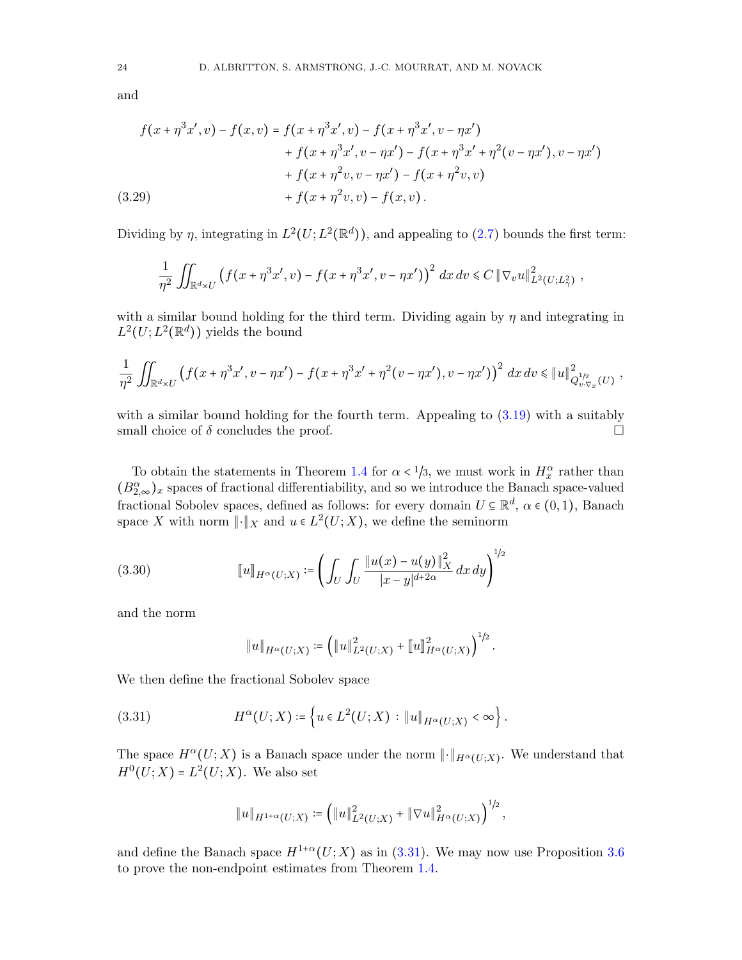and

$$
f(x + \eta^3 x', v) - f(x, v) = f(x + \eta^3 x', v) - f(x + \eta^3 x', v - \eta x')
$$
  
+ 
$$
f(x + \eta^3 x', v - \eta x') - f(x + \eta^3 x' + \eta^2 (v - \eta x'), v - \eta x')
$$
  
+ 
$$
f(x + \eta^2 v, v - \eta x') - f(x + \eta^2 v, v)
$$
  
(3.29) 
$$
+ f(x + \eta^2 v, v) - f(x, v).
$$

Dividing by  $\eta$ , integrating in  $L^2(U; L^2(\mathbb{R}^d))$ , and appealing to [\(2.7\)](#page-12-3) bounds the first term:

$$
\frac{1}{\eta^2} \iint_{\mathbb{R}^d \times U} \left( f(x + \eta^3 x', v) - f(x + \eta^3 x', v - \eta x') \right)^2 dx dv \leq C ||\nabla_v u||^2_{L^2(U; L^2_\gamma)},
$$

with a similar bound holding for the third term. Dividing again by  $\eta$  and integrating in  $L^2(U; L^2(\mathbb{R}^d))$  yields the bound

$$
\frac{1}{\eta^2} \iint_{\mathbb{R}^d \times U} \left( f(x + \eta^3 x', v - \eta x') - f(x + \eta^3 x' + \eta^2 (v - \eta x'), v - \eta x') \right)^2 dx dv \leq \|u\|_{Q_{v, \nabla x}}^2(U) ,
$$

with a similar bound holding for the fourth term. Appealing to  $(3.19)$  with a suitably small choice of  $\delta$  concludes the proof.

To obtain the statements in Theorem [1.4](#page-6-1) for  $\alpha < 1/3$ , we must work in  $H_{\alpha}^{\alpha}$  rather than  $(B_{2,\infty}^{\alpha})_x$  spaces of fractional differentiability, and so we introduce the Banach space-valued fractional Sobolev spaces, defined as follows: for every domain  $U \subseteq \mathbb{R}^d$ ,  $\alpha \in (0,1)$ , Banach space X with norm  $\lVert \cdot \rVert_X$  and  $u \in L^2(U;X)$ , we define the seminorm

(3.30) 
$$
[\![u]\!]_{H^{\alpha}(U;X)} \coloneqq \left(\int_U \int_U \frac{\|u(x) - u(y)\|_X^2}{|x - y|^{d + 2\alpha}} dx dy\right)^{1/2}
$$

and the norm

<span id="page-23-1"></span><span id="page-23-0"></span>
$$
||u||_{H^{\alpha}(U;X)} \coloneqq \left( ||u||_{L^{2}(U;X)}^{2} + ||u||_{H^{\alpha}(U;X)}^{2} \right)^{1/2}.
$$

We then define the fractional Sobolev space

(3.31) 
$$
H^{\alpha}(U;X) \coloneqq \left\{ u \in L^{2}(U;X) : \|u\|_{H^{\alpha}(U;X)} < \infty \right\}.
$$

The space  $H^{\alpha}(U;X)$  is a Banach space under the norm  $\| \cdot \|_{H^{\alpha}(U;X)}$ . We understand that  $H^0(U;X) = L^2(U;X)$ . We also set

$$
||u||_{H^{1+\alpha}(U;X)} \coloneqq \left( ||u||_{L^2(U;X)}^2 + ||\nabla u||_{H^{\alpha}(U;X)}^2 \right)^{1/2},
$$

and define the Banach space  $H^{1+\alpha}(U;X)$  as in [\(3.31\)](#page-23-1). We may now use Proposition [3.6](#page-22-2) to prove the non-endpoint estimates from Theorem [1.4.](#page-6-1)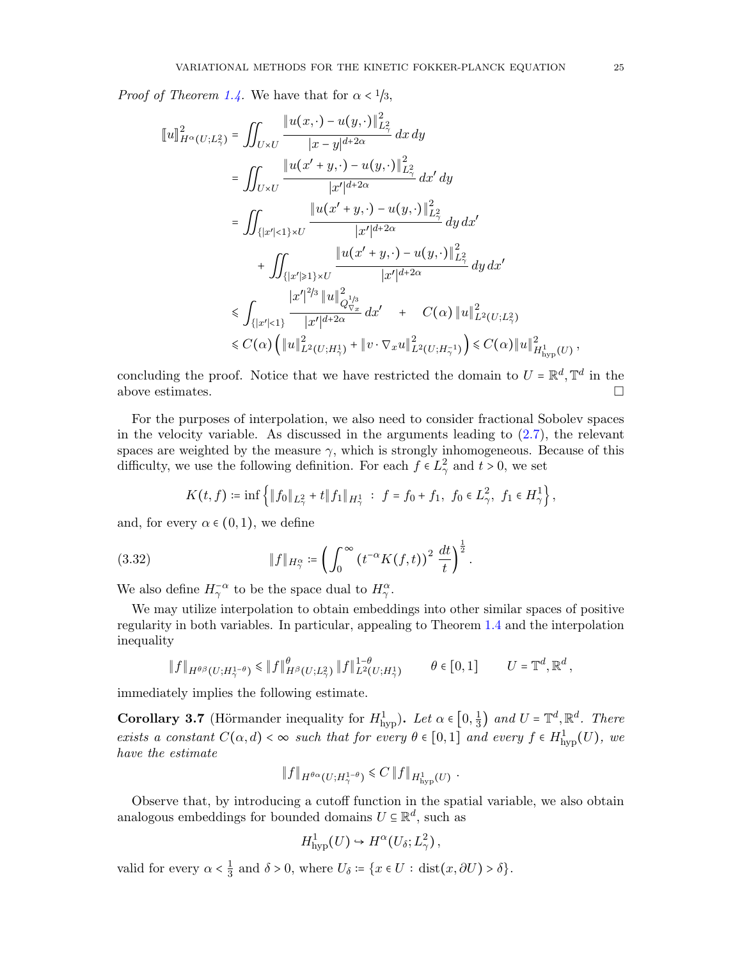*Proof of Theorem [1.4.](#page-6-1)* We have that for  $\alpha < 1/3$ ,

$$
\llbracket u \rrbracket_{H^{\alpha}(U;L^2_{\gamma})}^2 = \iint_{U \times U} \frac{\|u(x,\cdot)-u(y,\cdot)\|_{L^2_{\gamma}}^2}{|x-y|^{d+2\alpha}} dx dy \n= \iint_{U \times U} \frac{\|u(x'+y,\cdot)-u(y,\cdot)\|_{L^2_{\gamma}}^2}{|x'|^{d+2\alpha}} dx' dy \n= \iint_{\{|x'|<1\} \times U} \frac{\|u(x'+y,\cdot)-u(y,\cdot)\|_{L^2_{\gamma}}^2}{|x'|^{d+2\alpha}} dy dx' \n+ \iint_{\{|x'| \geq 1\} \times U} \frac{\|u(x'+y,\cdot)-u(y,\cdot)\|_{L^2_{\gamma}}^2}{|x'|^{d+2\alpha}} dy dx' \n\leq \int_{\{|x'|<1\}} \frac{|x'|^{2/3} \|u\|_{Q_{\nabla_x}^{1/3}}^2}{|x'|^{d+2\alpha}} dx' + C(\alpha) \|u\|_{L^2(U;L^2_{\gamma})}^2 \n\leq C(\alpha) \left( \|u\|_{L^2(U;H^1_{\gamma})}^2 + \|v \cdot \nabla_x u\|_{L^2(U;H^1_{\gamma})}^2 \right) \leq C(\alpha) \|u\|_{H_{\text{hyp}}^1(U)}^2,
$$

concluding the proof. Notice that we have restricted the domain to  $U = \mathbb{R}^d, \mathbb{T}^d$  in the above estimates.  $\Box$ 

For the purposes of interpolation, we also need to consider fractional Sobolev spaces in the velocity variable. As discussed in the arguments leading to [\(2.7\)](#page-12-3), the relevant spaces are weighted by the measure  $\gamma$ , which is strongly inhomogeneous. Because of this difficulty, we use the following definition. For each  $f \in L^2_\gamma$  and  $t > 0$ , we set

$$
K(t, f) \coloneqq \inf \left\{ \|f_0\|_{L^2_\gamma} + t \|f_1\|_{H^1_\gamma} \; : \; f = f_0 + f_1, \; f_0 \in L^2_\gamma, \; f_1 \in H^1_\gamma \right\},
$$

and, for every  $\alpha \in (0,1)$ , we define

(3.32) 
$$
\|f\|_{H^{\alpha}_{\gamma}} \coloneqq \left(\int_0^{\infty} (t^{-\alpha} K(f,t))^2 \, \frac{dt}{t}\right)^{\frac{1}{2}}.
$$

We also define  $H_{\gamma}^{-\alpha}$  to be the space dual to  $H_{\gamma}^{\alpha}$ .

We may utilize interpolation to obtain embeddings into other similar spaces of positive regularity in both variables. In particular, appealing to Theorem [1.4](#page-6-1) and the interpolation inequality

$$
\|f\|_{H^{\theta\beta}(U;H^{1-\theta}_{\gamma})}\leq \|f\|_{H^{\beta}(U;L^{2}_{\gamma})}^{\theta}\|f\|_{L^{2}(U;H^{1}_{\gamma})}^{1-\theta} \qquad \theta \in [0,1] \qquad U=\mathbb{T}^{d},\mathbb{R}^{d},
$$

immediately implies the following estimate.

<span id="page-24-0"></span>**Corollary 3.7** (Hörmander inequality for  $H_{\text{hyp}}^1$ ). Let  $\alpha \in [0, \frac{1}{3}]$  $\frac{1}{3}$  and  $U = \mathbb{T}^d, \mathbb{R}^d$ . There exists a constant  $C(\alpha, d) < \infty$  such that for every  $\theta \in [0, 1]$  and every  $f \in H^1_{\text{hyp}}(U)$ , we have the estimate

$$
||f||_{H^{\theta\alpha}(U;H^{1-\theta}_{\gamma})} \leq C ||f||_{H^1_{\text{hyp}}(U)}.
$$

Observe that, by introducing a cutoff function in the spatial variable, we also obtain analogous embeddings for bounded domains  $U \subseteq \mathbb{R}^d$ , such as

$$
H^1_{\text{hyp}}(U) \hookrightarrow H^{\alpha}(U_{\delta}; L^2_{\gamma}),
$$

valid for every  $\alpha < \frac{1}{3}$  $\frac{1}{3}$  and  $\delta > 0$ , where  $U_{\delta} \coloneqq \{x \in U : \text{dist}(x, \partial U) > \delta\}.$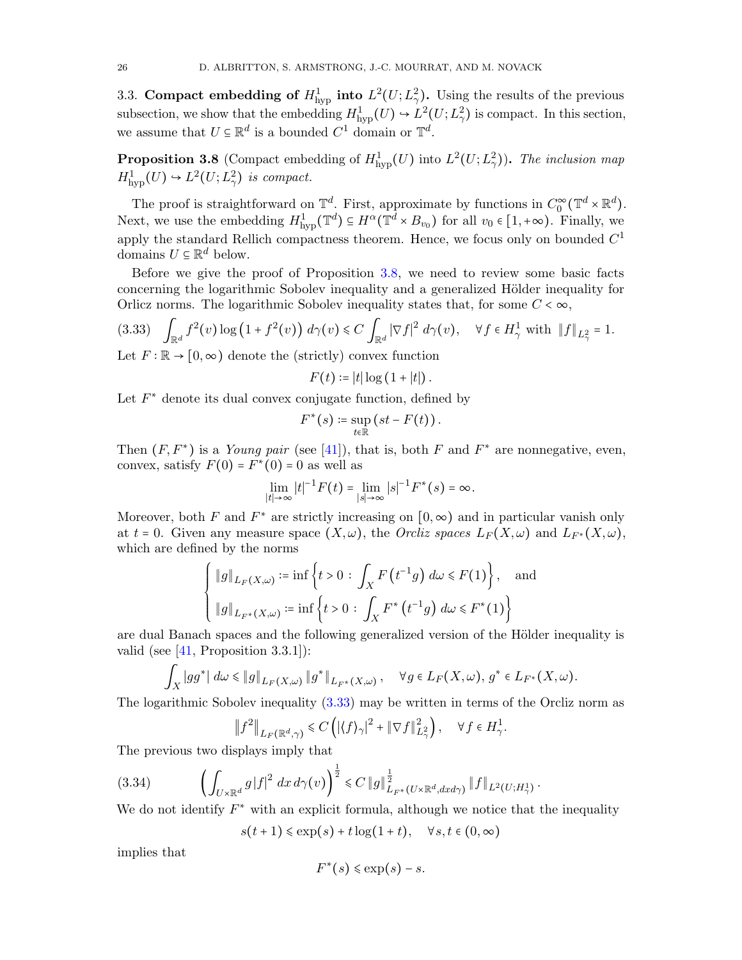3.3. Compact embedding of  $H^1_{\text{hyp}}$  into  $L^2(U; L^2_\gamma)$ . Using the results of the previous subsection, we show that the embedding  $H^1_{\text{hyp}}(U) \hookrightarrow L^2(U; L^2_\gamma)$  is compact. In this section, we assume that  $U \subseteq \mathbb{R}^d$  is a bounded  $C^1$  domain or  $\mathbb{T}^d$ .

<span id="page-25-0"></span>**Proposition 3.8** (Compact embedding of  $H^1_{\text{hyp}}(U)$  into  $L^2(U; L^2_\gamma)$ ). The inclusion map  $H^1_{\text{hyp}}(U) \hookrightarrow L^2(U; L^2_\gamma)$  is compact.

The proof is straightforward on  $\mathbb{T}^d$ . First, approximate by functions in  $C_0^{\infty}(\mathbb{T}^d \times \mathbb{R}^d)$ . Next, we use the embedding  $H^1_{\text{hyp}}(\mathbb{T}^d) \subseteq H^{\alpha}(\mathbb{T}^d \times B_{v_0})$  for all  $v_0 \in [1, +\infty)$ . Finally, we apply the standard Rellich compactness theorem. Hence, we focus only on bounded  $C<sup>1</sup>$ domains  $U \subseteq \mathbb{R}^d$  below.

Before we give the proof of Proposition [3.8,](#page-25-0) we need to review some basic facts concerning the logarithmic Sobolev inequality and a generalized Hölder inequality for Orlicz norms. The logarithmic Sobolev inequality states that, for some  $C < \infty$ ,

<span id="page-25-1"></span>
$$
(3.33) \quad \int_{\mathbb{R}^d} f^2(v) \log \left(1 + f^2(v)\right) \, d\gamma(v) \leq C \int_{\mathbb{R}^d} |\nabla f|^2 \, d\gamma(v), \quad \forall f \in H^1_\gamma \text{ with } \|f\|_{L^2_\gamma} = 1.
$$

Let  $F : \mathbb{R} \to [0, \infty)$  denote the (strictly) convex function

 $F(t) := |t| \log (1 + |t|).$ 

Let  $F^*$  denote its dual convex conjugate function, defined by

$$
F^*(s) \coloneqq \sup_{t \in \mathbb{R}} \left( st - F(t) \right).
$$

Then  $(F, F^*)$  is a *Young pair* (see [\[41\]](#page-51-25)), that is, both F and  $F^*$  are nonnegative, even, convex, satisfy  $F(0) = F^*(0) = 0$  as well as

$$
\lim_{|t|\to\infty} |t|^{-1} F(t) = \lim_{|s|\to\infty} |s|^{-1} F^*(s) = \infty.
$$

Moreover, both F and  $F^*$  are strictly increasing on  $[0, \infty)$  and in particular vanish only at t = 0. Given any measure space  $(X, \omega)$ , the *Orcliz spaces*  $L_F(X, \omega)$  and  $L_{F^*}(X, \omega)$ , which are defined by the norms

$$
\left\{\begin{aligned}\|g\|_{L_F(X,\omega)} &:= \inf\left\{t > 0 : \int_X F\left(t^{-1}g\right) d\omega \le F(1)\right\}, \quad \text{and} \\
\|g\|_{L_{F^*}(X,\omega)} &:= \inf\left\{t > 0 : \int_X F^*\left(t^{-1}g\right) d\omega \le F^*(1)\right\} \\
\text{are dual Banach spaces and the following generalized version of the Hölder inequality is}\n\end{aligned}\right.
$$

valid (see  $[41,$  Proposition 3.3.1]):

$$
\int_X |gg^*| \, d\omega \leq \|g\|_{L_F(X,\omega)} \|g^*\|_{L_{F^*}(X,\omega)}, \quad \forall g \in L_F(X,\omega), \ g^* \in L_{F^*}(X,\omega).
$$

The logarithmic Sobolev inequality [\(3.33\)](#page-25-1) may be written in terms of the Orcliz norm as

$$
\left\|f^2\right\|_{L_F(\mathbb{R}^d,\gamma)} \leq C\left(\left|\langle f\rangle_{\gamma}\right|^2 + \left\|\nabla f\right\|_{L^2_{\gamma}}^2\right), \quad \forall f \in H^1_{\gamma}.
$$

The previous two displays imply that

<span id="page-25-2"></span>
$$
(3.34) \qquad \left(\int_{U\times\mathbb{R}^d} g\,|f|^2\,dx\,d\gamma(v)\right)^{\frac{1}{2}} \leq C\,\|g\|_{L_{F^*}(U\times\mathbb{R}^d,dxd\gamma)}^{\frac{1}{2}}\,\|f\|_{L^2(U;H^1_\gamma)}\,.
$$

We do not identify  $F^*$  with an explicit formula, although we notice that the inequality

$$
s(t+1) \le \exp(s) + t \log(1+t), \quad \forall s, t \in (0, \infty)
$$

implies that

$$
F^*(s) \le \exp(s) - s.
$$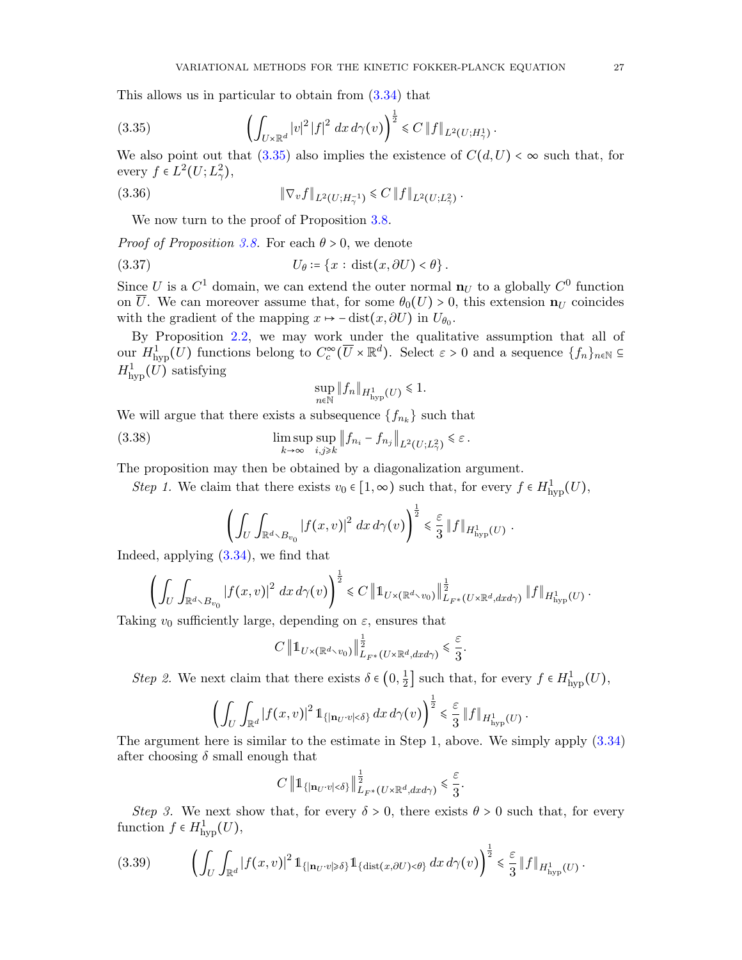This allows us in particular to obtain from [\(3.34\)](#page-25-2) that

<span id="page-26-0"></span>(3.35) 
$$
\left(\int_{U\times\mathbb{R}^d} |v|^2 |f|^2 dx d\gamma(v)\right)^{\frac{1}{2}} \leq C \|f\|_{L^2(U;H^1_\gamma)}.
$$

We also point out that  $(3.35)$  also implies the existence of  $C(d, U) < \infty$  such that, for every  $f \in L^2(U; L^2_\gamma)$ ,

(3.36) 
$$
\|\nabla_v f\|_{L^2(U;H^{-1}_\gamma)} \leq C \|f\|_{L^2(U;L^2_\gamma)}.
$$

We now turn to the proof of Proposition [3.8.](#page-25-0)

*Proof of Proposition [3.8.](#page-25-0)* For each  $\theta > 0$ , we denote

(3.37) 
$$
U_{\theta} \coloneqq \{x : \text{dist}(x, \partial U) < \theta\}.
$$

Since U is a  $C^1$  domain, we can extend the outer normal  $\mathbf{n}_U$  to a globally  $C^0$  function on  $\overline{U}$ . We can moreover assume that, for some  $\theta_0(U) > 0$ , this extension  $\mathbf{n}_U$  coincides with the gradient of the mapping  $x \mapsto -\operatorname{dist}(x, \partial U)$  in  $U_{\theta_0}$ .

By Proposition [2.2,](#page-12-2) we may work under the qualitative assumption that all of our  $H^1_{\text{hyp}}(U)$  functions belong to  $C_c^{\infty}(\overline{U} \times \mathbb{R}^d)$ . Select  $\varepsilon > 0$  and a sequence  $\{f_n\}_{n\in\mathbb{N}} \subseteq$  $H^1_{\text{hyp}}(U)$  satisfying

<span id="page-26-3"></span><span id="page-26-1"></span>
$$
\sup_{n \in \mathbb{N}} \|f_n\|_{H^1_{\text{hyp}}(U)} \leq 1.
$$

We will argue that there exists a subsequence  $\{f_{n_k}\}$  such that

(3.38) 
$$
\limsup_{k \to \infty} \sup_{i,j \geq k} \|f_{n_i} - f_{n_j}\|_{L^2(U;L^2_\gamma)} \leq \varepsilon.
$$

The proposition may then be obtained by a diagonalization argument.

Step 1. We claim that there exists  $v_0 \in [1, \infty)$  such that, for every  $f \in H^1_{\text{hyp}}(U)$ ,

$$
\left(\int_U \int_{\mathbb{R}^d \setminus B_{v_0}} |f(x,v)|^2 dx d\gamma(v)\right)^{\frac{1}{2}} \leq \frac{\varepsilon}{3} \|f\|_{H^1_{\mathrm{hyp}}(U)}
$$

.

.

Indeed, applying [\(3.34\)](#page-25-2), we find that

$$
\left(\int_U \int_{\mathbb{R}^d \setminus B_{v_0}} |f(x,v)|^2\ dx \, d\gamma(v)\right)^{\frac{1}{2}} \leq C \left\|1\!\!1_{U\times(\mathbb{R}^d \setminus v_0)}\right\|_{L_{F^*}(U\times\mathbb{R}^d,dxd\gamma)}^{\frac{1}{2}} \left\|f\right\|_{H^1_{\text{hyp}}(U)}.
$$

Taking  $v_0$  sufficiently large, depending on  $\varepsilon$ , ensures that

$$
C \left\|1_{U \times (\mathbb{R}^d \times v_0)}\right\|_{L_{F^*}(U \times \mathbb{R}^d, dx d\gamma)}^{\frac{1}{2}} \leq \frac{\varepsilon}{3}.
$$

*Step 2*. We next claim that there exists  $\delta \in (0, \frac{1}{2})$  $\frac{1}{2}$  such that, for every  $f \in H^1_{\text{hyp}}(U)$ ,

$$
\left(\int_U \int_{\mathbb{R}^d} |f(x,v)|^2 \, \mathbb{1}_{\{|{\bf n}_U \cdot v| < \delta\}} \, dx \, d\gamma(v)\right)^{\frac{1}{2}} \leq \frac{\varepsilon}{3} \, \|f\|_{H^1_{\mathrm{hyp}}(U)}
$$

The argument here is similar to the estimate in Step 1, above. We simply apply [\(3.34\)](#page-25-2) after choosing  $\delta$  small enough that

$$
C\,\bigl\|\mathbb{1}_{\{|{\mathbf n}_{U} \cdot v| < \delta\}}\bigr\|_{L_{F^*}(U \times {\mathbb R}^d,dxd\gamma)}^{\frac{1}{2}} \leqslant \frac{\varepsilon}{3}.
$$

Step 3. We next show that, for every  $\delta > 0$ , there exists  $\theta > 0$  such that, for every function  $f \in H^1_{\text{hyp}}(U)$ ,

<span id="page-26-2"></span>
$$
(3.39) \qquad \left(\int_{U}\int_{\mathbb{R}^{d}}\left|f(x,v)\right|^{2}1_{\left\{\left|\mathbf{n}_{U}\cdot v\right|\geqslant\delta\right\}}1_{\left\{\text{dist}(x,\partial U)<\theta\right\}}\,dx\,d\gamma(v)\right)^{\frac{1}{2}}\leqslant\frac{\varepsilon}{3}\left\|f\right\|_{H_{\mathrm{hyp}}^{1}(U)}.
$$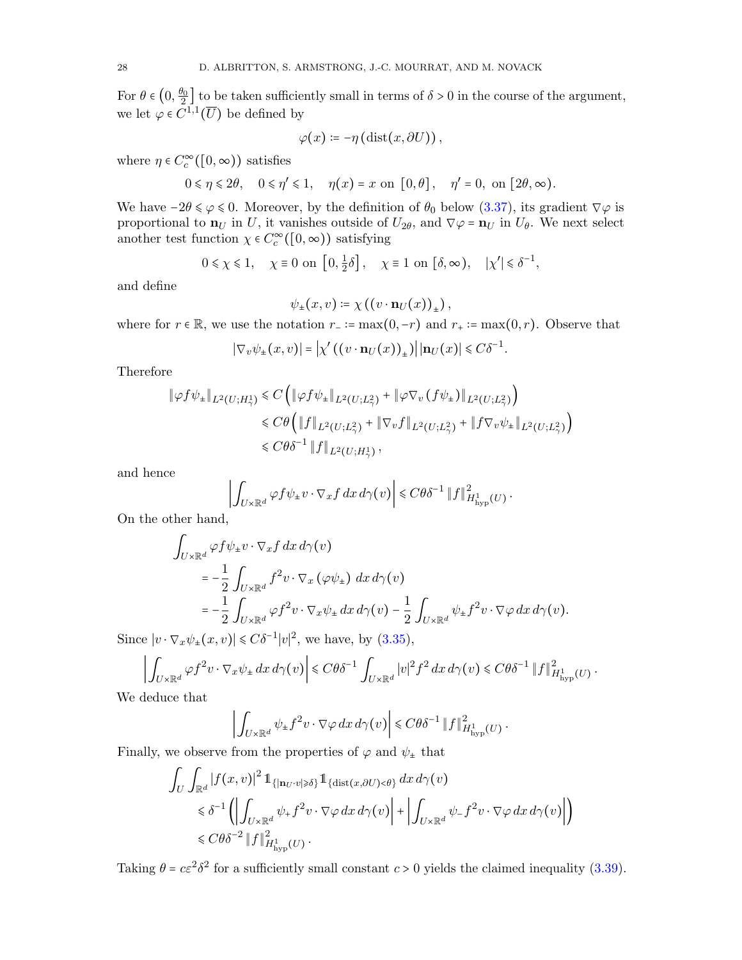For  $\theta \in (0, \frac{\theta_0}{2}]$  to be taken sufficiently small in terms of  $\delta > 0$  in the course of the argument, we let  $\varphi \in C^{1,1}(\overline{U})$  be defined by

$$
\varphi(x) \coloneqq -\eta\left(\mathrm{dist}(x,\partial U)\right),\,
$$

where  $\eta \in C_c^{\infty}([0, \infty))$  satisfies

$$
0 \leq \eta \leq 2\theta, \quad 0 \leq \eta' \leq 1, \quad \eta(x) = x \text{ on } [0, \theta], \quad \eta' = 0, \text{ on } [2\theta, \infty).
$$

We have  $-2\theta \le \varphi \le 0$ . Moreover, by the definition of  $\theta_0$  below [\(3.37\)](#page-26-1), its gradient  $\nabla \varphi$  is proportional to  $\mathbf{n}_U$  in U, it vanishes outside of  $U_{2\theta}$ , and  $\nabla \varphi = \mathbf{n}_U$  in  $U_{\theta}$ . We next select another test function  $\chi \in C_c^{\infty}([0, \infty))$  satisfying

$$
0 \le \chi \le 1
$$
,  $\chi \equiv 0$  on  $[0, \frac{1}{2}\delta]$ ,  $\chi \equiv 1$  on  $[\delta, \infty)$ ,  $|\chi'| \le \delta^{-1}$ ,

and define

$$
\psi_{\pm}(x,v)\coloneqq \chi\left(\left(v\cdot \mathbf{n}_U(x)\right)_{\pm}\right),\,
$$

where for  $r \in \mathbb{R}$ , we use the notation  $r_-\coloneq \max(0,-r)$  and  $r_+\coloneq \max(0,r)$ . Observe that

$$
|\nabla_v \psi_{\pm}(x,v)| = \left|\chi'\left(\left(v \cdot \mathbf{n}_U(x)\right)_{\pm}\right)\right| |\mathbf{n}_U(x)| \leq C\delta^{-1}
$$

.

Therefore

$$
\|\varphi f \psi_{\pm}\|_{L^{2}(U;H^{1}_{\gamma})} \leq C \left( \|\varphi f \psi_{\pm}\|_{L^{2}(U;L^{2}_{\gamma})} + \|\varphi \nabla_{v} (f \psi_{\pm})\|_{L^{2}(U;L^{2}_{\gamma})} \right)
$$
  

$$
\leq C \theta \left( \|f\|_{L^{2}(U;L^{2}_{\gamma})} + \|\nabla_{v} f\|_{L^{2}(U;L^{2}_{\gamma})} + \|f \nabla_{v} \psi_{\pm}\|_{L^{2}(U;L^{2}_{\gamma})} \right)
$$
  

$$
\leq C \theta \delta^{-1} \|f\|_{L^{2}(U;H^{1}_{\gamma})},
$$

and hence

$$
\left| \int_{U\times\mathbb{R}^d} \varphi f \psi_{\pm} v \cdot \nabla_x f \, dx \, d\gamma(v) \right| \leq C \theta \delta^{-1} \|f\|_{H^1_{\mathrm{hyp}}(U)}^2.
$$

On the other hand,

$$
\int_{U\times\mathbb{R}^d} \varphi f \psi_{\pm} v \cdot \nabla_x f \, dx \, d\gamma(v)
$$
\n
$$
= -\frac{1}{2} \int_{U\times\mathbb{R}^d} f^2 v \cdot \nabla_x \left(\varphi \psi_{\pm}\right) \, dx \, d\gamma(v)
$$
\n
$$
= -\frac{1}{2} \int_{U\times\mathbb{R}^d} \varphi f^2 v \cdot \nabla_x \psi_{\pm} \, dx \, d\gamma(v) - \frac{1}{2} \int_{U\times\mathbb{R}^d} \psi_{\pm} f^2 v \cdot \nabla \varphi \, dx \, d\gamma(v).
$$

Since  $|v \cdot \nabla_x \psi_{\pm}(x, v)| \leq C \delta^{-1} |v|^2$ , we have, by [\(3.35\)](#page-26-0),

$$
\left| \int_{U\times\mathbb{R}^d} \varphi f^2 v\cdot \nabla_x \psi_{\pm} \, dx \, d\gamma(v) \right| \leq C \theta \delta^{-1} \int_{U\times\mathbb{R}^d} |v|^2 f^2 \, dx \, d\gamma(v) \leq C \theta \delta^{-1} \|f\|_{H^1_{\mathrm{hyp}}(U)}^2.
$$

We deduce that

$$
\left| \int_{U\times\mathbb{R}^d} \psi_{\pm} f^2 v \cdot \nabla \varphi \, dx \, d\gamma(v) \right| \leqslant C\theta \delta^{-1} \left\| f \right\|_{H^1_{\mathrm{hyp}}(U)}^2.
$$

Finally, we observe from the properties of  $\varphi$  and  $\psi_{\pm}$  that

$$
\int_{U} \int_{\mathbb{R}^{d}} |f(x,v)|^{2} \mathbb{1}_{\{|{\bf n}_{U} \cdot v| \geq \delta\}} \mathbb{1}_{\{\text{dist}(x,\partial U) < \theta\}} dx d\gamma(v)
$$
\n
$$
\leq \delta^{-1} \left( \left| \int_{U \times \mathbb{R}^{d}} \psi_{+} f^{2} v \cdot \nabla \varphi dx d\gamma(v) \right| + \left| \int_{U \times \mathbb{R}^{d}} \psi_{-} f^{2} v \cdot \nabla \varphi dx d\gamma(v) \right| \right)
$$
\n
$$
\leq C \theta \delta^{-2} \|f\|_{H^{1}_{\text{hyp}}(U)}^{2}.
$$

Taking  $\theta = c\varepsilon^2 \delta^2$  for a sufficiently small constant  $c > 0$  yields the claimed inequality [\(3.39\)](#page-26-2).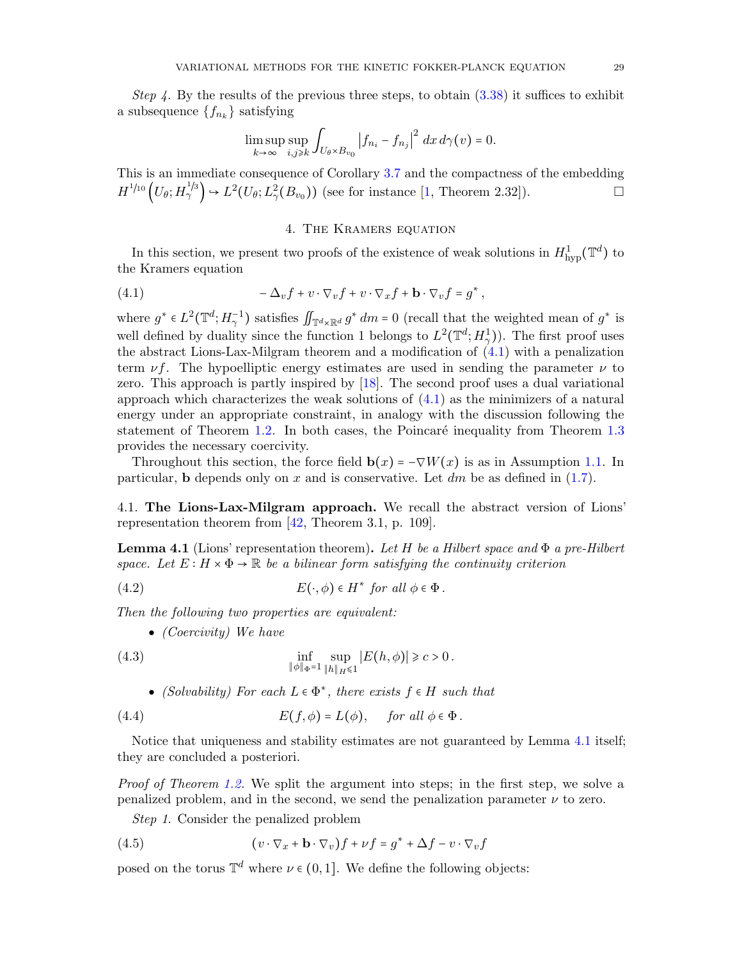Step 4. By the results of the previous three steps, to obtain  $(3.38)$  it suffices to exhibit a subsequence  $\{f_{n_k}\}$  satisfying

$$
\limsup_{k \to \infty} \sup_{i,j \geq k} \int_{U_{\theta} \times B_{v_0}} \left| f_{n_i} - f_{n_j} \right|^2 dx d\gamma(v) = 0.
$$

This is an immediate consequence of Corollary [3.7](#page-24-0) and the compactness of the embedding  $H^{1/10}(\mathbb{U}_{\theta}; H^{1/3}_{\gamma}) \hookrightarrow L^2(\mathbb{U}_{\theta}; L^2_{\gamma}(\mathcal{B}_{v_0}))$  (see for instance [\[1,](#page-50-19) Theorem 2.32]).

## <span id="page-28-1"></span>4. The Kramers equation

<span id="page-28-0"></span>In this section, we present two proofs of the existence of weak solutions in  $H^1_{\text{hyp}}(\mathbb{T}^d)$  to the Kramers equation

(4.1) 
$$
-\Delta_v f + v \cdot \nabla_v f + v \cdot \nabla_x f + \mathbf{b} \cdot \nabla_v f = g^*,
$$

where  $g^* \in L^2(\mathbb{T}^d; H_\gamma^{-1})$  satisfies  $\iint_{\mathbb{T}^d \times \mathbb{R}^d} g^* dm = 0$  (recall that the weighted mean of  $g^*$  is well defined by duality since the function 1 belongs to  $L^2(\mathbb{T}^d; H_2^1)$ . The first proof uses the abstract Lions-Lax-Milgram theorem and a modification of [\(4.1\)](#page-28-1) with a penalization term  $\nu f$ . The hypoelliptic energy estimates are used in sending the parameter  $\nu$  to zero. This approach is partly inspired by [\[18\]](#page-50-2). The second proof uses a dual variational approach which characterizes the weak solutions of  $(4.1)$  as the minimizers of a natural energy under an appropriate constraint, in analogy with the discussion following the statement of Theorem  $1.2$ . In both cases, the Poincaré inequality from Theorem  $1.3$ provides the necessary coercivity.

Throughout this section, the force field  $\mathbf{b}(x) = -\nabla W(x)$  is as in Assumption [1.1.](#page-4-1) In particular, **b** depends only on x and is conservative. Let  $dm$  be as defined in [\(1.7\)](#page-4-4).

4.1. The Lions-Lax-Milgram approach. We recall the abstract version of Lions' representation theorem from [\[42,](#page-51-26) Theorem 3.1, p. 109].

<span id="page-28-2"></span>**Lemma 4.1** (Lions' representation theorem). Let H be a Hilbert space and  $\Phi$  a pre-Hilbert space. Let  $E: H \times \Phi \to \mathbb{R}$  be a bilinear form satisfying the continuity criterion

(4.2) 
$$
E(\cdot,\phi) \in H^* \text{ for all } \phi \in \Phi.
$$

Then the following two properties are equivalent:

<span id="page-28-4"></span><span id="page-28-3"></span> $\bullet$  (Coercivity) We have

(4.3) 
$$
\inf_{\|\phi\|_{\Phi} = 1} \sup_{\|h\|_{H} \le 1} |E(h, \phi)| \ge c > 0.
$$

<span id="page-28-5"></span>• (Solvability) For each  $L \in \Phi^*$ , there exists  $f \in H$  such that

(4.4) 
$$
E(f,\phi) = L(\phi), \quad \text{for all } \phi \in \Phi.
$$

Notice that uniqueness and stability estimates are not guaranteed by Lemma [4.1](#page-28-2) itself; they are concluded a posteriori.

Proof of Theorem [1.2.](#page-5-0) We split the argument into steps; in the first step, we solve a penalized problem, and in the second, we send the penalization parameter  $\nu$  to zero.

<span id="page-28-6"></span>Step 1. Consider the penalized problem

(4.5) 
$$
(v \cdot \nabla_x + \mathbf{b} \cdot \nabla_v) f + \nu f = g^* + \Delta f - v \cdot \nabla_v f
$$

posed on the torus  $\mathbb{T}^d$  where  $\nu \in (0,1]$ . We define the following objects: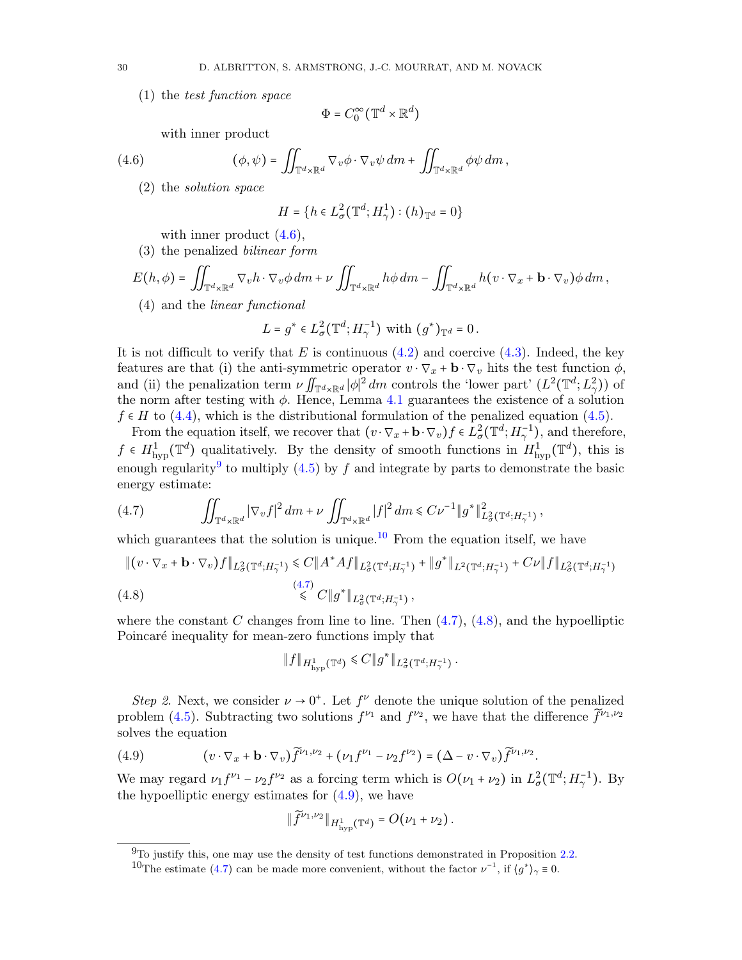(1) the test function space

<span id="page-29-0"></span>
$$
\Phi = C_0^{\infty}(\mathbb{T}^d \times \mathbb{R}^d)
$$

with inner product

(4.6) 
$$
(\phi, \psi) = \iint_{\mathbb{T}^d \times \mathbb{R}^d} \nabla_v \phi \cdot \nabla_v \psi \, dm + \iint_{\mathbb{T}^d \times \mathbb{R}^d} \phi \psi \, dm,
$$

(2) the solution space

<span id="page-29-3"></span>
$$
H = \{ h \in L^2_{\sigma}(\mathbb{T}^d; H^1_{\gamma}) : (h)_{\mathbb{T}^d} = 0 \}
$$

with inner product  $(4.6)$ ,

(3) the penalized bilinear form

$$
E(h,\phi) = \iint_{\mathbb{T}^d \times \mathbb{R}^d} \nabla_v h \cdot \nabla_v \phi \, dm + \nu \iint_{\mathbb{T}^d \times \mathbb{R}^d} h \phi \, dm - \iint_{\mathbb{T}^d \times \mathbb{R}^d} h(v \cdot \nabla_x + \mathbf{b} \cdot \nabla_v) \phi \, dm,
$$
\n(4) and the *linear functional*

$$
L = g^* \in L^2_{\sigma}(\mathbb{T}^d; H^{-1}_{\gamma}) \text{ with } (g^*)_{\mathbb{T}^d} = 0.
$$

It is not difficult to verify that E is continuous  $(4.2)$  and coercive  $(4.3)$ . Indeed, the key features are that (i) the anti-symmetric operator  $v \cdot \nabla_x + \mathbf{b} \cdot \nabla_v$  hits the test function  $\phi$ , and (ii) the penalization term  $\nu \iint_{\mathbb{T}^d \times \mathbb{R}^d} |\phi|^2 dm$  controls the 'lower part'  $(L^2(\mathbb{T}^d; L^2_{\gamma}))$  of<br>the norm after testing with  $\phi$ . Hence, Lemma 4.1 guarantees the existence of a solution the norm after testing with  $\phi$ . Hence, Lemma [4.1](#page-28-2) guarantees the existence of a solution  $f \in H$  to [\(4.4\)](#page-28-5), which is the distributional formulation of the penalized equation [\(4.5\)](#page-28-6).

From the equation itself, we recover that  $(v \cdot \nabla_x + \mathbf{b} \cdot \nabla_v) f \in L^2_{\sigma}(\mathbb{T}^d; H^{-1}_{\gamma}),$  and therefore,  $f \in H^1_{\text{hyp}}(\mathbb{T}^d)$  qualitatively. By the density of smooth functions in  $H^1_{\text{hyp}}(\mathbb{T}^d)$ , this is enough regularity<sup>[9](#page-29-1)</sup> to multiply  $(4.5)$  by f and integrate by parts to demonstrate the basic energy estimate:

$$
(4.7) \qquad \iint_{\mathbb{T}^d \times \mathbb{R}^d} |\nabla_v f|^2 \, dm + \nu \iint_{\mathbb{T}^d \times \mathbb{R}^d} |f|^2 \, dm \leq C \nu^{-1} \|g^*\|_{L^2_{\sigma}(\mathbb{T}^d; H^{-1}_{\gamma})}^2,
$$

which guarantees that the solution is unique.<sup>[10](#page-29-2)</sup> From the equation itself, we have

<span id="page-29-4"></span>
$$
\|(v \cdot \nabla_x + \mathbf{b} \cdot \nabla_v)f\|_{L^2_{\sigma}(\mathbb{T}^d; H^{-1}_{\gamma})} \leq C \|A^* A f\|_{L^2_{\sigma}(\mathbb{T}^d; H^{-1}_{\gamma})} + \|g^*\|_{L^2(\mathbb{T}^d; H^{-1}_{\gamma})} + C\nu \|f\|_{L^2_{\sigma}(\mathbb{T}^d; H^{-1}_{\gamma})}
$$
\n
$$
\leq C \|g^*\|_{L^2_{\sigma}(\mathbb{T}^d; H^{-1}_{\gamma})},
$$
\n(4.8)

where the constant C changes from line to line. Then  $(4.7)$ ,  $(4.8)$ , and the hypoelliptic Poincaré inequality for mean-zero functions imply that

<span id="page-29-5"></span>
$$
||f||_{H^1_{\text{hyp}}(\mathbb{T}^d)} \leq C||g^*||_{L^2_{\sigma}(\mathbb{T}^d; H^{-1}_{\gamma})}.
$$

Step 2. Next, we consider  $\nu \to 0^+$ . Let  $f^{\nu}$  denote the unique solution of the penalized problem [\(4.5\)](#page-28-6). Subtracting two solutions  $f^{\nu_1}$  and  $f^{\nu_2}$ , we have that the difference  $\tilde{f}^{\nu_1,\nu_2}$ solves the equation

(4.9) 
$$
(v \cdot \nabla_x + \mathbf{b} \cdot \nabla_v) \widetilde{f}^{\nu_1, \nu_2} + (\nu_1 f^{\nu_1} - \nu_2 f^{\nu_2}) = (\Delta - v \cdot \nabla_v) \widetilde{f}^{\nu_1, \nu_2}.
$$

We may regard  $\nu_1 f^{\nu_1} - \nu_2 f^{\nu_2}$  as a forcing term which is  $O(\nu_1 + \nu_2)$  in  $L^2_{\sigma}(\mathbb{T}^d; H^{-1}_{\gamma})$ . By the hypoelliptic energy estimates for  $(4.9)$ , we have

$$
\|\widetilde{f}^{\nu_1,\nu_2}\|_{H^1_{\mathrm{hyp}}(\mathbb{T}^d)}=O(\nu_1+\nu_2).
$$

<span id="page-29-1"></span> $9$ To justify this, one may use the density of test functions demonstrated in Proposition [2.2.](#page-12-2)

<span id="page-29-2"></span><sup>&</sup>lt;sup>10</sup>The estimate [\(4.7\)](#page-29-3) can be made more convenient, without the factor  $\nu^{-1}$ , if  $\langle g^* \rangle_{\gamma} \equiv 0$ .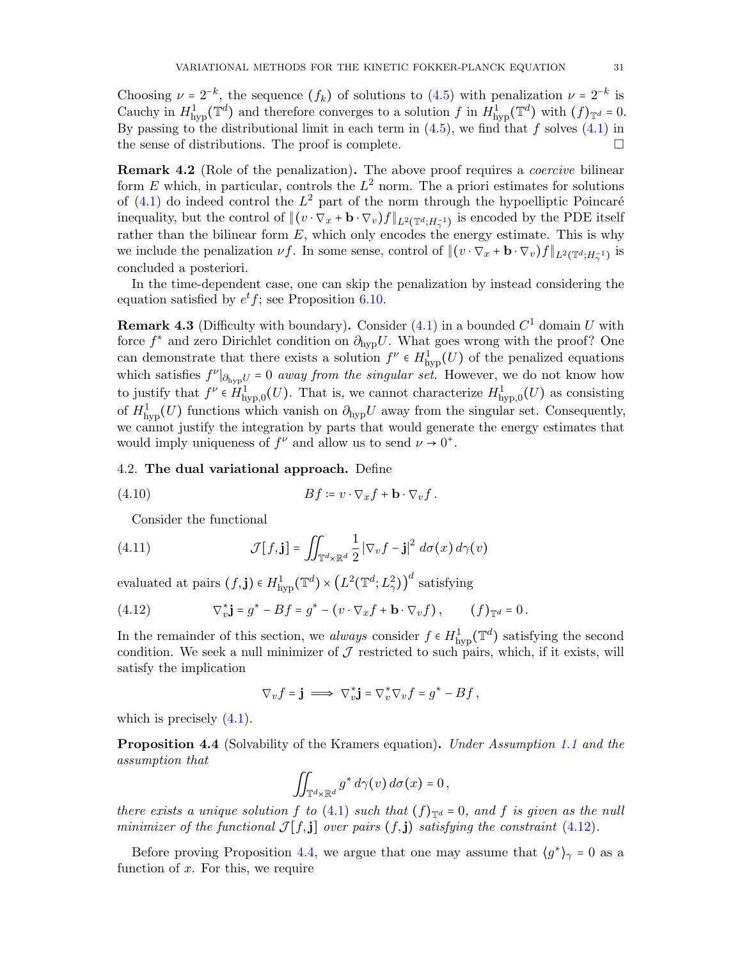Choosing  $\nu = 2^{-k}$ , the sequence  $(f_k)$  of solutions to  $(4.5)$  with penalization  $\nu = 2^{-k}$  is  $G_{\text{scale}}(f)$  and therefore converges to a solution  $f_{\text{time}}(f)$  ( $\pi d$ ) with  $(f)$  and Cauchy in  $H^1_{\text{hyp}}(\mathbb{T}^d)$  and therefore converges to a solution f in  $H^1_{\text{hyp}}(\mathbb{T}^d)$  with  $(f)_{\mathbb{T}^d} = 0$ . By passing to the distributional limit in each term in  $(4.5)$ , we find that f solves  $(4.1)$  in the sense of distributions. The proof is complete.

**Remark 4.2** (Role of the penalization). The above proof requires a *coercive* bilinear form E which, in particular, controls the  $L^2$  norm. The a priori estimates for solutions of  $(4.1)$  do indeed control the  $L^2$  part of the norm through the hypoelliptic Poincaré inequality, but the control of  $\|(v \cdot \nabla_x + \mathbf{b} \cdot \nabla_v)f\|_{L^2(\mathbb{T}^d; H_\gamma^{-1})}$  is encoded by the PDE itself rather than the bilinear form  $E$ , which only encodes the energy estimate. This is why we include the penalization  $\nu f$ . In some sense, control of  $\|(v \cdot \nabla_x + \mathbf{b} \cdot \nabla_v)f\|_{L^2(\mathbb{T}^d; H_\gamma^{-1})}$  is concluded a posteriori.

In the time-dependent case, one can skip the penalization by instead considering the equation satisfied by  $e^t f$ ; see Proposition [6.10.](#page-46-0)

<span id="page-30-0"></span>**Remark 4.3** (Difficulty with boundary). Consider  $(4.1)$  in a bounded  $C<sup>1</sup>$  domain U with force  $f^*$  and zero Dirichlet condition on  $\partial_{\rm hyp}U$ . What goes wrong with the proof? One can demonstrate that there exists a solution  $f^{\nu} \in H^1_{\text{hyp}}(U)$  of the penalized equations which satisfies  $f^{\nu}|_{\partial_{\text{hyp}}U} = 0$  away from the singular set. However, we do not know how to justify that  $f^{\nu} \in H^1_{\text{hyp},0}(U)$ . That is, we cannot characterize  $H^1_{\text{hyp},0}(U)$  as consisting of  $H^1_{\text{hyp}}(U)$  functions which vanish on  $\partial_{\text{hyp}}U$  away from the singular set. Consequently, we cannot justify the integration by parts that would generate the energy estimates that would imply uniqueness of  $f^{\nu}$  and allow us to send  $\nu \to 0^+$ .

#### 4.2. The dual variational approach. Define

(4.10) 
$$
Bf := v \cdot \nabla_x f + \mathbf{b} \cdot \nabla_v f.
$$

<span id="page-30-3"></span>Consider the functional

(4.11) 
$$
\mathcal{J}[f, \mathbf{j}] = \iint_{\mathbb{T}^d \times \mathbb{R}^d} \frac{1}{2} |\nabla_v f - \mathbf{j}|^2 d\sigma(x) d\gamma(v)
$$

evaluated at pairs  $(f, \mathbf{j}) \in H^1_{\text{hyp}}(\mathbb{T}^d) \times (L^2(\mathbb{T}^d; L^2_{\gamma}))$ d satisfying

<span id="page-30-1"></span>(4.12) 
$$
\nabla_v^* \mathbf{j} = g^* - Bf = g^* - (v \cdot \nabla_x f + \mathbf{b} \cdot \nabla_v f), \qquad (f)_{\mathbb{T}^d} = 0.
$$

In the remainder of this section, we always consider  $f \in H^1_{\text{hyp}}(\mathbb{T}^d)$  satisfying the second condition. We seek a null minimizer of  $\mathcal J$  restricted to such pairs, which, if it exists, will satisfy the implication

$$
\nabla_v f = \mathbf{j} \implies \nabla_v^* \mathbf{j} = \nabla_v^* \nabla_v f = g^* - Bf,
$$

which is precisely  $(4.1)$ .

<span id="page-30-2"></span>**Proposition 4.4** (Solvability of the Kramers equation). Under Assumption [1.1](#page-4-1) and the assumption that

$$
\iint_{\mathbb{T}^d\times\mathbb{R}^d} g^* d\gamma(v) d\sigma(x) = 0,
$$

there exists a unique solution f to [\(4.1\)](#page-28-1) such that  $(f)_{\mathbb{T}^d} = 0$ , and f is given as the null minimizer of the functional  $\mathcal{J}[f, j]$  over pairs  $(f, j)$  satisfying the constraint [\(4.12\)](#page-30-1).

Before proving Proposition [4.4,](#page-30-2) we argue that one may assume that  $\langle g^* \rangle_{\gamma} = 0$  as a action of  $x$ . For this we require function of  $x$ . For this, we require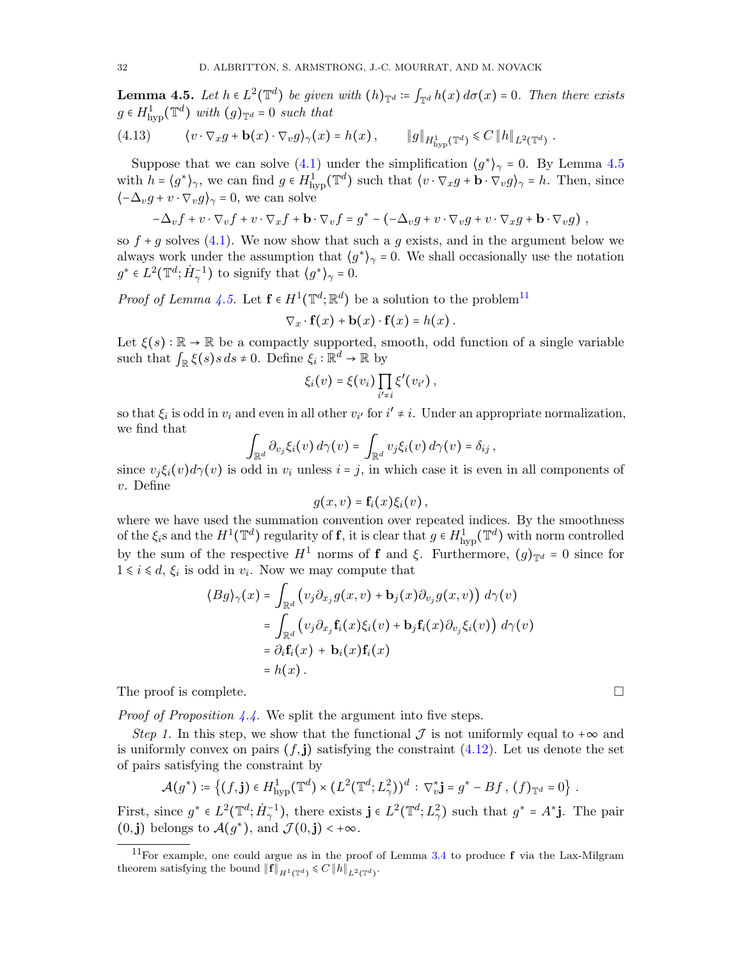<span id="page-31-0"></span>**Lemma 4.5.** Let  $h \in L^2(\mathbb{T}^d)$  be given with  $(h)_{\mathbb{T}^d} \coloneqq \int_{\mathbb{T}^d} h(x) d\sigma(x) = 0$ . Then there exists  $a \in H^1$  ( $\mathbb{T}^d$ ) with  $(a) = 0$  such that  $g \in H^1_{\text{hyp}}(\mathbb{T}^d)$  with  $(g)_{\mathbb{T}^d} = 0$  such that

(4.13) 
$$
\langle v \cdot \nabla_x g + \mathbf{b}(x) \cdot \nabla_v g \rangle_{\gamma}(x) = h(x), \qquad \|g\|_{H^1_{\text{hyp}}(\mathbb{T}^d)} \leq C \|h\|_{L^2(\mathbb{T}^d)}.
$$

Suppose that we can solve  $(4.1)$  under the simplification  $\langle g^* \rangle_{\gamma} = 0$ . By Lemma [4.5](#page-31-0) with  $h = \langle g^* \rangle_{\gamma}$ , we can find  $g \in H^1_{\text{hyp}}(\mathbb{T}^d)$  such that  $\langle v \cdot \nabla_x g + \mathbf{b} \cdot \nabla_v g \rangle_{\gamma} = h$ . Then, since  $\langle -\Delta_v g + v \cdot \nabla_v g \rangle_\gamma = 0$ , we can solve

$$
-\Delta_v f + v \cdot \nabla_v f + v \cdot \nabla_x f + \mathbf{b} \cdot \nabla_v f = g^* - (-\Delta_v g + v \cdot \nabla_v g + v \cdot \nabla_x g + \mathbf{b} \cdot \nabla_v g),
$$

so  $f + g$  solves [\(4.1\)](#page-28-1). We now show that such a g exists, and in the argument below we always work under the assumption that  $\langle g^* \rangle_{\gamma} = 0$ . We shall occasionally use the notation  $g^* \in L^2(\mathbb{T}^d; \dot{H}_{\gamma}^{-1})$  to signify that  $\langle g^* \rangle_{\gamma} = 0$ .

*Proof of Lemma [4.5.](#page-31-0)* Let  $f \in H^1(\mathbb{T}^d; \mathbb{R}^d)$  be a solution to the problem<sup>[11](#page-31-1)</sup>

$$
\nabla_x \cdot \mathbf{f}(x) + \mathbf{b}(x) \cdot \mathbf{f}(x) = h(x).
$$

Let  $\xi(s)$ :  $\mathbb{R} \to \mathbb{R}$  be a compactly supported, smooth, odd function of a single variable such that  $\int_{\mathbb{R}} \xi(s) s ds \neq 0$ . Define  $\xi_i : \mathbb{R}^d \to \mathbb{R}$  by

$$
\xi_i(v) = \xi(v_i) \prod_{i' \neq i} \xi'(v_{i'}),
$$

so that  $\xi_i$  is odd in  $v_i$  and even in all other  $v_{i'}$  for  $i' \neq i$ . Under an appropriate normalization, we find that

$$
\int_{\mathbb{R}^d} \partial_{v_j} \xi_i(v) d\gamma(v) = \int_{\mathbb{R}^d} v_j \xi_i(v) d\gamma(v) = \delta_{ij},
$$

since  $v_i \xi_i(v) d\gamma(v)$  is odd in  $v_i$  unless  $i = j$ , in which case it is even in all components of v. Define

$$
g(x,v) = \mathbf{f}_i(x)\xi_i(v)\,,
$$

where we have used the summation convention over repeated indices. By the smoothness of the  $\xi_i$ s and the  $H^1(\mathbb{T}^d)$  regularity of **f**, it is clear that  $g \in H^1_{\text{hyp}}(\mathbb{T}^d)$  with norm controlled by the sum of the respective  $H^1$  norms of f and ξ. Furthermore,  $(q)_{\mathbb{T}^d} = 0$  since for  $1 \leq i \leq d$ ,  $\xi_i$  is odd in  $v_i$ . Now we may compute that

$$
\langle Bg \rangle_{\gamma}(x) = \int_{\mathbb{R}^d} \left( v_j \partial_{x_j} g(x, v) + \mathbf{b}_j(x) \partial_{v_j} g(x, v) \right) d\gamma(v)
$$
  
= 
$$
\int_{\mathbb{R}^d} \left( v_j \partial_{x_j} \mathbf{f}_i(x) \xi_i(v) + \mathbf{b}_j \mathbf{f}_i(x) \partial_{v_j} \xi_i(v) \right) d\gamma(v)
$$
  
= 
$$
\partial_i \mathbf{f}_i(x) + \mathbf{b}_i(x) \mathbf{f}_i(x)
$$
  
= 
$$
h(x) .
$$

The proof is complete.

*Proof of Proposition [4.4.](#page-30-2)* We split the argument into five steps.

Step 1. In this step, we show that the functional  $\mathcal J$  is not uniformly equal to + $\infty$  and is uniformly convex on pairs  $(f, \mathbf{j})$  satisfying the constraint  $(4.12)$ . Let us denote the set of pairs satisfying the constraint by

$$
\mathcal{A}(g^*) \coloneqq \left\{ (f, \mathbf{j}) \in H^1_{\text{hyp}}(\mathbb{T}^d) \times (L^2(\mathbb{T}^d; L^2_\gamma))^d : \nabla_v^* \mathbf{j} = g^* - Bf, \ (f)_{\mathbb{T}^d} = 0 \right\}.
$$

First, since  $g^* \in L^2(\mathbb{T}^d; \dot{H}_\gamma^{-1})$ , there exists  $\mathbf{j} \in L^2(\mathbb{T}^d; L_\gamma^2)$  such that  $g^* = A^* \mathbf{j}$ . The pair  $(0, \mathbf{j})$  belongs to  $\mathcal{A}(g^*)$ , and  $\mathcal{J}(0, \mathbf{j}) < +\infty$ .

<span id="page-31-1"></span><sup>&</sup>lt;sup>11</sup>For example, one could argue as in the proof of Lemma [3.4](#page-18-6) to produce  $f$  via the Lax-Milgram theorem satisfying the bound  $||\mathbf{f}||_{H^1(\mathbb{T}^d)} \leqslant C ||h||_{L^2(\mathbb{T}^d)}$ .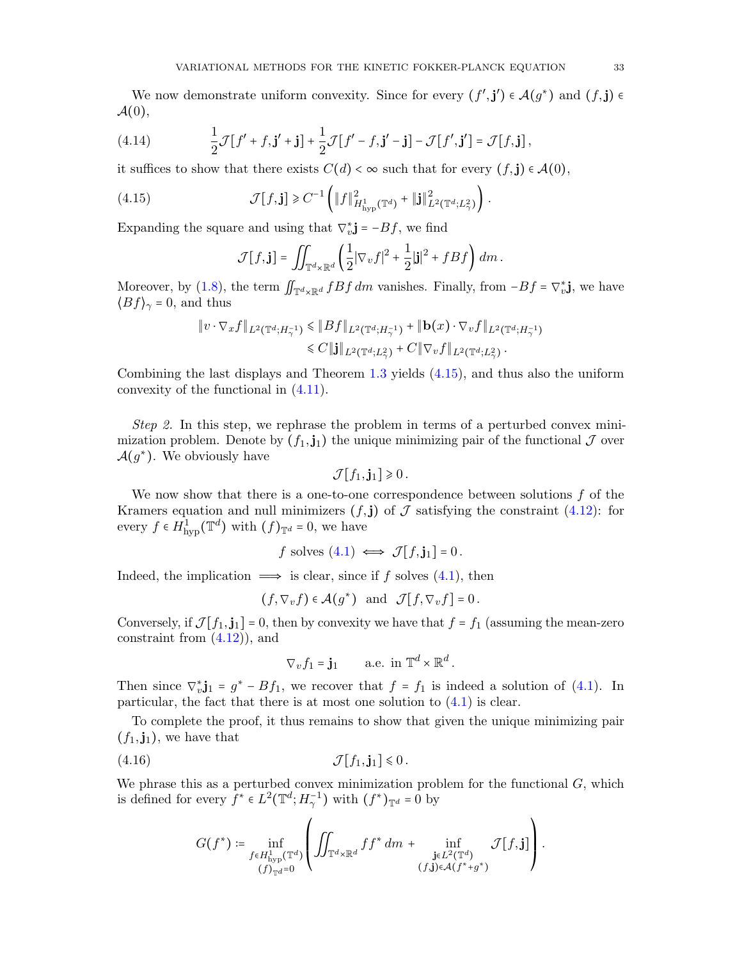We now demonstrate uniform convexity. Since for every  $(f', \mathbf{j}') \in \mathcal{A}(g^*)$  and  $(f, \mathbf{j}) \in$  $\mathcal{A}(0),$ 

(4.14) 
$$
\frac{1}{2}\mathcal{J}[f' + f, \mathbf{j}' + \mathbf{j}] + \frac{1}{2}\mathcal{J}[f' - f, \mathbf{j}' - \mathbf{j}] - \mathcal{J}[f', \mathbf{j}'] = \mathcal{J}[f, \mathbf{j}],
$$

it suffices to show that there exists  $C(d) < \infty$  such that for every  $(f, \mathbf{j}) \in \mathcal{A}(0)$ ,

(4.15) 
$$
\mathcal{J}[f, \mathbf{j}] \geq C^{-1} \left( \|f\|_{H^1_{\text{hyp}}(\mathbb{T}^d)}^2 + \|\mathbf{j}\|_{L^2(\mathbb{T}^d; L^2_\gamma)}^2 \right).
$$

Expanding the square and using that  $\nabla_v^* \mathbf{j} = -Bf$ , we find

<span id="page-32-0"></span>
$$
\mathcal{J}[f, \mathbf{j}] = \iint_{\mathbb{T}^d \times \mathbb{R}^d} \left( \frac{1}{2} |\nabla_v f|^2 + \frac{1}{2} |\mathbf{j}|^2 + fBf \right) dm.
$$

Moreover, by [\(1.8\)](#page-4-5), the term  $\iint_{\mathbb{T}^d \times \mathbb{R}^d} fBf \, dm$  vanishes. Finally, from  $-Bf = \nabla_v^* \mathbf{j}$ , we have  $\iint_R f \cdot \mathbf{r} = 0$  and thus  $\langle Bf \rangle_{\gamma} = 0$ , and thus

$$
\|v \cdot \nabla_x f\|_{L^2(\mathbb{T}^d; H^{-1}_{\gamma})} \leq \|Bf\|_{L^2(\mathbb{T}^d; H^{-1}_{\gamma})} + \|\mathbf{b}(x) \cdot \nabla_v f\|_{L^2(\mathbb{T}^d; H^{-1}_{\gamma})}
$$
  

$$
\leq C \|\mathbf{j}\|_{L^2(\mathbb{T}^d; L^2_{\gamma})} + C \|\nabla_v f\|_{L^2(\mathbb{T}^d; L^2_{\gamma})}.
$$

Combining the last displays and Theorem [1.3](#page-6-0) yields [\(4.15\)](#page-32-0), and thus also the uniform convexity of the functional in [\(4.11\)](#page-30-3).

Step 2. In this step, we rephrase the problem in terms of a perturbed convex minimization problem. Denote by  $(f_1, j_1)$  the unique minimizing pair of the functional  $\mathcal J$  over  $\mathcal{A}(g^*)$ . We obviously have

$$
\mathcal{J}[f_1,\mathbf{j}_1]\geq 0.
$$

We now show that there is a one-to-one correspondence between solutions  $f$  of the Kramers equation and null minimizers  $(f, \mathbf{j})$  of  $\mathcal J$  satisfying the constraint  $(4.12)$ : for every  $f \in H^1_{\text{hyp}}(\mathbb{T}^d)$  with  $(f)_{\mathbb{T}^d} = 0$ , we have

$$
f
$$
 solves (4.1)  $\iff$   $\mathcal{J}[f, \mathbf{j}_1] = 0$ .

Indeed, the implication  $\implies$  is clear, since if f solves [\(4.1\)](#page-28-1), then

$$
(f, \nabla_v f) \in \mathcal{A}(g^*)
$$
 and  $\mathcal{J}[f, \nabla_v f] = 0$ .

Conversely, if  $\mathcal{J}[f_1, \mathbf{j}_1] = 0$ , then by convexity we have that  $f = f_1$  (assuming the mean-zero constraint from  $(4.12)$ , and

$$
\nabla_v f_1 = \mathbf{j}_1 \qquad \text{a.e. in } \mathbb{T}^d \times \mathbb{R}^d.
$$

Then since  $\nabla_{\bm{v}}^* \mathbf{j}_1 = g^* - B f_1$ , we recover that  $f = f_1$  is indeed a solution of [\(4.1\)](#page-28-1). In particular, the fact that there is at most one solution to  $(4.1)$  is clear.

To complete the proof, it thus remains to show that given the unique minimizing pair  $(f_1, \mathbf{j}_1)$ , we have that

$$
\mathcal{J}[f_1, \mathbf{j}_1] \leq 0.
$$

We phrase this as a perturbed convex minimization problem for the functional  $G$ , which is defined for every  $\bar{f}^* \in L^2(\mathbb{T}^d; H_\gamma^{-1})$  with  $(f^*)_{\mathbb{T}^d} = 0$  by

$$
G(f^*) \coloneqq \inf_{\substack{f \in H^1_{\mathrm{hyp}}(\mathbb{T}^d) \\ (f)_{\mathbb{T}^d} = 0}} \left( \iint_{\mathbb{T}^d \times \mathbb{R}^d} f f^* \, dm + \inf_{\substack{\mathbf{j} \in L^2(\mathbb{T}^d) \\ (f, \mathbf{j}) \in \mathcal{A}(f^* + g^*)}} \mathcal{J}[f, \mathbf{j}] \right)
$$

.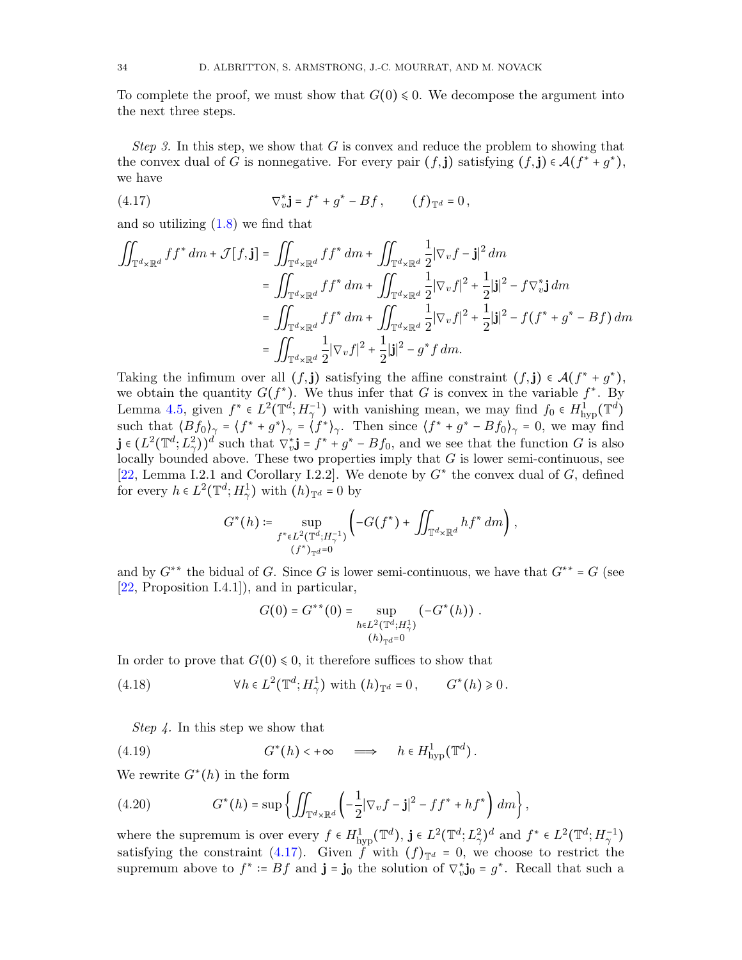To complete the proof, we must show that  $G(0) \leq 0$ . We decompose the argument into the next three steps.

Step 3. In this step, we show that  $G$  is convex and reduce the problem to showing that the convex dual of G is nonnegative. For every pair  $(f, \mathbf{j})$  satisfying  $(f, \mathbf{j}) \in \mathcal{A}(f^* + g^*),$ we have

<span id="page-33-0"></span>(4.17) 
$$
\nabla_v^* \mathbf{j} = f^* + g^* - Bf, \qquad (f)_{\mathbb{T}^d} = 0,
$$

and so utilizing [\(1.8\)](#page-4-5) we find that

$$
\iint_{\mathbb{T}^d \times \mathbb{R}^d} ff^* dm + \mathcal{J}[f, \mathbf{j}] = \iint_{\mathbb{T}^d \times \mathbb{R}^d} ff^* dm + \iint_{\mathbb{T}^d \times \mathbb{R}^d} \frac{1}{2} |\nabla_v f - \mathbf{j}|^2 dm
$$
  
\n
$$
= \iint_{\mathbb{T}^d \times \mathbb{R}^d} ff^* dm + \iint_{\mathbb{T}^d \times \mathbb{R}^d} \frac{1}{2} |\nabla_v f|^2 + \frac{1}{2} |\mathbf{j}|^2 - f \nabla_v^* \mathbf{j} dm
$$
  
\n
$$
= \iint_{\mathbb{T}^d \times \mathbb{R}^d} ff^* dm + \iint_{\mathbb{T}^d \times \mathbb{R}^d} \frac{1}{2} |\nabla_v f|^2 + \frac{1}{2} |\mathbf{j}|^2 - f (f^* + g^* - Bf) dm
$$
  
\n
$$
= \iint_{\mathbb{T}^d \times \mathbb{R}^d} \frac{1}{2} |\nabla_v f|^2 + \frac{1}{2} |\mathbf{j}|^2 - g^* f dm.
$$

Taking the infimum over all  $(f, \mathbf{j})$  satisfying the affine constraint  $(f, \mathbf{j}) \in \mathcal{A}(f^* + g^*)$ ,<br>we obtain the sympative  $C(f^*)$ . We thus infor that  $G$  is convex in the variable  $f^*$ . By we obtain the quantity  $G(f^*)$ . We thus infer that G is convex in the variable  $f^*$ . By Lemma [4.5,](#page-31-0) given  $f^* \in L^2(\mathbb{T}^d; H_7^{-1})$  with vanishing mean, we may find  $f_0 \in H_{\text{hyp}}^1(\mathbb{T}^d; H_7^*)$ Lemma 4.0, given  $f \in L^2(\mathbb{I}^*, H_\gamma)$  with vanishing friend, we may find  $f_0 \in H_{\text{hyp}}(\mathbb{I}^*)$ <br>such that  $\langle Bf_0 \rangle_\gamma = \langle f^* + g^* \rangle_\gamma = \langle f^* \rangle_\gamma$ . Then since  $\langle f^* + g^* - Bf_0 \rangle_\gamma = 0$ , we may find  $\mathbf{j} \in (L^2(\mathbb{T}^d; L^2))^d$  such that  $\nabla^*_{\mathbf{v}} \mathbf{j} = f^* + g^* - Bf_0$ , and we see that the function G is also locally bounded above. These two properties imply that G is lower semi-continuous, see [\[22,](#page-51-23) Lemma I.2.1 and Corollary I.2.2]. We denote by  $G^*$  the convex dual of G, defined for every  $h \in L^2(\mathbb{T}^d; H^1_\gamma)$  with  $(h)_{\mathbb{T}^d} = 0$  by

$$
G^{*}(h) \coloneqq \sup_{\substack{f^{*} \in L^{2}(\mathbb{T}^{d}; H_{\gamma}^{-1}) \\ (f^{*})_{\mathbb{T}^{d}} = 0}} \left( -G(f^{*}) + \iint_{\mathbb{T}^{d} \times \mathbb{R}^{d}} h f^{*} dm \right),
$$

and by  $G^{**}$  the bidual of G. Since G is lower semi-continuous, we have that  $G^{**} = G$  (see [\[22,](#page-51-23) Proposition I.4.1]), and in particular,

<span id="page-33-2"></span><span id="page-33-1"></span>
$$
G(0) = G^{**}(0) = \sup_{h \in L^2(\mathbb{T}^d; H^1_\gamma)} (-G^*(h)) .
$$
  
(h)<sub>1<sup>d</sup></sub>=0

In order to prove that  $G(0) \le 0$ , it therefore suffices to show that

(4.18) 
$$
\forall h \in L^2(\mathbb{T}^d; H^1_\gamma) \text{ with } (h)_{\mathbb{T}^d} = 0, \qquad G^*(h) \geq 0.
$$

Step 4. In this step we show that

(4.19) 
$$
G^*(h) \leftarrow \infty \quad \Longrightarrow \quad h \in H^1_{\text{hyp}}(\mathbb{T}^d).
$$

We rewrite  $G^*(h)$  in the form

<span id="page-33-3"></span>(4.20) 
$$
G^*(h) = \sup \left\{ \iint_{\mathbb{T}^d \times \mathbb{R}^d} \left( -\frac{1}{2} |\nabla_v f - \mathbf{j}|^2 - ff^* + hf^* \right) dm \right\},
$$

where the supremum is over every  $f \in H^1_{\text{hyp}}(\mathbb{T}^d)$ ,  $\mathbf{j} \in L^2(\mathbb{T}^d; L^2_\gamma)^d$  and  $f^* \in L^2(\mathbb{T}^d; H^{-1}_\gamma)$ satisfying the constraint [\(4.17\)](#page-33-0). Given f with  $(f)_{\mathbb{T}^d} = 0$ , we choose to restrict the supremum above to  $f^* := Bf$  and  $\mathbf{j} = \mathbf{j}_0$  the solution of  $\nabla_v^* \mathbf{j}_0 = g^*$ . Recall that such a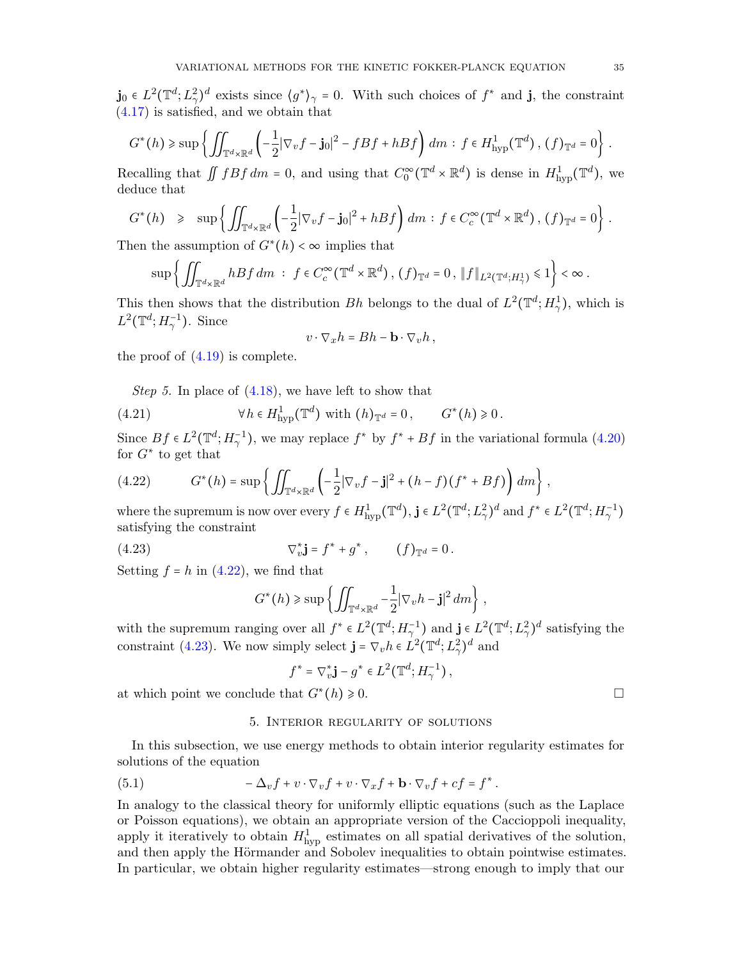$\mathbf{j}_0 \in L^2(\mathbb{T}^d; L^2)$ <sup>d</sup> exists since  $\langle g^* \rangle_{\gamma} = 0$ . With such choices of  $f^*$  and  $\mathbf{j}$ , the constraint [\(4.17\)](#page-33-0) is satisfied, and we obtain that

$$
G^*(h) \geq \sup \left\{ \iint_{\mathbb{T}^d \times \mathbb{R}^d} \left( -\frac{1}{2} |\nabla_v f - \mathbf{j}_0|^2 - fBf + hBf \right) dm : f \in H^1_{\text{hyp}}(\mathbb{T}^d) \, , \, (f)_{\mathbb{T}^d} = 0 \right\} \, .
$$

Recalling that  $\iint fBf dm = 0$ , and using that  $C_0^{\infty}(\mathbb{T}^d \times \mathbb{R}^d)$  is dense in  $H^1_{\text{hyp}}(\mathbb{T}^d)$ , we deduce that deduce that

$$
G^*(h) \geq \sup \left\{ \iint_{\mathbb{T}^d \times \mathbb{R}^d} \left( -\frac{1}{2} |\nabla_v f - \mathbf{j}_0|^2 + hBf \right) dm : f \in C_c^{\infty}(\mathbb{T}^d \times \mathbb{R}^d), (f)_{\mathbb{T}^d} = 0 \right\}.
$$

Then the assumption of  $G^*(h) < \infty$  implies that

$$
\sup\left\{\iint_{\mathbb{T}^d\times\mathbb{R}^d}hBf\,dm\;:\;f\in C_c^\infty(\mathbb{T}^d\times\mathbb{R}^d)\,,\,(f)_{\mathbb{T}^d}=0\,,\,\|f\|_{L^2(\mathbb{T}^d;H^1_\gamma)}\leqslant 1\right\}<\infty\,.
$$

This then shows that the distribution Bh belongs to the dual of  $L^2(\mathbb{T}^d; H^1_\gamma)$ , which is  $L^2(\mathbb{T}^d; H_\gamma^{-1})$ . Since

$$
v\cdot\nabla_x h = Bh - \mathbf{b}\cdot\nabla_v h\,,
$$

the proof of  $(4.19)$  is complete.

Step 5. In place of [\(4.18\)](#page-33-2), we have left to show that

(4.21) 
$$
\forall h \in H^1_{\text{hyp}}(\mathbb{T}^d) \text{ with } (h)_{\mathbb{T}^d} = 0, \qquad G^*(h) \geq 0.
$$

Since  $Bf \in L^2(\mathbb{T}^d; H_\gamma^{-1})$ , we may replace  $f^*$  by  $f^* + Bf$  in the variational formula [\(4.20\)](#page-33-3) for  $G^*$  to get that

<span id="page-34-1"></span>
$$
(4.22) \tG*(h) = \sup \left\{ \iint_{\mathbb{T}^d \times \mathbb{R}^d} \left( -\frac{1}{2} |\nabla_v f - \mathbf{j}|^2 + (h - f)(f^* + Bf) \right) dm \right\},
$$

where the supremum is now over every  $f \in H^1_{\text{hyp}}(\mathbb{T}^d)$ ,  $\mathbf{j} \in L^2(\mathbb{T}^d; L^2_\gamma)^d$  and  $f^* \in L^2(\mathbb{T}^d; H^{-1}_\gamma)$ satisfying the constraint

(4.23) 
$$
\nabla_v^* \mathbf{j} = f^* + g^*, \qquad (f)_{\mathbb{T}^d} = 0.
$$

Setting  $f = h$  in [\(4.22\)](#page-34-1), we find that

<span id="page-34-2"></span>
$$
G^*(h) \geq \sup \left\{ \iint_{\mathbb{T}^d \times \mathbb{R}^d} -\frac{1}{2} |\nabla_v h - \mathbf{j}|^2 dm \right\},\,
$$

with the supremum ranging over all  $f^* \in L^2(\mathbb{T}^d; H_\gamma^{-1})$  and  $\mathbf{j} \in L^2(\mathbb{T}^d; L_\gamma^2)^d$  satisfying the constraint [\(4.23\)](#page-34-2). We now simply select  $\mathbf{j} = \nabla_v h \in L^2(\mathbb{T}^d; L^2_\gamma)^d$  and

$$
f^* = \nabla_v^* \mathbf{j} - g^* \in L^2(\mathbb{T}^d; H_\gamma^{-1}),
$$

at which point we conclude that  $G^*(h) \geq 0$ .  $(h) \geqslant 0.$ 

#### <span id="page-34-3"></span>5. Interior regularity of solutions

<span id="page-34-0"></span>In this subsection, we use energy methods to obtain interior regularity estimates for solutions of the equation

(5.1) 
$$
-\Delta_v f + v \cdot \nabla_v f + v \cdot \nabla_x f + \mathbf{b} \cdot \nabla_v f + cf = f^*.
$$

In analogy to the classical theory for uniformly elliptic equations (such as the Laplace or Poisson equations), we obtain an appropriate version of the Caccioppoli inequality, apply it iteratively to obtain  $H_{\text{hyp}}^1$  estimates on all spatial derivatives of the solution, and then apply the Hörmander and Sobolev inequalities to obtain pointwise estimates. In particular, we obtain higher regularity estimates—strong enough to imply that our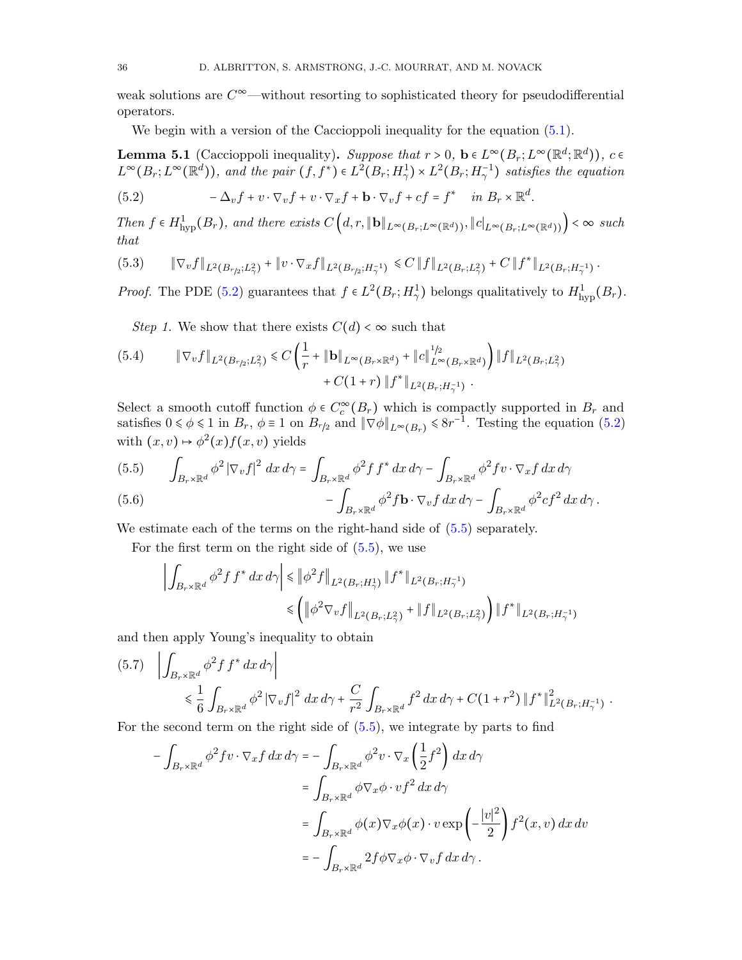weak solutions are  $C^{\infty}$ —without resorting to sophisticated theory for pseudodifferential operators.

We begin with a version of the Caccioppoli inequality for the equation  $(5.1)$ .

<span id="page-35-0"></span>**Lemma 5.1** (Caccioppoli inequality). Suppose that  $r > 0$ ,  $\mathbf{b} \in L^{\infty}(B_r; L^{\infty}(\mathbb{R}^d; \mathbb{R}^d))$ ,  $c \in L^{\infty}(B_r; L^{\infty}(\mathbb{R}^d))$ , and the pair  $(f, f^*) \in L^2(B_r; H^1_{\gamma}) \times L^2(B_r; H^{-1}_{\gamma})$  satisfies the equation  $\int_{1}^{\infty} (B_r; L^{\infty}(\mathbb{R}^d; \mathbb{R}^d))$ 

<span id="page-35-1"></span>(5.2) 
$$
-\Delta_v f + v \cdot \nabla_v f + v \cdot \nabla_x f + \mathbf{b} \cdot \nabla_v f + cf = f^* \quad in \ B_r \times \mathbb{R}^d.
$$

Then  $f \in H^1_{\text{hyp}}(B_r)$ , and there exists  $C\left(d, r, \|\mathbf{b}\|_{L^{\infty}(B_r; L^{\infty}(\mathbb{R}^d))}, \|c\|_{L^{\infty}(B_r; L^{\infty}(\mathbb{R}^d))}\right) < \infty$  such that

<span id="page-35-4"></span>
$$
(5.3) \qquad \|\nabla_v f\|_{L^2(B_{r/2};L^2_\gamma)} + \|v \cdot \nabla_x f\|_{L^2(B_{r/2};H^{-1}_\gamma)} \leq C \|f\|_{L^2(B_r;L^2_\gamma)} + C \|f^*\|_{L^2(B_r;H^{-1}_\gamma)}.
$$

*Proof.* The PDE [\(5.2\)](#page-35-1) guarantees that  $f \in L^2(B_r; H^1_\gamma)$  belongs qualitatively to  $H^1_{\text{hyp}}(B_r)$ .

Step 1. We show that there exists  $C(d) < \infty$  such that

<span id="page-35-3"></span>
$$
(5.4) \qquad \|\nabla_v f\|_{L^2(B_{r/2};L^2_\gamma)} \leq C \left(\frac{1}{r} + \|\mathbf{b}\|_{L^\infty(B_r \times \mathbb{R}^d)} + \|c\|_{L^\infty(B_r \times \mathbb{R}^d)}^{1/2}\right) \|f\|_{L^2(B_r;L^2_\gamma)} + C(1+r) \|f^*\|_{L^2(B_r;H^{-1}_\gamma)}.
$$

Select a smooth cutoff function  $\phi \in C_c^{\infty}(B_r)$  which is compactly supported in  $B_r$  and<br>cations  $0 \le \phi \le 1$  in  $B_r$   $\phi = 1$  on  $B_r$  and  $\|\nabla \phi\|$ satisfies  $0 \le \phi \le 1$  in  $B_r$ ,  $\phi \equiv 1$  on  $B_{r/2}$  and  $\|\nabla \phi\|_{L^{\infty}(B_r)} \le 8r^{-1}$ . Testing the equation [\(5.2\)](#page-35-1) with  $(x, v) \mapsto \phi^2(x) f(x, v)$  yields

<span id="page-35-2"></span>(5.5) 
$$
\int_{B_r \times \mathbb{R}^d} \phi^2 |\nabla_v f|^2 dx d\gamma = \int_{B_r \times \mathbb{R}^d} \phi^2 f f^* dx d\gamma - \int_{B_r \times \mathbb{R}^d} \phi^2 f v \cdot \nabla_x f dx d\gamma
$$

(5.6) 
$$
- \int_{B_r \times \mathbb{R}^d} \phi^2 f \mathbf{b} \cdot \nabla_v f \, dx \, d\gamma - \int_{B_r \times \mathbb{R}^d} \phi^2 c f^2 \, dx \, d\gamma.
$$

We estimate each of the terms on the right-hand side of  $(5.5)$  separately.

For the first term on the right side of  $(5.5)$ , we use

$$
\left| \int_{B_r \times \mathbb{R}^d} \phi^2 f f^* dx d\gamma \right| \leq \left\| \phi^2 f \right\|_{L^2(B_r; H^1_\gamma)} \|f^* \|_{L^2(B_r; H^{-1}_\gamma)}
$$
  

$$
\leq \left( \left\| \phi^2 \nabla_v f \right\|_{L^2(B_r; L^2_\gamma)} + \left\| f \right\|_{L^2(B_r; L^2_\gamma)} \right) \|f^* \|_{L^2(B_r; H^{-1}_\gamma)}
$$

and then apply Young's inequality to obtain

$$
(5.7) \quad \left| \int_{B_r \times \mathbb{R}^d} \phi^2 f f^* dx d\gamma \right|
$$
  
\$\leqslant \frac{1}{6} \int\_{B\_r \times \mathbb{R}^d} \phi^2 |\nabla\_v f|^2 dx d\gamma + \frac{C}{r^2} \int\_{B\_r \times \mathbb{R}^d} f^2 dx d\gamma + C(1+r^2) \|f^\*\|\_{L^2(B\_r;H\_\gamma^{-1})}^2 \right].

For the second term on the right side of [\(5.5\)](#page-35-2), we integrate by parts to find

$$
-\int_{B_r \times \mathbb{R}^d} \phi^2 f v \cdot \nabla_x f \, dx \, d\gamma = -\int_{B_r \times \mathbb{R}^d} \phi^2 v \cdot \nabla_x \left(\frac{1}{2} f^2\right) dx \, d\gamma
$$
  

$$
= \int_{B_r \times \mathbb{R}^d} \phi \nabla_x \phi \cdot v f^2 \, dx \, d\gamma
$$
  

$$
= \int_{B_r \times \mathbb{R}^d} \phi(x) \nabla_x \phi(x) \cdot v \exp\left(-\frac{|v|^2}{2}\right) f^2(x, v) \, dx \, dv
$$
  

$$
= -\int_{B_r \times \mathbb{R}^d} 2f \phi \nabla_x \phi \cdot \nabla_v f \, dx \, d\gamma.
$$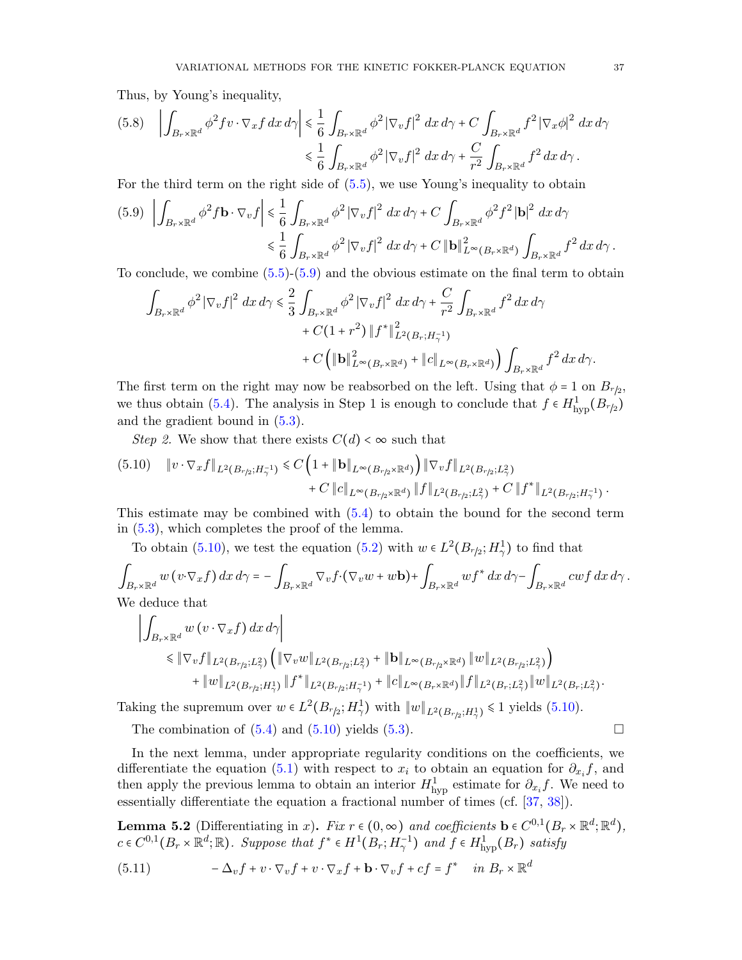Thus, by Young's inequality,

$$
(5.8) \quad \left| \int_{B_r \times \mathbb{R}^d} \phi^2 f v \cdot \nabla_x f \, dx \, d\gamma \right| \leq \frac{1}{6} \int_{B_r \times \mathbb{R}^d} \phi^2 \left| \nabla_v f \right|^2 \, dx \, d\gamma + C \int_{B_r \times \mathbb{R}^d} f^2 \left| \nabla_x \phi \right|^2 \, dx \, d\gamma
$$

$$
\leq \frac{1}{6} \int_{B_r \times \mathbb{R}^d} \phi^2 \left| \nabla_v f \right|^2 \, dx \, d\gamma + \frac{C}{r^2} \int_{B_r \times \mathbb{R}^d} f^2 \, dx \, d\gamma.
$$

For the third term on the right side of [\(5.5\)](#page-35-2), we use Young's inequality to obtain

<span id="page-36-0"></span>
$$
(5.9) \left| \int_{B_r \times \mathbb{R}^d} \phi^2 f \mathbf{b} \cdot \nabla_v f \right| \leq \frac{1}{6} \int_{B_r \times \mathbb{R}^d} \phi^2 |\nabla_v f|^2 dx d\gamma + C \int_{B_r \times \mathbb{R}^d} \phi^2 f^2 |\mathbf{b}|^2 dx d\gamma
$$
  

$$
\leq \frac{1}{6} \int_{B_r \times \mathbb{R}^d} \phi^2 |\nabla_v f|^2 dx d\gamma + C ||\mathbf{b}||^2_{L^{\infty}(B_r \times \mathbb{R}^d)} \int_{B_r \times \mathbb{R}^d} f^2 dx d\gamma.
$$

To conclude, we combine [\(5.5\)](#page-35-2)-[\(5.9\)](#page-36-0) and the obvious estimate on the final term to obtain

$$
\int_{B_r \times \mathbb{R}^d} \phi^2 |\nabla_v f|^2 dx d\gamma \leq \frac{2}{3} \int_{B_r \times \mathbb{R}^d} \phi^2 |\nabla_v f|^2 dx d\gamma + C(1+r^2) \|f^*\|_{L^2(B_r; H^{-1}_\gamma)}^2 \n+ C\Big(\| \mathbf{b} \|_{L^\infty(B_r \times \mathbb{R}^d)}^2 + \|c\|_{L^\infty(B_r \times \mathbb{R}^d)}\Big) \int_{B_r \times \mathbb{R}^d} f^2 dx d\gamma.
$$

The first term on the right may now be reabsorbed on the left. Using that  $\phi = 1$  on  $B_{r/2}$ , we thus obtain [\(5.4\)](#page-35-3). The analysis in Step 1 is enough to conclude that  $f \in H^1_{\text{hyp}}(B_{r/2})$ and the gradient bound in [\(5.3\)](#page-35-4).

Step 2. We show that there exists  $C(d) < \infty$  such that

<span id="page-36-1"></span>
$$
(5.10) \quad \|v \cdot \nabla_x f\|_{L^2(B_{r/2}; H_\gamma^{-1})} \leq C \left(1 + \|\mathbf{b}\|_{L^\infty(B_{r/2} \times \mathbb{R}^d)}\right) \|\nabla_v f\|_{L^2(B_{r/2}; L_\gamma^2)} + C \|c\|_{L^\infty(B_{r/2} \times \mathbb{R}^d)} \|f\|_{L^2(B_{r/2}; L_\gamma^2)} + C \|f^*\|_{L^2(B_{r/2}; H_\gamma^{-1})}.
$$

This estimate may be combined with [\(5.4\)](#page-35-3) to obtain the bound for the second term in [\(5.3\)](#page-35-4), which completes the proof of the lemma.

To obtain [\(5.10\)](#page-36-1), we test the equation [\(5.2\)](#page-35-1) with  $w \in L^2(B_{r/2}; H^1_\gamma)$  to find that

$$
\int_{B_r \times \mathbb{R}^d} w(v \cdot \nabla_x f) dx d\gamma = - \int_{B_r \times \mathbb{R}^d} \nabla_v f \cdot (\nabla_v w + w \mathbf{b}) + \int_{B_r \times \mathbb{R}^d} w f^* dx d\gamma - \int_{B_r \times \mathbb{R}^d} c w f dx d\gamma.
$$
\nWe deduce that

We deduce that

$$
\left| \int_{B_r \times \mathbb{R}^d} w(v \cdot \nabla_x f) dx d\gamma \right|
$$
  
\n
$$
\leq \|\nabla_v f\|_{L^2(B_{r/2}; L^2_{\gamma})} \left( \|\nabla_v w\|_{L^2(B_{r/2}; L^2_{\gamma})} + \|\mathbf{b}\|_{L^{\infty}(B_{r/2} \times \mathbb{R}^d)} \|w\|_{L^2(B_{r/2}; L^2_{\gamma})} \right)
$$
  
\n
$$
+ \|w\|_{L^2(B_{r/2}; H^1_{\gamma})} \|f^*\|_{L^2(B_{r/2}; H^{-1}_{\gamma})} + \|c\|_{L^{\infty}(B_r \times \mathbb{R}^d)} \|f\|_{L^2(B_r; L^2_{\gamma})} \|w\|_{L^2(B_r; L^2_{\gamma})}.
$$

Taking the supremum over  $w \in L^2(B_{r/2}; H^1_\gamma)$  with  $||w||_{L^2(B_{r/2}; H^1_\gamma)} \le 1$  yields [\(5.10\)](#page-36-1).

The combination of  $(5.4)$  and  $(5.10)$  yields  $(5.3)$ .

In the next lemma, under appropriate regularity conditions on the coefficients, we differentiate the equation [\(5.1\)](#page-34-3) with respect to  $x_i$  to obtain an equation for  $\partial_{x_i} f$ , and then apply the previous lemma to obtain an interior  $H_{\text{hyp}}^1$  estimate for  $\partial_{x_i} f$ . We need to essentially differentiate the equation a fractional number of times (cf. [\[37,](#page-51-27) [38\]](#page-51-28)).

<span id="page-36-3"></span>**Lemma 5.2** (Differentiating in x). Fix  $r \in (0, \infty)$  and coefficients  $\mathbf{b} \in C^{0,1}(B_r \times \mathbb{R}^d; \mathbb{R}^d)$ ,  $c \in C^{0,1}(B_r \times \mathbb{R}^d; \mathbb{R})$ . Suppose that  $f^* \in H^1(B_r; H^{-1}_\gamma)$  and  $f \in H^1_{\text{hyp}}(B_r)$  satisfy

<span id="page-36-2"></span>(5.11) 
$$
-\Delta_v f + v \cdot \nabla_v f + v \cdot \nabla_x f + \mathbf{b} \cdot \nabla_v f + cf = f^* \quad in \ B_r \times \mathbb{R}^d
$$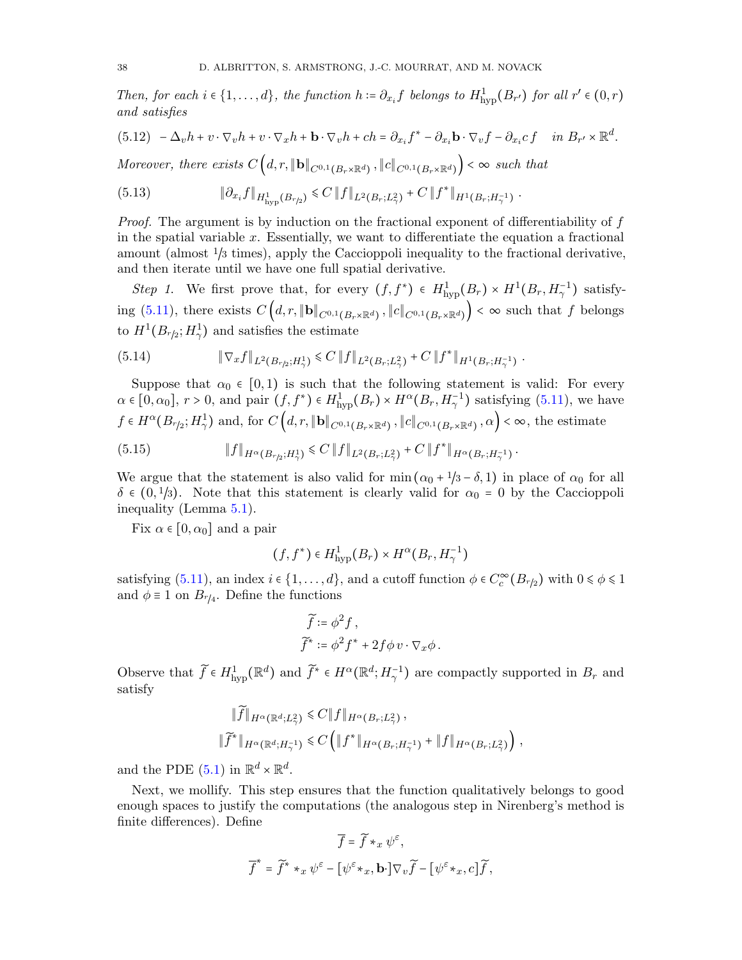Then, for each  $i \in \{1, ..., d\}$ , the function  $h \coloneqq \partial_{x_i} f$  belongs to  $H^1_{\text{hyp}}(B_{r'})$  for all  $r' \in (0, r)$ and satisfies

$$
(5.12) \quad -\Delta_v h + v \cdot \nabla_v h + v \cdot \nabla_x h + \mathbf{b} \cdot \nabla_v h + ch = \partial_{x_i} f^* - \partial_{x_i} \mathbf{b} \cdot \nabla_v f - \partial_{x_i} cf \quad \text{in } B_{r'} \times \mathbb{R}^d.
$$

Moreover, there exists  $C\left(d, r, \|\mathbf{b}\|_{C^{0,1}(B_r\times\mathbb{R}^d)}, \|c\|_{C^{0,1}(B_r\times\mathbb{R}^d)}\right) < \infty$  such that

$$
(5.13) \t\t\t\t\t\t\|\partial_{x_i} f\|_{H^1_{\text{hyp}}(B_{r/2})} \leq C \|f\|_{L^2(B_r;L^2_\gamma)} + C \|f^*\|_{H^1(B_r;H^{-1}_\gamma)}.
$$

Proof. The argument is by induction on the fractional exponent of differentiability of f in the spatial variable  $x$ . Essentially, we want to differentiate the equation a fractional amount (almost  $\frac{1}{3}$  times), apply the Caccioppoli inequality to the fractional derivative, and then iterate until we have one full spatial derivative.

Step 1. We first prove that, for every  $(f, f^*) \in H^1_{\text{hyp}}(B_r) \times H^1(B_r, H^{-1}_\gamma)$  satisfying  $(5.11)$ , there exists  $C\left(d, r, \|\mathbf{b}\|_{C^{0,1}(B_r \times \mathbb{R}^d)}, \|c\|_{C^{0,1}(B_r \times \mathbb{R}^d)}\right) < \infty$  such that f belongs to  $H^1(B_{r/2}; H^1_\gamma)$  and satisfies the estimate

$$
(5.14) \t\t\t \t\t\t \t\t\t \t\t\t \t\t\t \t\t\t \mathbb{E} \t\t \t\t \t\t \mathbb{E} \t\t \t\t \mathbb{E} \t\t \t \mathbb{E} \t\t \t \mathbb{E} \t\t \mathbb{E} \t\t \mathbb{E} \t\t \mathbb{E} \t\t \mathbb{E} \t\t \mathbb{E} \t\t \mathbb{E} \t\t \mathbb{E} \t\t \mathbb{E} \t\t \mathbb{E} \t\t \mathbb{E} \t\t \mathbb{E} \t\t \mathbb{E} \t\t \mathbb{E} \t\t \mathbb{E} \t\t \mathbb{E} \t\t \mathbb{E} \t\t \mathbb{E} \t\t \mathbb{E} \t\t \mathbb{E} \t\t \mathbb{E} \t\t \mathbb{E} \t\t \mathbb{E} \t\t \mathbb{E} \t\t \mathbb{E} \t\t \mathbb{E} \t\t \mathbb{E} \t\t \mathbb{E} \t\t \mathbb{E} \t\t \mathbb{E} \t\t \mathbb{E} \t\t \mathbb{E} \t\t \mathbb{E} \t\t \mathbb{E} \t\t \mathbb{E} \t\t \mathbb{E} \t\t \mathbb{E} \t\t \mathbb{E} \t\t \mathbb{E} \t\t \mathbb{E} \t\t \mathbb{E} \t\t \mathbb{E} \t\t \mathbb{E} \t\t \mathbb{E} \t\t \mathbb{E} \t\t \mathbb{E} \t\t \mathbb{E} \t\t \mathbb{E} \t\t \mathbb{E} \t\t \mathbb{E} \t\t \mathbb{E} \t\t \mathbb{E} \t\t \mathbb{E} \t\t \mathbb{E} \t\t \mathbb{E} \t\t \mathbb{E} \t\t \mathbb{E} \t\t \mathbb{E} \t\t \mathbb{E} \t\t \mathbb{E} \t\t \mathbb{E} \t\t \mathbb{E} \t\t \mathbb{E} \t\t \mathbb{E} \t\t \mathbb{E} \t\t \mathbb{E} \t\t \mathbb{E} \t\t \mathbb{E} \t\t \mathbb{E} \t\t \mathbb{E} \t\t \mathbb{E} \t\t \mathbb{E} \t\t \mathbb{E} \t\t \mathbb{E} \t\t \mathbb{E} \t\t \mathbb{E}
$$

Suppose that  $\alpha_0 \in [0,1)$  is such that the following statement is valid: For every  $\alpha \in [0, \alpha_0], r > 0$ , and pair  $(f, f^*) \in H^1_{\text{hyp}}(B_r) \times H^{\alpha}(B_r, H^{-1}_\gamma)$  satisfying  $(5.11)$ , we have  $f \in H^{\alpha}(B_{r/2}; H^1_\gamma)$  and, for  $C\left(d, r, \|\mathbf{b}\|_{C^{0,1}(B_r \times \mathbb{R}^d)}, \|c\|_{C^{0,1}(B_r \times \mathbb{R}^d)}, \alpha\right) < \infty$ , the estimate (5.15)  $\|f\|_{H^{\alpha}(B_{r/2};H^1_{\gamma})} \leq C \|f\|_{L^2(B_r;L^2_{\gamma})} + C \|f^*\|_{H^{\alpha}(B_r;H^{-1}_{\gamma})}.$ 

We argue that the statement is also valid for min  $(\alpha_0 + 1/3 - \delta, 1)$  in place of  $\alpha_0$  for all  $\delta \in (0, 1/3)$ . Note that this statement is clearly valid for  $\alpha_0 = 0$  by the Caccioppoli inequality (Lemma [5.1\)](#page-35-0).

Fix  $\alpha \in [0, \alpha_0]$  and a pair

$$
(f, f^*) \in H^1_{\text{hyp}}(B_r) \times H^{\alpha}(B_r, H^{-1}_{\gamma})
$$

satisfying  $(5.11)$ , an index  $i \in \{1, ..., d\}$ , and a cutoff function  $\phi \in C_c^{\infty}(B_{r/2})$  with  $0 \le \phi \le 1$ and  $\phi \equiv 1$  on  $B_{r/4}$ . Define the functions

$$
\widetilde{f} := \phi^2 f ,
$$
  

$$
\widetilde{f}^* := \phi^2 f^* + 2f \phi v \cdot \nabla_x \phi .
$$

Observe that  $\widetilde{f} \in H^1_{\text{hyp}}(\mathbb{R}^d)$  and  $\widetilde{f}^* \in H^{\alpha}(\mathbb{R}^d; H^{-1}_{\gamma})$  are compactly supported in  $B_r$  and satisfy

$$
\|\widetilde{f}\|_{H^{\alpha}(\mathbb{R}^d; L^2_\gamma)} \leq C \|f\|_{H^{\alpha}(B_r; L^2_\gamma)},
$$
  

$$
\|\widetilde{f}^*\|_{H^{\alpha}(\mathbb{R}^d; H^{-1}_\gamma)} \leq C \left( \|f^*\|_{H^{\alpha}(B_r; H^{-1}_\gamma)} + \|f\|_{H^{\alpha}(B_r; L^2_\gamma)} \right),
$$

and the PDE  $(5.1)$  in  $\mathbb{R}^d \times \mathbb{R}^d$ .

Next, we mollify. This step ensures that the function qualitatively belongs to good enough spaces to justify the computations (the analogous step in Nirenberg's method is finite differences). Define

<span id="page-37-0"></span>
$$
\overline{f} = \widetilde{f} *_{x} \psi^{\varepsilon},
$$

$$
\overline{f}^{*} = \widetilde{f}^{*} *_{x} \psi^{\varepsilon} - [\psi^{\varepsilon} *_{x}, \mathbf{b} \cdot] \nabla_{v} \widetilde{f} - [\psi^{\varepsilon} *_{x}, c] \widetilde{f},
$$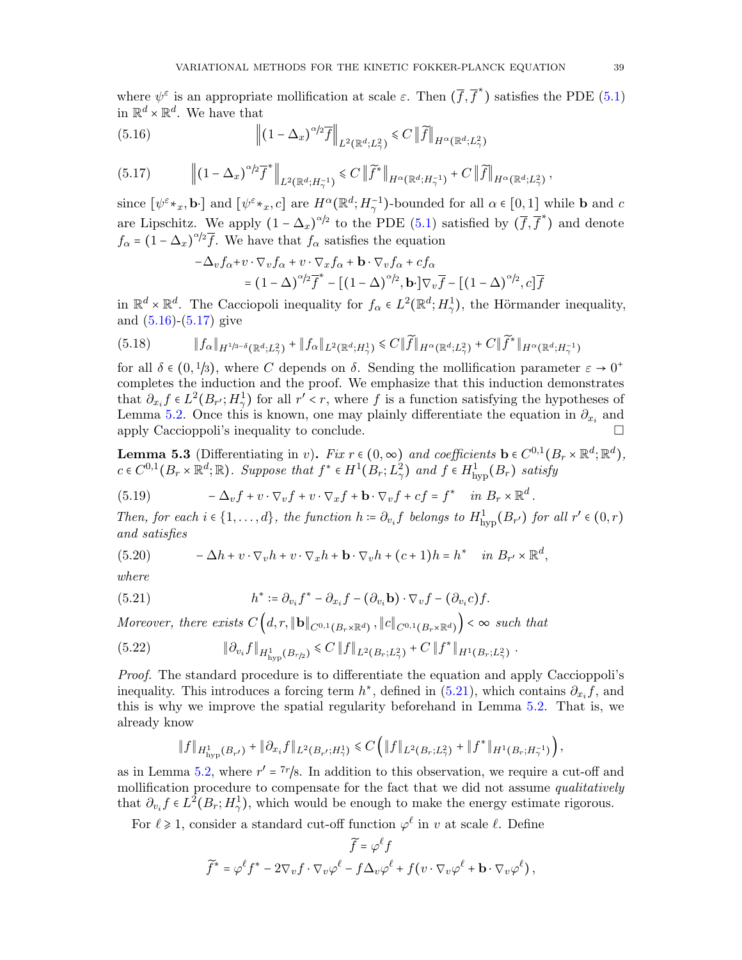where  $\psi^{\varepsilon}$  is an appropriate mollification at scale  $\varepsilon$ . Then  $(\overline{f}, \overline{f}^*)$  satisfies the PDE [\(5.1\)](#page-34-3) in  $\mathbb{R}^d \times \mathbb{R}^d$ . We have that

(5.16) 
$$
\left\| \left( 1 - \Delta_x \right)^{\alpha/2} \overline{f} \right\|_{L^2(\mathbb{R}^d; L^2_\gamma)} \leq C \left\| \widetilde{f} \right\|_{H^\alpha(\mathbb{R}^d; L^2_\gamma)}
$$

<span id="page-38-0"></span>
$$
(5.17) \t\t\t\t\left\| \left(1 - \Delta_x\right)^{\alpha/2} \overline{f}^* \right\|_{L^2(\mathbb{R}^d; H_\gamma^{-1})} \leq C \left\| \widetilde{f}^* \right\|_{H^\alpha(\mathbb{R}^d; H_\gamma^{-1})} + C \left\| \widetilde{f} \right\|_{H^\alpha(\mathbb{R}^d; L_\gamma^2)},
$$

since  $[\psi^{\varepsilon} *_{x}, \mathbf{b}]$  and  $[\psi^{\varepsilon} *_{x}, c]$  are  $H^{\alpha}(\mathbb{R}^{d}; H_{\gamma}^{-1})$ -bounded for all  $\alpha \in [0, 1]$  while **b** and c are Lipschitz. We apply  $(1 - \Delta_x)^{\alpha/2}$  to the PDE [\(5.1\)](#page-34-3) satisfied by  $(\overline{f}, \overline{f}^*)$  and denote  $f_{\alpha} = (1 - \Delta_x)^{\alpha/2} \overline{f}$ . We have that  $f_{\alpha}$  satisfies the equation

$$
-\Delta_v f_\alpha + v \cdot \nabla_v f_\alpha + v \cdot \nabla_x f_\alpha + \mathbf{b} \cdot \nabla_v f_\alpha + cf_\alpha
$$
  
=  $(1 - \Delta)^{\alpha/2} \overline{f}^* - [(1 - \Delta)^{\alpha/2}, \mathbf{b} \cdot] \nabla_v \overline{f} - [(1 - \Delta)^{\alpha/2}, c] \overline{f}$ 

in  $\mathbb{R}^d \times \mathbb{R}^d$ . The Cacciopoli inequality for  $f_\alpha \in L^2(\mathbb{R}^d; H^1_\gamma)$ , the Hörmander inequality, and [\(5.16\)](#page-37-0)-[\(5.17\)](#page-38-0) give

$$
(5.18) \t\t\t ||f_{\alpha}||_{H^{1/3-\delta}(\mathbb{R}^d;L^2_{\gamma})} + ||f_{\alpha}||_{L^2(\mathbb{R}^d;H^1_{\gamma})} \leq C ||\widetilde{f}||_{H^{\alpha}(\mathbb{R}^d;L^2_{\gamma})} + C ||\widetilde{f}^*||_{H^{\alpha}(\mathbb{R}^d;H^{-1}_{\gamma})}
$$

for all  $\delta \in (0, 1/3)$ , where C depends on  $\delta$ . Sending the mollification parameter  $\varepsilon \to 0^+$ completes the induction and the proof. We emphasize that this induction demonstrates that  $\partial_{x_i} f \in L^2(B_{r'}; H^1)$  for all  $r' < r$ , where f is a function satisfying the hypotheses of Lemma [5.2.](#page-36-3) Once this is known, one may plainly differentiate the equation in  $\partial_{x_i}$  and apply Caccioppoli's inequality to conclude.

<span id="page-38-4"></span>**Lemma 5.3** (Differentiating in v). Fix  $r \in (0, \infty)$  and coefficients  $\mathbf{b} \in C^{0,1}(B_r \times \mathbb{R}^d; \mathbb{R}^d)$ ,  $c \in C^{0,1}(B_r \times \mathbb{R}^d; \mathbb{R})$ . Suppose that  $f^* \in H^1(B_r; L^2_\gamma)$  and  $f \in H^1_{\text{hyp}}(B_r)$  satisfy

(5.19) 
$$
-\Delta_v f + v \cdot \nabla_v f + v \cdot \nabla_x f + \mathbf{b} \cdot \nabla_v f + cf = f^* \quad in \ B_r \times \mathbb{R}^d
$$

Then, for each  $i \in \{1, ..., d\}$ , the function  $h \coloneqq \partial_{v_i} f$  belongs to  $H^1_{\text{hyp}}(B_{r'})$  for all  $r' \in (0, r)$ and satisfies

.

<span id="page-38-3"></span>(5.20) 
$$
-\Delta h + v \cdot \nabla_v h + v \cdot \nabla_x h + \mathbf{b} \cdot \nabla_v h + (c+1)h = h^* \quad in \ B_{r'} \times \mathbb{R}^d,
$$

where

<span id="page-38-1"></span>(5.21) 
$$
h^* := \partial_{v_i} f^* - \partial_{x_i} f - (\partial_{v_i} \mathbf{b}) \cdot \nabla_v f - (\partial_{v_i} c) f.
$$

Moreover, there exists  $C(d, r, \|\mathbf{b}\|_{C^{0,1}(B_r \times \mathbb{R}^d)}, \|c\|_{C^{0,1}(B_r \times \mathbb{R}^d)}) < \infty$  such that

<sup>∥</sup>∂v<sup>i</sup> <sup>f</sup>∥H<sup>1</sup> hyp(B<sup>r</sup>/<sup>2</sup>) <sup>⩽</sup> <sup>C</sup> <sup>∥</sup>f∥L2(Br;L<sup>2</sup> γ ) <sup>+</sup> <sup>C</sup> <sup>∥</sup><sup>f</sup> ∗ ∥H1(Br;L<sup>2</sup> γ ) (5.22) .

Proof. The standard procedure is to differentiate the equation and apply Caccioppoli's inequality. This introduces a forcing term  $h^*$ , defined in [\(5.21\)](#page-38-1), which contains  $\partial_{x_i} f$ , and this is why we improve the spatial regularity beforehand in Lemma [5.2.](#page-36-3) That is, we already know

<span id="page-38-2"></span>
$$
\|f\|_{H^1_{\text{hyp}}(B_{r'})} + \|\partial_{x_i} f\|_{L^2(B_{r'};H^1_\gamma)} \leq C \left( \|f\|_{L^2(B_r;L^2_\gamma)} + \|f^*\|_{H^1(B_r;H^{-1}_\gamma)} \right),
$$

as in Lemma [5.2,](#page-36-3) where  $r' = \frac{7r}{8}$ . In addition to this observation, we require a cut-off and mollification procedure to compensate for the fact that we did not assume qualitatively that  $\partial_{v_i} f \in L^2(B_r; H^1_\gamma)$ , which would be enough to make the energy estimate rigorous.

For  $\ell \geq 1$ , consider a standard cut-off function  $\varphi^{\ell}$  in v at scale  $\ell$ . Define

$$
\widetilde{f} = \varphi^{\ell} f
$$

$$
\widetilde{f}^* = \varphi^{\ell} f^* - 2\nabla_v f \cdot \nabla_v \varphi^{\ell} - f \Delta_v \varphi^{\ell} + f(v \cdot \nabla_v \varphi^{\ell} + \mathbf{b} \cdot \nabla_v \varphi^{\ell}),
$$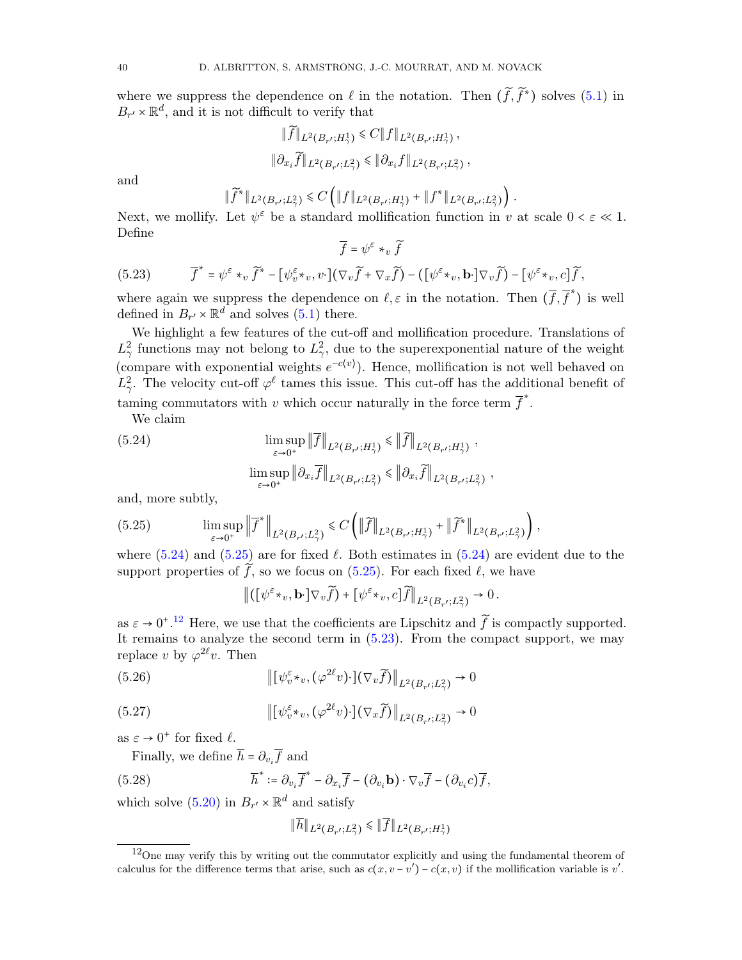where we suppress the dependence on  $\ell$  in the notation. Then  $(f, f^*)$  solves [\(5.1\)](#page-34-3) in  $B_{r'} \times \mathbb{R}^d$ , and it is not difficult to verify that

$$
\|\widetilde{f}\|_{L^2(B_{r'};H^1_{\gamma})} \leq C \|f\|_{L^2(B_{r'};H^1_{\gamma})},
$$
  

$$
\|\partial_{x_i}\widetilde{f}\|_{L^2(B_{r'};L^2_{\gamma})} \leq \|\partial_{x_i}f\|_{L^2(B_{r'};L^2_{\gamma})}
$$

,

,

and

$$
\|\widetilde{f}^*\|_{L^2(B_{r'};L^2_\gamma)} \leq C \left( \|f\|_{L^2(B_{r'};H^1_\gamma)} + \|f^*\|_{L^2(B_{r'};L^2_\gamma)} \right).
$$

Next, we mollify. Let  $\psi^{\varepsilon}$  be a standard mollification function in v at scale  $0 < \varepsilon \ll 1$ . Define

$$
\overline{f} = \psi^{\varepsilon} *_{v} \widetilde{f}
$$

(5.23) 
$$
\overline{f}^* = \psi^{\varepsilon} *_{v} \widetilde{f}^* - [\psi^{\varepsilon}_v *_{v}, v \cdot] (\nabla_{v} \widetilde{f} + \nabla_{x} \widetilde{f}) - ([\psi^{\varepsilon} *_{v}, \mathbf{b} \cdot] \nabla_{v} \widetilde{f}) - [\psi^{\varepsilon} *_{v}, c] \widetilde{f},
$$

where again we suppress the dependence on  $\ell, \varepsilon$  in the notation. Then  $(\bar{f}, \bar{f})$  is well defined in  $B_{r'} \times \mathbb{R}^d$  and solves [\(5.1\)](#page-34-3) there.

We highlight a few features of the cut-off and mollification procedure. Translations of  $L^2_{\gamma}$  functions may not belong to  $L^2_{\gamma}$ , due to the superexponential nature of the weight (compare with exponential weights  $e^{-c(v)}$ ). Hence, mollification is not well behaved on  $L^2_\gamma$ . The velocity cut-off  $\varphi^\ell$  tames this issue. This cut-off has the additional benefit of taming commutators with v which occur naturally in the force term  $\overline{f}$ .

<span id="page-39-1"></span><span id="page-39-0"></span>We claim

(5.24) 
$$
\limsup_{\varepsilon \to 0^+} \|\overline{f}\|_{L^2(B_{r'};H^1_\gamma)} \le \|\widetilde{f}\|_{L^2(B_{r'};H^1_\gamma)},
$$

$$
\limsup_{\varepsilon \to 0^+} \|\partial_{x_i}\overline{f}\|_{L^2(B_{r'};L^2_\gamma)} \le \|\partial_{x_i}\widetilde{f}\|_{L^2(B_{r'};L^2_\gamma)}
$$

and, more subtly,

(5.25) 
$$
\limsup_{\varepsilon \to 0^+} \left\| \overline{f}^* \right\|_{L^2(B_{r'};L^2_\gamma)} \leq C \left( \left\| \widetilde{f} \right\|_{L^2(B_{r'};H^1_\gamma)} + \left\| \widetilde{f}^* \right\|_{L^2(B_{r'};L^2_\gamma)} \right),
$$

where [\(5.24\)](#page-39-0) and [\(5.25\)](#page-39-1) are for fixed  $\ell$ . Both estimates in (5.24) are evident due to the support properties of  $\tilde{f}$ , so we focus on [\(5.25\)](#page-39-1). For each fixed  $\ell$ , we have

$$
\left\| \left( [\psi^{\varepsilon} \star_v, \mathbf{b} \cdot] \nabla_v \widetilde{f} \right) + [\psi^{\varepsilon} \star_v, c] \widetilde{f} \right\|_{L^2(B_{r'}; L^2_\gamma)} \to 0.
$$

as  $\varepsilon \to 0^+$ .<sup>[12](#page-39-2)</sup> Here, we use that the coefficients are Lipschitz and  $\tilde{f}$  is compactly supported. It remains to analyze the second term in [\(5.23\)](#page-38-2). From the compact support, we may replace v by  $\varphi^{2\ell}v$ . Then

(5.26) 
$$
\left\| \left[ \psi_v^{\varepsilon} \ast_v, (\varphi^{2\ell} v) \cdot \right] \left( \nabla_v \widetilde{f} \right) \right\|_{L^2(B_{r'}; L^2_\gamma)} \to 0
$$

(5.27) 
$$
\left\| \left[ \psi_v^{\varepsilon} \ast_v, (\varphi^{2\ell} v) \cdot \right] \left( \nabla_x \widetilde{f} \right) \right\|_{L^2(B_{r'}; L^2_\gamma)} \to 0
$$

as  $\varepsilon \to 0^+$  for fixed  $\ell$ .

Finally, we define  $h = \partial_{v_i} f$  and

(5.28) 
$$
\overline{h}^* := \partial_{v_i} \overline{f}^* - \partial_{x_i} \overline{f} - (\partial_{v_i} \mathbf{b}) \cdot \nabla_v \overline{f} - (\partial_{v_i} c) \overline{f},
$$

which solve [\(5.20\)](#page-38-3) in  $B_{r'} \times \mathbb{R}^d$  and satisfy

$$
\|\overline{h}\|_{L^2(B_{r'};L^2_\gamma)} \le \|\overline{f}\|_{L^2(B_{r'};H^1_\gamma)}
$$

<span id="page-39-2"></span><sup>&</sup>lt;sup>12</sup>One may verify this by writing out the commutator explicitly and using the fundamental theorem of calculus for the difference terms that arise, such as  $c(x, v - v') - c(x, v)$  if the mollification variable is v'.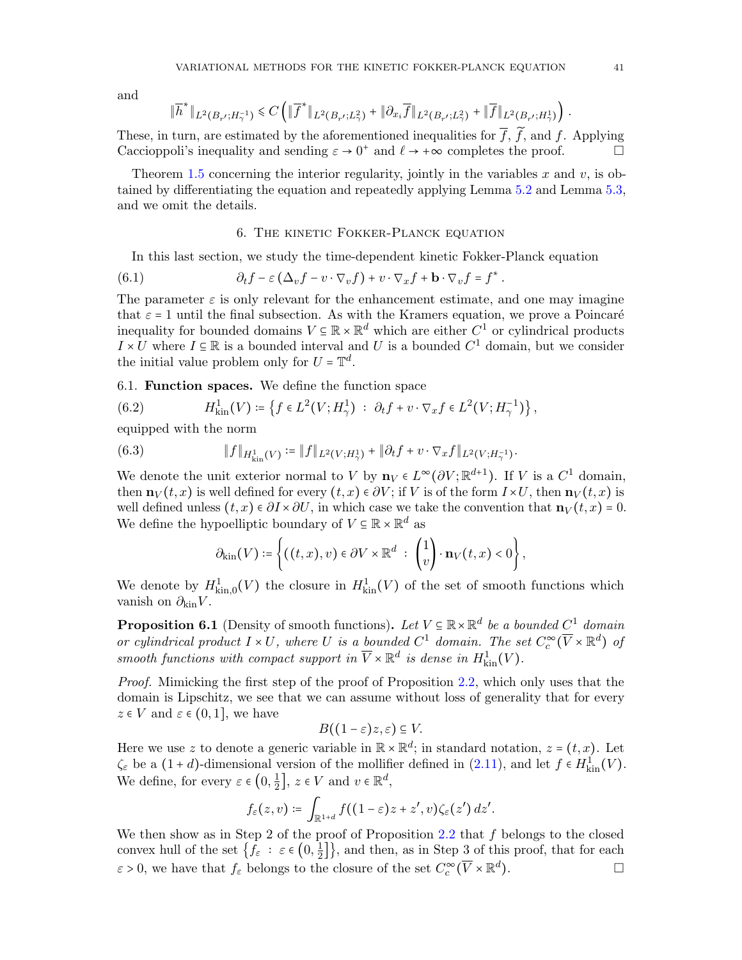and

$$
\|\overline{h}^*\|_{L^2(B_{r'};H_{\gamma}^{-1})} \leq C \left( \|\overline{f}^*\|_{L^2(B_{r'};L_{\gamma}^2)} + \|\partial_{x_i}\overline{f}\|_{L^2(B_{r'};L_{\gamma}^2)} + \|\overline{f}\|_{L^2(B_{r'};H_{\gamma}^1)} \right).
$$

These, in turn, are estimated by the aforementioned inequalities for  $\overline{f}$ ,  $\overline{f}$ , and  $f$ . Applying Caccionnoli's inequality and sending  $\varepsilon \to 0^+$  and  $\ell \to +\infty$  completes the proof Caccioppoli's inequality and sending  $\varepsilon \to 0^+$  and  $\ell \to +\infty$  completes the proof.

Theorem [1.5](#page-7-1) concerning the interior regularity, jointly in the variables  $x$  and  $v$ , is obtained by differentiating the equation and repeatedly applying Lemma [5.2](#page-36-3) and Lemma [5.3,](#page-38-4) and we omit the details.

#### <span id="page-40-4"></span>6. The kinetic Fokker-Planck equation

<span id="page-40-0"></span>In this last section, we study the time-dependent kinetic Fokker-Planck equation

(6.1) 
$$
\partial_t f - \varepsilon \left( \Delta_v f - v \cdot \nabla_v f \right) + v \cdot \nabla_x f + \mathbf{b} \cdot \nabla_v f = f^*.
$$

The parameter  $\varepsilon$  is only relevant for the enhancement estimate, and one may imagine that  $\varepsilon = 1$  until the final subsection. As with the Kramers equation, we prove a Poincaré inequality for bounded domains  $V \subseteq \mathbb{R} \times \mathbb{R}^d$  which are either  $C^1$  or cylindrical products  $I \times U$  where  $I \subseteq \mathbb{R}$  is a bounded interval and U is a bounded  $C^1$  domain, but we consider the initial value problem only for  $U = \mathbb{T}^d$ .

6.1. Function spaces. We define the function space

<span id="page-40-1"></span>(6.2) 
$$
H_{\text{kin}}^1(V) \coloneqq \left\{ f \in L^2(V; H^1_\gamma) \; : \; \partial_t f + v \cdot \nabla_x f \in L^2(V; H^{-1}_\gamma) \right\},
$$

equipped with the norm

(6.3) 
$$
\|f\|_{H^1_{\text{kin}}(V)} \coloneqq \|f\|_{L^2(V;H^1_\gamma)} + \|\partial_t f + v \cdot \nabla_x f\|_{L^2(V;H^{-1}_\gamma)}
$$

We denote the unit exterior normal to V by  $\mathbf{n}_V \in L^{\infty}(\partial V; \mathbb{R}^{d+1})$ . If V is a C<sup>1</sup> domain,<br>then  $\mathbf{n} \cdot (t, \alpha)$  is well defined for event  $(t, \alpha) \in \mathbb{R}^N$ , if V is of the form  $L \cup U$  then  $\mathbf{n} \cdot (t, \alpha)$  is then  $\mathbf{n}_V(t, x)$  is well defined for every  $(t, x) \in \partial V$ ; if V is of the form  $I \times U$ , then  $\mathbf{n}_V(t, x)$  is well defined unless  $(t, x) \in \partial I \times \partial U$ , in which case we take the convention that  $\mathbf{n}_V(t, x) = 0$ . We define the hypoelliptic boundary of  $V \subseteq \mathbb{R} \times \mathbb{R}^d$  as

.

<span id="page-40-2"></span>
$$
\partial_{\text{kin}}(V) \coloneqq \left\{ ((t,x), v) \in \partial V \times \mathbb{R}^d \ : \ \begin{pmatrix} 1 \\ v \end{pmatrix} \cdot \mathbf{n}_V(t,x) < 0 \right\},\
$$

We denote by  $H^1_{\text{kin},0}(V)$  the closure in  $H^1_{\text{kin}}(V)$  of the set of smooth functions which vanish on  $\partial_{\text{kin}}V$ .

<span id="page-40-3"></span>**Proposition 6.1** (Density of smooth functions). Let  $V \subseteq \mathbb{R} \times \mathbb{R}^d$  be a bounded  $C^1$  domain or cylindrical product  $I \times U$ , where U is a bounded  $C^1$  domain. The set  $C_c^{\infty}(\overline{V} \times \mathbb{R}^d)$  of smooth functions with compact support in  $\overline{V} \times \mathbb{R}^d$  is dense in  $H^1_{\text{kin}}(V)$ .

Proof. Mimicking the first step of the proof of Proposition [2.2,](#page-12-2) which only uses that the domain is Lipschitz, we see that we can assume without loss of generality that for every  $z \in V$  and  $\varepsilon \in (0,1]$ , we have

$$
B((1-\varepsilon)z,\varepsilon)\subseteq V.
$$

Here we use z to denote a generic variable in  $\mathbb{R} \times \mathbb{R}^d$ ; in standard notation,  $z = (t, x)$ . Let  $\zeta_{\varepsilon}$  be a  $(1+d)$ -dimensional version of the mollifier defined in  $(2.11)$ , and let  $f \in H_{\text{kin}}^{1}(V)$ . We define, for every  $\varepsilon \in \left(0, \frac{1}{2}\right)$  $\frac{1}{2}$ ,  $z \in V$  and  $v \in \mathbb{R}^d$ ,

$$
f_{\varepsilon}(z,v) \coloneqq \int_{\mathbb{R}^{1+d}} f((1-\varepsilon)z + z',v)\zeta_{\varepsilon}(z')\,dz'.
$$

We then show as in Step 2 of the proof of Proposition [2.2](#page-12-2) that  $f$  belongs to the closed convex hull of the set  $\{f_{\varepsilon} : \varepsilon \in (0, \frac{1}{2})\}$  $\left\{\frac{1}{2}\right\}$ , and then, as in Step 3 of this proof, that for each  $\varepsilon > 0$ , we have that  $f_{\varepsilon}$  belongs to the closure of the set  $C_c^{\infty}(\overline{V} \times \mathbb{R}^d)$  $\Box$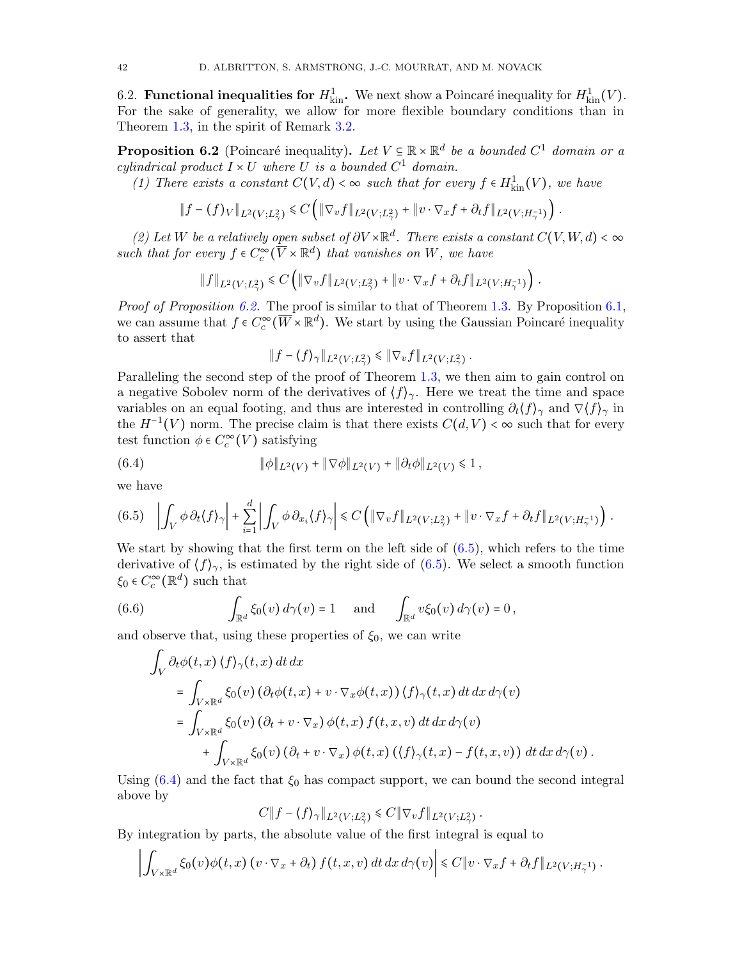6.2. **Functional inequalities for**  $H_{\text{kin}}^1$ . We next show a Poincaré inequality for  $H_{\text{kin}}^1(V)$ . For the sake of generality, we allow for more flexible boundary conditions than in Theorem [1.3,](#page-6-0) in the spirit of Remark [3.2.](#page-18-7)

<span id="page-41-0"></span>**Proposition 6.2** (Poincaré inequality). Let  $V \subseteq \mathbb{R} \times \mathbb{R}^d$  be a bounded  $C^1$  domain or a calindrical product  $I \cup U$  where  $U$  is a hounded  $C^1$  domain cylindrical product  $I \times U$  where U is a bounded  $C^1$  domain.<br>(1) These exists a secretary  $C(Y, d)$  is a sumplementary or

(1) There exists a constant  $C(V, d) < \infty$  such that for every  $f \in H^1_{kin}(V)$ , we have

$$
||f - (f)v||_{L^2(V;L^2_\gamma)} \leq C \left( ||\nabla_v f||_{L^2(V;L^2_\gamma)} + ||v \cdot \nabla_x f + \partial_t f||_{L^2(V;H^{-1}_\gamma)} \right).
$$

(2) Let W be a relatively open subset of  $\partial V \times \mathbb{R}^d$ . There exists a constant  $C(V, W, d) < \infty$ such that for every  $f \in C_c^{\infty}(\overline{V} \times \mathbb{R}^d)$  that vanishes on W, we have

$$
\|f\|_{L^2(V;L^2_\gamma)} \leq C \left( \|\nabla_v f\|_{L^2(V;L^2_\gamma)} + \|v \cdot \nabla_x f + \partial_t f\|_{L^2(V;H^{-1}_\gamma)} \right).
$$

*Proof of Proposition [6.2.](#page-41-0)* The proof is similar to that of Theorem [1.3.](#page-6-0) By Proposition [6.1,](#page-40-3) we can assume that  $f \in C_c^{\infty}(\overline{W} \times \mathbb{R}^d)$ . We start by using the Gaussian Poincaré inequality to assert that

<span id="page-41-2"></span>
$$
||f - \langle f \rangle_{\gamma} ||_{L^2(V;L^2_{\gamma})} \le ||\nabla_v f||_{L^2(V;L^2_{\gamma})}.
$$

Paralleling the second step of the proof of Theorem [1.3,](#page-6-0) we then aim to gain control on a negative Sobolev norm of the derivatives of  $\langle f \rangle_{\gamma}$ . Here we treat the time and space variables on an equal footing, and thus are interested in controlling  $\partial_t \langle f \rangle_\gamma$  and  $\nabla \langle f \rangle_\gamma$  in the  $H^{-1}(V)$  norm. The precise claim is that there exists  $C(d, V) < \infty$  such that for every test function  $\phi \in C_c^{\infty}(V)$  satisfying

(6.4) 
$$
\|\phi\|_{L^2(V)} + \|\nabla\phi\|_{L^2(V)} + \|\partial_t\phi\|_{L^2(V)} \leq 1,
$$

we have

<span id="page-41-1"></span>
$$
(6.5) \quad \left| \int_{V} \phi \, \partial_t \langle f \rangle_{\gamma} \right| + \sum_{i=1}^d \left| \int_{V} \phi \, \partial_{x_i} \langle f \rangle_{\gamma} \right| \leq C \left( \|\nabla_v f\|_{L^2(V;L^2_{\gamma})} + \|v \cdot \nabla_x f + \partial_t f\|_{L^2(V;H^{-1}_{\gamma})} \right).
$$

We start by showing that the first term on the left side of  $(6.5)$ , which refers to the time derivative of  $\langle f \rangle_{\gamma}$ , is estimated by the right side of [\(6.5\)](#page-41-1). We select a smooth function  $\xi_0 \in C_c^{\infty}(\mathbb{R}^d)$  such that

(6.6) 
$$
\int_{\mathbb{R}^d} \xi_0(v) d\gamma(v) = 1 \quad \text{and} \quad \int_{\mathbb{R}^d} v \xi_0(v) d\gamma(v) = 0,
$$

and observe that, using these properties of  $\xi_0$ , we can write

$$
\int_{V} \partial_{t} \phi(t, x) \langle f \rangle_{\gamma}(t, x) dt dx
$$
\n
$$
= \int_{V \times \mathbb{R}^{d}} \xi_{0}(v) \left( \partial_{t} \phi(t, x) + v \cdot \nabla_{x} \phi(t, x) \right) \langle f \rangle_{\gamma}(t, x) dt dx d\gamma(v)
$$
\n
$$
= \int_{V \times \mathbb{R}^{d}} \xi_{0}(v) \left( \partial_{t} + v \cdot \nabla_{x} \right) \phi(t, x) f(t, x, v) dt dx d\gamma(v)
$$
\n
$$
+ \int_{V \times \mathbb{R}^{d}} \xi_{0}(v) \left( \partial_{t} + v \cdot \nabla_{x} \right) \phi(t, x) \left( \langle f \rangle_{\gamma}(t, x) - f(t, x, v) \right) dt dx d\gamma(v).
$$

Using  $(6.4)$  and the fact that  $\xi_0$  has compact support, we can bound the second integral above by

$$
C||f - \langle f \rangle_{\gamma}||_{L^2(V;L^2_{\gamma})} \leq C||\nabla_v f||_{L^2(V;L^2_{\gamma})}.
$$

By integration by parts, the absolute value of the first integral is equal to

$$
\left|\int_{V\times\mathbb{R}^d}\xi_0(v)\phi(t,x)\left(v\cdot\nabla_x+\partial_t\right)f(t,x,v)\,dt\,dx\,d\gamma(v)\right|\leq C\|v\cdot\nabla_xf+\partial_tf\|_{L^2(V;H^{-1}_\gamma)}.
$$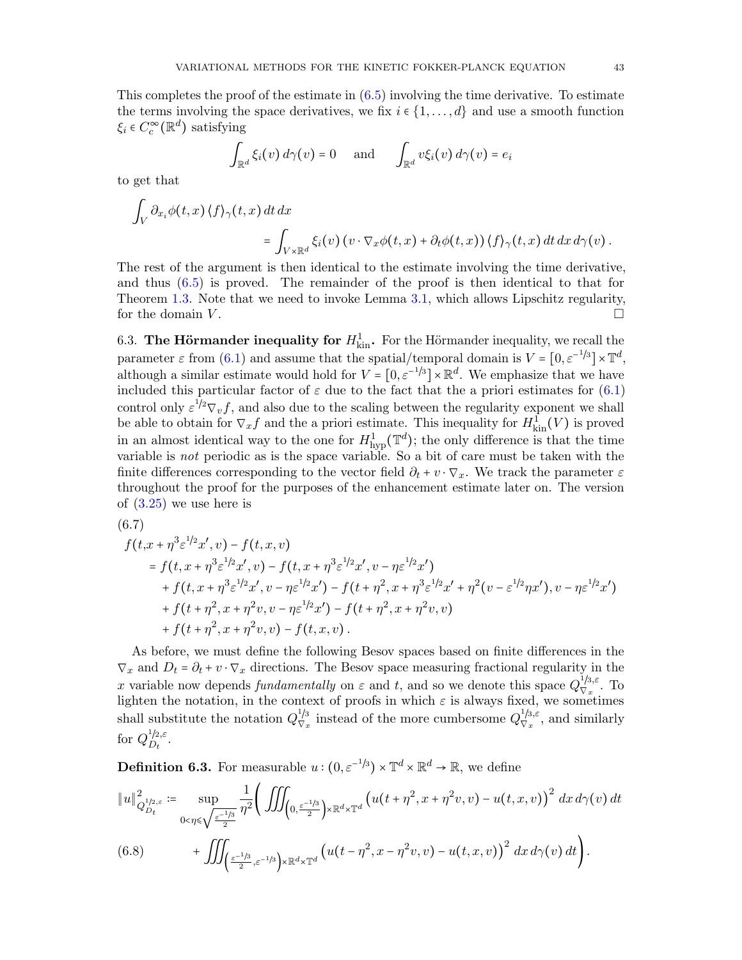This completes the proof of the estimate in [\(6.5\)](#page-41-1) involving the time derivative. To estimate the terms involving the space derivatives, we fix  $i \in \{1, \ldots, d\}$  and use a smooth function  $\xi_i \in C_c^{\infty}(\mathbb{R}^d)$  satisfying

$$
\int_{\mathbb{R}^d} \xi_i(v) d\gamma(v) = 0 \quad \text{and} \quad \int_{\mathbb{R}^d} v \xi_i(v) d\gamma(v) = e_i
$$

to get that

$$
\int_{V} \partial_{x_i} \phi(t, x) \langle f \rangle_{\gamma}(t, x) dt dx = \int_{V \times \mathbb{R}^d} \xi_i(v) \left( v \cdot \nabla_x \phi(t, x) + \partial_t \phi(t, x) \right) \langle f \rangle_{\gamma}(t, x) dt dx d\gamma(v).
$$

The rest of the argument is then identical to the estimate involving the time derivative, and thus  $(6.5)$  is proved. The remainder of the proof is then identical to that for Theorem [1.3.](#page-6-0) Note that we need to invoke Lemma [3.1,](#page-15-5) which allows Lipschitz regularity, for the domain  $V$ .

6.3. The Hörmander inequality for  $H_{\text{kin}}^1$ . For the Hörmander inequality, we recall the parameter  $\varepsilon$  from [\(6.1\)](#page-40-4) and assume that the spatial/temporal domain is  $V = [0, \varepsilon^{-1/3}] \times \mathbb{T}^d$ , although a similar estimate would hold for  $V = [0, \varepsilon^{-1/3}] \times \mathbb{R}^d$ . We emphasize that we have included this particular factor of  $\varepsilon$  due to the fact that the a priori estimates for [\(6.1\)](#page-40-4) control only  $\epsilon^{1/2}\nabla_v f$ , and also due to the scaling between the regularity exponent we shall be able to obtain for  $\nabla_x f$  and the a priori estimate. This inequality for  $H^1_{\text{kin}}(V)$  is proved in an almost identical way to the one for  $H^1_{\text{hyp}}(\mathbb{T}^d)$ ; the only difference is that the time variable is not periodic as is the space variable. So a bit of care must be taken with the finite differences corresponding to the vector field  $\partial_t + v \cdot \nabla_x$ . We track the parameter  $\varepsilon$ throughout the proof for the purposes of the enhancement estimate later on. The version of  $(3.25)$  we use here is

$$
(6.7)
$$
  

$$
f(t, x + \eta^3 \varepsilon^{1/2} x', v) - f(t, x, v)
$$

$$
= f(t, x + \eta^3 \varepsilon^{1/2} x', v) - f(t, x + \eta^3 \varepsilon^{1/2} x', v - \eta \varepsilon^{1/2} x') + f(t, x + \eta^3 \varepsilon^{1/2} x', v - \eta \varepsilon^{1/2} x') - f(t + \eta^2, x + \eta^3 \varepsilon^{1/2} x' + \eta^2 (v - \varepsilon^{1/2} \eta x'), v - \eta \varepsilon^{1/2} x') + f(t + \eta^2, x + \eta^2 v, v - \eta \varepsilon^{1/2} x') - f(t + \eta^2, x + \eta^2 v, v) + f(t + \eta^2, x + \eta^2 v, v) - f(t, x, v).
$$

As before, we must define the following Besov spaces based on finite differences in the  $\nabla_x$  and  $D_t = \partial_t + v \cdot \nabla_x$  directions. The Besov space measuring fractional regularity in the x variable now depends fundamentally on  $\varepsilon$  and t, and so we denote this space  $Q_{\nabla_{\alpha}}^{1/3,\varepsilon}$ . To Lighten the notation, in the context of proofs in which  $\varepsilon$  is always fixed, we sometimes shall substitute the notation  $Q_{\nabla}^{1/3}$  $\frac{1}{2}$  instead of the more cumbersome  $Q_{\nabla_x}^{1/3,\varepsilon}$  $\frac{f}{\nabla_x}^{3,\epsilon}$ , and similarly for  $Q_{D_t}^{1/2,\varepsilon}$ .

**Definition 6.3.** For measurable  $u:(0, \varepsilon^{-1/3}) \times \mathbb{T}^d \times \mathbb{R}^d \to \mathbb{R}$ , we define

<span id="page-42-0"></span>
$$
\|u\|_{Q_{D_t}^{1/2,\varepsilon}}^2 := \sup_{0<\eta\leq \sqrt{\varepsilon^{-1/3}\over 2}} \frac{1}{\eta^2} \bigg( \iiint_{\left(0,\frac{\varepsilon^{-1/3}}{2}\right)\times\mathbb{R}^d\times\mathbb{T}^d} \left(u(t+\eta^2,x+\eta^2v,v)-u(t,x,v)\right)^2 dx d\gamma(v) dt
$$
  
(6.8) 
$$
+ \iiint_{\left(\frac{\varepsilon^{-1/3}}{2},\varepsilon^{-1/3}\right)\times\mathbb{R}^d\times\mathbb{T}^d} \left(u(t-\eta^2,x-\eta^2v,v)-u(t,x,v)\right)^2 dx d\gamma(v) dt \bigg).
$$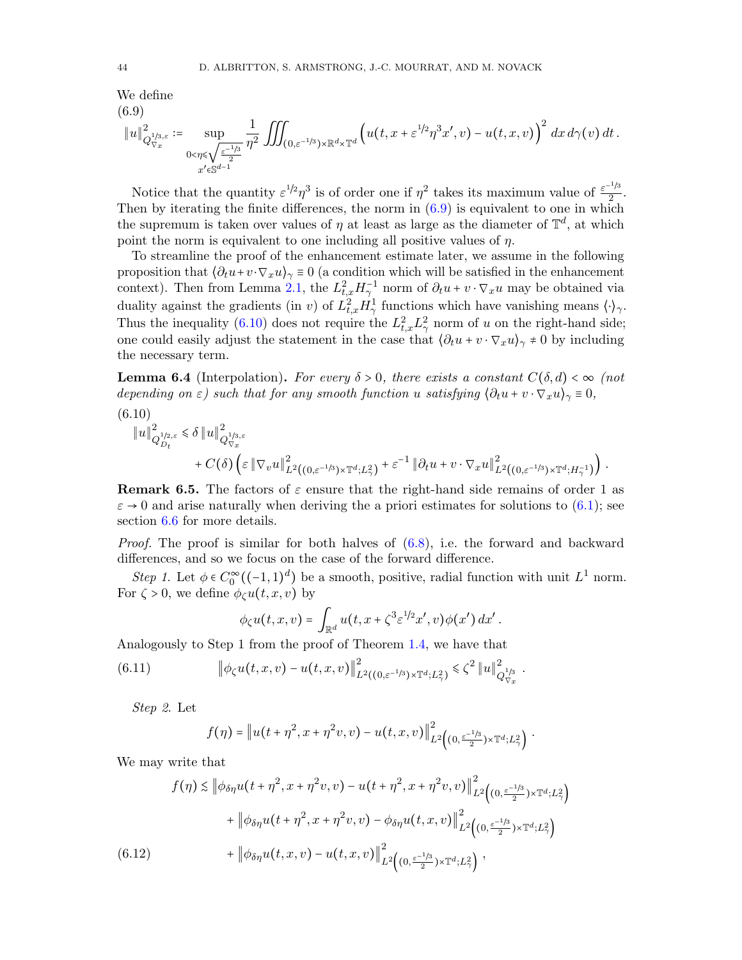We define  $(6.9)$ 

<span id="page-43-0"></span>
$$
\|u\|_{Q_{\nabla_x}^{1/3,\varepsilon}}^2 := \sup_{\substack{0<\eta\leqslant\sqrt{\varepsilon^{-1/3}}\\x'\in\mathbb{S}^{d-1}}} \frac{1}{\eta^2} \iiint_{(0,\varepsilon^{-1/3})\times\mathbb{R}^d\times\mathbb{T}^d} \left(u(t,x+\varepsilon^{1/2}\eta^3x',v)-u(t,x,v)\right)^2 dx d\gamma(v) dt.
$$

Notice that the quantity  $\varepsilon^{1/2}\eta^3$  is of order one if  $\eta^2$  takes its maximum value of  $\frac{\varepsilon^{-1/3}}{2}$  $\frac{7^3}{2}$ . Then by iterating the finite differences, the norm in  $(6.9)$  is equivalent to one in which the supremum is taken over values of  $\eta$  at least as large as the diameter of  $\mathbb{T}^d$ , at which point the norm is equivalent to one including all positive values of  $\eta$ .

To streamline the proof of the enhancement estimate later, we assume in the following proposition that  $\langle \partial_t u + v \cdot \nabla_x u \rangle_\gamma \equiv 0$  (a condition which will be satisfied in the enhancement context). Then from Lemma [2.1,](#page-10-2) the  $L_{t,x}^2 H_{\gamma}^{-1}$  norm of  $\partial_t u + v \cdot \nabla_x u$  may be obtained via duality against the gradients (in v) of  $L^2_{t,x} H^1_\gamma$  functions which have vanishing means  $\langle \cdot \rangle_\gamma$ . Thus the inequality [\(6.10\)](#page-43-1) does not require the  $L_{t,x}^2 L_{\gamma}^2$  norm of u on the right-hand side; one could easily adjust the statement in the case that  $\langle \partial_t u + v \cdot \nabla_x u \rangle_{\gamma} \neq 0$  by including the necessary term.

<span id="page-43-3"></span>**Lemma 6.4** (Interpolation). For every  $\delta > 0$ , there exists a constant  $C(\delta, d) < \infty$  (not depending on  $\varepsilon$ ) such that for any smooth function u satisfying  $\langle \partial_t u + v \cdot \nabla_x u \rangle_\gamma \equiv 0$ ,

<span id="page-43-1"></span>
$$
(6.10)
$$

$$
\|u\|_{Q_{D_t}^{1/2,\varepsilon}}^2 \leq \delta \|u\|_{Q_{\nabla_x}^{1/3,\varepsilon}}^2 + C(\delta) \left(\varepsilon \|\nabla_v u\|_{L^2((0,\varepsilon^{-1/3})\times \mathbb{T}^d;L^2_\gamma)}^2 + \varepsilon^{-1} \|\partial_t u + v \cdot \nabla_x u\|_{L^2((0,\varepsilon^{-1/3})\times \mathbb{T}^d;H^{-1}_\gamma)}^2\right).
$$

**Remark 6.5.** The factors of  $\varepsilon$  ensure that the right-hand side remains of order 1 as  $\varepsilon \to 0$  and arise naturally when deriving the a priori estimates for solutions to [\(6.1\)](#page-40-4); see section  $6.6$  for more details.

*Proof.* The proof is similar for both halves of  $(6.8)$ , i.e. the forward and backward differences, and so we focus on the case of the forward difference.

Step 1. Let  $\phi \in C_0^{\infty}((-1,1)^d)$  be a smooth, positive, radial function with unit  $L^1$  norm. For  $\zeta > 0$ , we define  $\phi_{\zeta} u(t, x, v)$  by

$$
\phi_{\zeta}u(t,x,v)=\int_{\mathbb{R}^d}u(t,x+\zeta^3\varepsilon^{1/2}x',v)\phi(x')\,dx'.
$$

Analogously to Step 1 from the proof of Theorem [1.4,](#page-6-1) we have that

(6.11) 
$$
\left\|\phi_{\zeta}u(t,x,v)-u(t,x,v)\right\|_{L^2((0,\varepsilon^{-1/3})\times\mathbb{T}^d;L^2_{\gamma})}^2\leq \zeta^2 \|u\|_{Q_{\nabla_x}^{1/3}}^2.
$$

Step 2. Let

<span id="page-43-2"></span>
$$
f(\eta) = \left\|u(t+\eta^2,x+\eta^2v,v)-u(t,x,v)\right\|_{L^2\left((0,\frac{\varepsilon^{-1/3}}{2})\times\mathbb{T}^d;L^2_{\gamma}\right)}^2.
$$

We may write that

$$
f(\eta) \lesssim \left\| \phi_{\delta\eta} u(t + \eta^2, x + \eta^2 v, v) - u(t + \eta^2, x + \eta^2 v, v) \right\|_{L^2 \left( (0, \frac{\varepsilon^{-1/3}}{2}) \times \mathbb{T}^d; L^2 \right)}^2 + \left\| \phi_{\delta\eta} u(t + \eta^2, x + \eta^2 v, v) - \phi_{\delta\eta} u(t, x, v) \right\|_{L^2 \left( (0, \frac{\varepsilon^{-1/3}}{2}) \times \mathbb{T}^d; L^2 \right)}^2 + \left\| \phi_{\delta\eta} u(t, x, v) - u(t, x, v) \right\|_{L^2 \left( (0, \frac{\varepsilon^{-1/3}}{2}) \times \mathbb{T}^d; L^2 \right)}^2,
$$
\n
$$
(6.12)
$$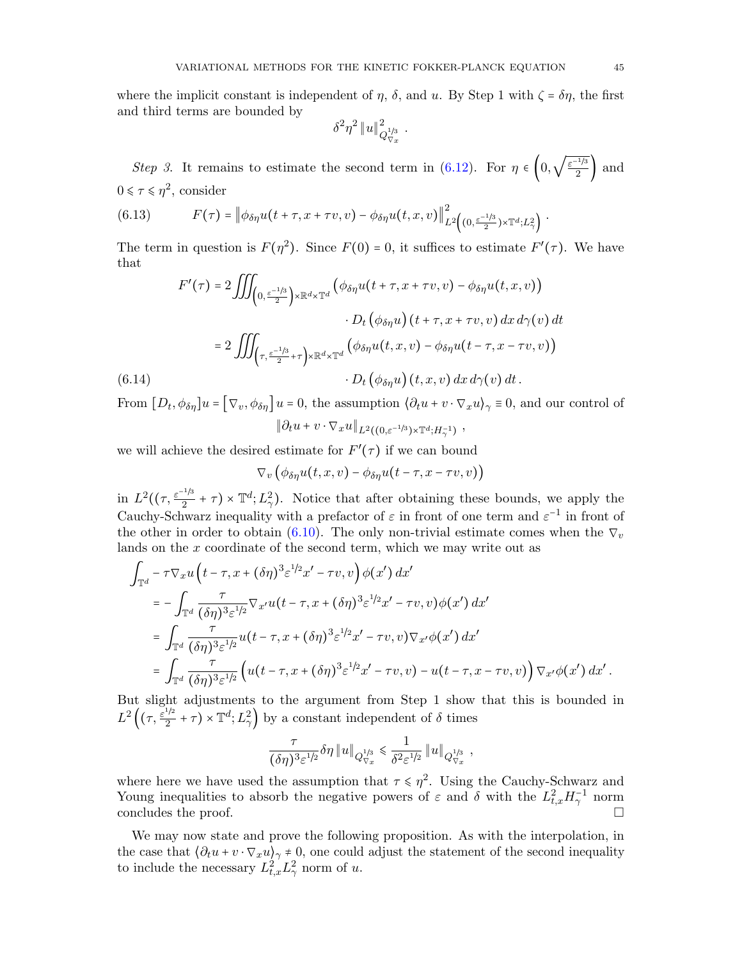$$
\delta^2\eta^2\left\|u\right\|_{Q_{\nabla x}^{1/3}}^2.
$$

Step 3. It remains to estimate the second term in [\(6.12\)](#page-43-2). For  $\eta \in \left(0, \sqrt{\frac{\varepsilon^{-1/3}}{2}}\right)$  $\frac{1}{2}$  and  $0 \leq \tau \leq \eta^2$ , consider

(6.13) 
$$
F(\tau) = \left\| \phi_{\delta \eta} u(t + \tau, x + \tau v, v) - \phi_{\delta \eta} u(t, x, v) \right\|_{L^2 \left( (0, \frac{\varepsilon^{-1/3}}{2}) \times \mathbb{T}^d; L^2_{\gamma} \right)}^2.
$$

The term in question is  $F(\eta^2)$ . Since  $F(0) = 0$ , it suffices to estimate  $F'(\tau)$ . We have that  $\overline{c}$ 

$$
F'(\tau) = 2 \iiint_{\left(0, \frac{\varepsilon^{-1/3}}{2}\right) \times \mathbb{R}^d \times \mathbb{T}^d} \left(\phi_{\delta\eta} u(t + \tau, x + \tau v, v) - \phi_{\delta\eta} u(t, x, v)\right)
$$

$$
\cdot D_t\left(\phi_{\delta\eta} u\right) (t + \tau, x + \tau v, v) dx d\gamma(v) dt
$$

$$
= 2 \iiint_{\left(\tau, \frac{\varepsilon^{-1/3}}{2} + \tau\right) \times \mathbb{R}^d \times \mathbb{T}^d} \left(\phi_{\delta\eta} u(t, x, v) - \phi_{\delta\eta} u(t - \tau, x - \tau v, v)\right)
$$

$$
\cdot D_t\left(\phi_{\delta\eta} u\right) (t, x, v) dx d\gamma(v) dt.
$$

From  $[D_t, \phi_{\delta\eta}]u = [\nabla_v, \phi_{\delta\eta}]u = 0$ , the assumption  $\langle \partial_t u + v \cdot \nabla_x u \rangle_{\gamma} \equiv 0$ , and our control of  $\|\partial_t u + v \cdot \nabla_x u\|_{L^2((0,\varepsilon^{-1/3})\times \mathbb{T}^d;H_\gamma^{-1})}$ ,

we will achieve the desired estimate for  $F'(\tau)$  if we can bound

$$
\nabla_v\big(\phi_{\delta\eta}u(t,x,v)-\phi_{\delta\eta}u(t-\tau,x-\tau v,v)\big)
$$

in  $L^2((\tau,\frac{\varepsilon^{-1/3}}{2})$  $(\frac{1}{2} + \tau) \times \mathbb{T}^d$ ;  $L^2$ ). Notice that after obtaining these bounds, we apply the Cauchy-Schwarz inequality with a prefactor of  $\varepsilon$  in front of one term and  $\varepsilon^{-1}$  in front of the other in order to obtain [\(6.10\)](#page-43-1). The only non-trivial estimate comes when the  $\nabla_v$ lands on the  $x$  coordinate of the second term, which we may write out as

$$
\int_{\mathbb{T}^d} -\tau \nabla_x u \left( t - \tau, x + (\delta \eta)^3 \varepsilon^{1/2} x' - \tau v, v \right) \phi(x') dx'
$$
\n
$$
= -\int_{\mathbb{T}^d} \frac{\tau}{(\delta \eta)^3 \varepsilon^{1/2}} \nabla_{x'} u (t - \tau, x + (\delta \eta)^3 \varepsilon^{1/2} x' - \tau v, v) \phi(x') dx'
$$
\n
$$
= \int_{\mathbb{T}^d} \frac{\tau}{(\delta \eta)^3 \varepsilon^{1/2}} u (t - \tau, x + (\delta \eta)^3 \varepsilon^{1/2} x' - \tau v, v) \nabla_{x'} \phi(x') dx'
$$
\n
$$
= \int_{\mathbb{T}^d} \frac{\tau}{(\delta \eta)^3 \varepsilon^{1/2}} \left( u (t - \tau, x + (\delta \eta)^3 \varepsilon^{1/2} x' - \tau v, v) - u (t - \tau, x - \tau v, v) \right) \nabla_{x'} \phi(x') dx'.
$$

But slight adjustments to the argument from Step 1 show that this is bounded in  $L^2\Bigl((\tau,\frac{\varepsilon^{1/2}}{2}$  $\frac{d^{1/2}}{2} + \tau$   $\times \mathbb{T}^d$ ;  $L^2_{\gamma}$  by a constant independent of  $\delta$  times

$$
\frac{\tau}{(\delta \eta)^{3} \varepsilon^{1/2}} \delta \eta \left\| u \right\|_{Q_{\nabla x}^{1/3}} \leqslant \frac{1}{\delta^{2} \varepsilon^{1/2}} \left\| u \right\|_{Q_{\nabla x}^{1/3}} ,
$$

where here we have used the assumption that  $\tau \le \eta^2$ . Using the Cauchy-Schwarz and<br>Noung inequalities to shoot the negative powers of a and  $\delta$  with the  $I^2$   $H^{-1}$  power Young inequalities to absorb the negative powers of  $\varepsilon$  and  $\delta$  with the  $L_{t,x}^2 H_{\gamma}^{-1}$  norm concludes the proof.  $\Box$ 

We may now state and prove the following proposition. As with the interpolation, in the case that  $\langle \partial_t u + v \cdot \nabla_x u \rangle_{\gamma} \neq 0$ , one could adjust the statement of the second inequality to include the necessary  $L^2_{t,x} L^2_{\gamma}$  norm of u.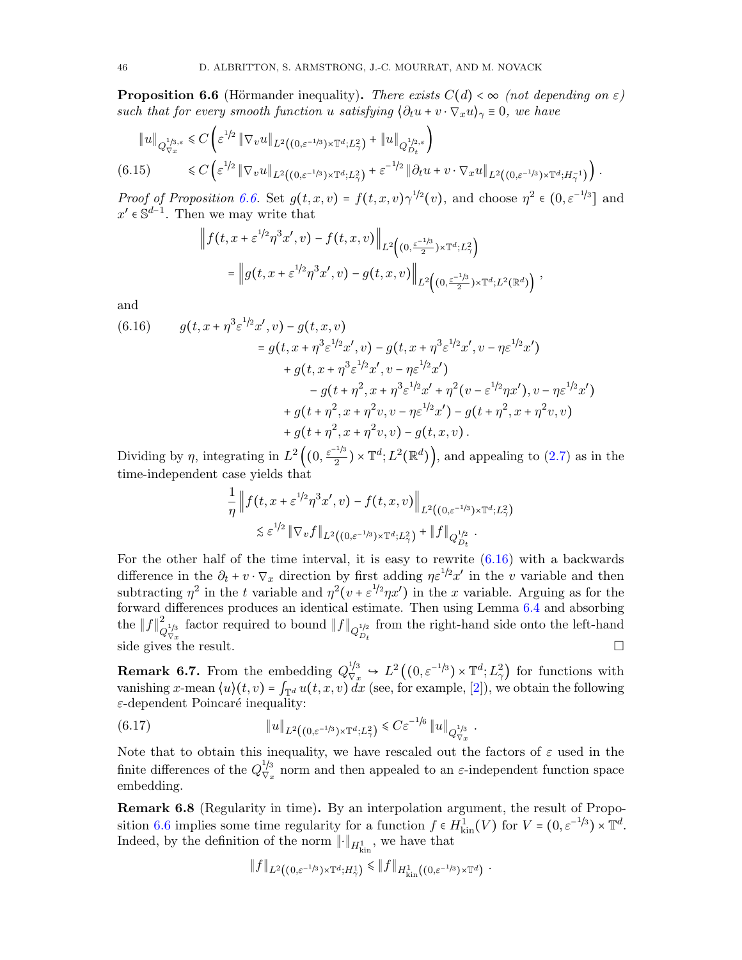<span id="page-45-0"></span>**Proposition 6.6** (Hörmander inequality). There exists  $C(d) < \infty$  (not depending on  $\varepsilon$ ) such that for every smooth function u satisfying  $\langle \partial_t u + v \cdot \nabla_x u \rangle_\gamma = 0$ , we have

<span id="page-45-2"></span>
$$
\|u\|_{Q_{\nabla x}^{1/3,\varepsilon}} \leq C \left( \varepsilon^{1/2} \|\nabla_v u\|_{L^2((0,\varepsilon^{-1/3}) \times \mathbb{T}^d; L^2_\gamma)} + \|u\|_{Q_{D_t}^{1/2,\varepsilon}} \right)
$$
  
(6.15) 
$$
\leq C \left( \varepsilon^{1/2} \|\nabla_v u\|_{L^2((0,\varepsilon^{-1/3}) \times \mathbb{T}^d; L^2_\gamma)} + \varepsilon^{-1/2} \|\partial_t u + v \cdot \nabla_x u\|_{L^2((0,\varepsilon^{-1/3}) \times \mathbb{T}^d; H^{-1}_\gamma)} \right).
$$

*Proof of Proposition [6.6.](#page-45-0)* Set  $g(t, x, v) = f(t, x, v) \gamma^{1/2}(v)$ , and choose  $\eta^2 \in (0, \varepsilon^{-1/3}]$  and  $x' \in \mathbb{S}^{d-1}$ . Then we may write that

$$
(t, x + \varepsilon^{1/2} \eta^3 x', v) - f(t, x, v) \Big\|_{L^2 \left( (0, \frac{\varepsilon^{-1/3}}{2}) \times \mathbb{T}^d; L^2_{\gamma} \right)}
$$
  
= 
$$
\Big\| g(t, x + \varepsilon^{1/2} \eta^3 x', v) - g(t, x, v) \Big\|_{L^2 \left( (0, \frac{\varepsilon^{-1/3}}{2}) \times \mathbb{T}^d; L^2(\mathbb{R}^d) \right)},
$$

and

 $\|f\|$ 

<span id="page-45-1"></span>(6.16) 
$$
g(t, x + \eta^3 \varepsilon^{1/2} x', v) - g(t, x, v) = g(t, x + \eta^3 \varepsilon^{1/2} x', v) - g(t, x + \eta^3 \varepsilon^{1/2} x', v - \eta \varepsilon^{1/2} x') + g(t, x + \eta^3 \varepsilon^{1/2} x', v - \eta \varepsilon^{1/2} x') - g(t + \eta^2, x + \eta^3 \varepsilon^{1/2} x' + \eta^2 (v - \varepsilon^{1/2} \eta x'), v - \eta \varepsilon^{1/2} x') + g(t + \eta^2, x + \eta^2 v, v - \eta \varepsilon^{1/2} x') - g(t + \eta^2, x + \eta^2 v, v) + g(t + \eta^2, x + \eta^2 v, v) - g(t, x, v).
$$

Dividing by  $\eta$ , integrating in  $L^2\left( (0, \frac{\varepsilon^{-1/3}}{2} \right)$  $\left(\frac{2.7}{2}\right) \times \mathbb{T}^d$ ;  $L^2(\mathbb{R}^d)$ , and appealing to  $(2.7)$  as in the time-independent case yields that

$$
\frac{1}{\eta} \left\| f(t, x + \varepsilon^{1/2} \eta^3 x', v) - f(t, x, v) \right\|_{L^2((0, \varepsilon^{-1/3}) \times \mathbb{T}^d; L^2_\gamma)} \leq \varepsilon^{1/2} \left\| \nabla_v f \right\|_{L^2((0, \varepsilon^{-1/3}) \times \mathbb{T}^d; L^2_\gamma)} + \left\| f \right\|_{Q_{D_t}^{1/2}}.
$$

For the other half of the time interval, it is easy to rewrite  $(6.16)$  with a backwards difference in the  $\partial_t + v \cdot \nabla_x$  direction by first adding  $\eta \varepsilon^{1/2} x'$  in the v variable and then subtracting  $\eta^2$  in the t variable and  $\eta^2(v + \varepsilon^{1/2}\eta x')$  in the x variable. Arguing as for the forward differences produces an identical estimate. Then using Lemma [6.4](#page-43-3) and absorbing the  $||f||_q^2$  $Q_{\nabla x}^{\text{1/3}}$  factor required to bound  $\|f\|_{Q_{D_t}^{\text{1/2}}}$ from the right-hand side onto the left-hand side gives the result.  $\square$ 

**Remark 6.7.** From the embedding  $Q_{\nabla_x}^{1/3} \rightarrow L^2((0,\varepsilon^{-1/3}) \times \mathbb{T}^d; L^2_\gamma)$  for functions with vanishing x-mean  $\langle u \rangle(t, v) = \int_{\mathbb{T}^d} u(t, x, v) dx$  (see, for example, [\[2\]](#page-50-12)), we obtain the following  $\varepsilon$ -dependent Poincaré inequality:

<span id="page-45-3"></span>(6.17) 
$$
||u||_{L^2((0,\varepsilon^{-1/3})\times \mathbb{T}^d;L^2_\gamma)} \leq C\varepsilon^{-1/6} ||u||_{Q_{\nabla_x}^{1/3}}.
$$

Note that to obtain this inequality, we have rescaled out the factors of  $\varepsilon$  used in the finite differences of the  $Q_{\nabla}^{1/3}$  $\frac{f}{\nabla x}$  norm and then appealed to an  $\varepsilon$ -independent function space embedding.

Remark 6.8 (Regularity in time). By an interpolation argument, the result of Propo-sition [6.6](#page-45-0) implies some time regularity for a function  $f \in H^1_{kin}(V)$  for  $V = (0, \varepsilon^{-1/3}) \times \mathbb{T}^d$ . Indeed, by the definition of the norm  $\lVert \cdot \rVert_{H^1_{\text{kin}}}$ , we have that

$$
\|f\|_{L^2((0,\varepsilon^{-1/3})\times \mathbb{T}^d;H^1_\gamma)} \leq \|f\|_{H^1_{\text{kin}}((0,\varepsilon^{-1/3})\times \mathbb{T}^d)}.
$$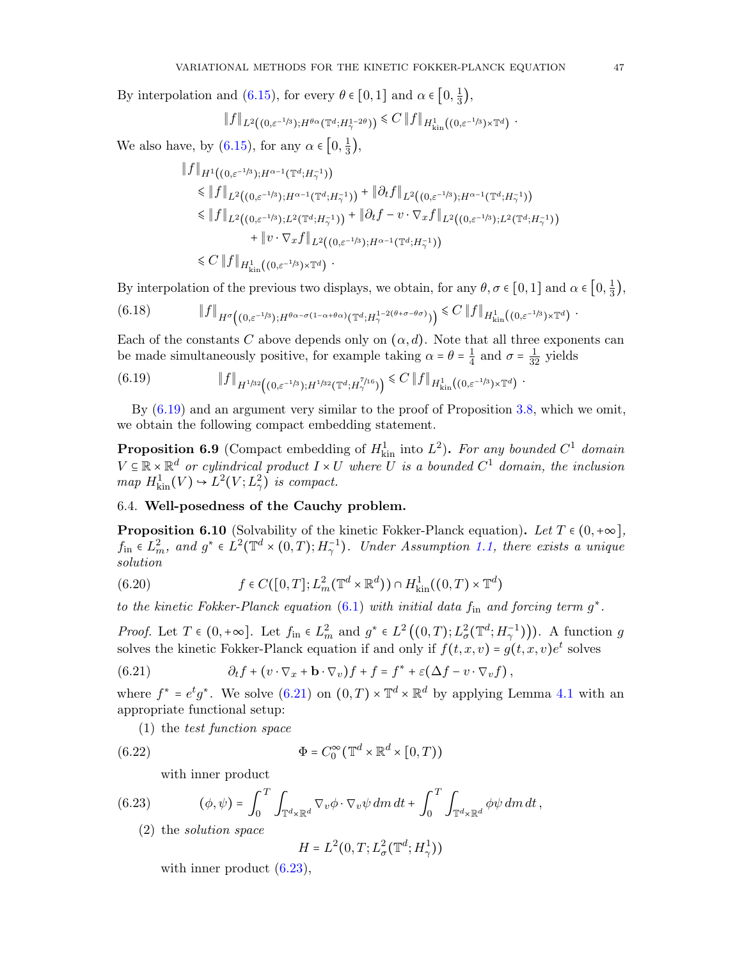By interpolation and [\(6.15\)](#page-45-2), for every  $\theta \in [0,1]$  and  $\alpha \in \left[0, \frac{1}{3}\right]$  $\frac{1}{3}$ ,

$$
\|f\|_{L^2((0,\varepsilon^{-1/3});H^{\theta\alpha}(\mathbb{T}^d;H^{1-2\theta}_{\gamma}))} \leq C \|f\|_{H^1_{\text{kin}}((0,\varepsilon^{-1/3})\times \mathbb{T}^d)}
$$

We also have, by [\(6.15\)](#page-45-2), for any  $\alpha \in [0, \frac{1}{3}]$  $\frac{1}{3}$ ,

$$
\|f\|_{H^1((0,\varepsilon^{-1/3});H^{\alpha-1}(\mathbb{T}^d;H_{\gamma}^{-1}))}
$$
\n
$$
\leq \|f\|_{L^2((0,\varepsilon^{-1/3});H^{\alpha-1}(\mathbb{T}^d;H_{\gamma}^{-1}))} + \|\partial_t f\|_{L^2((0,\varepsilon^{-1/3});H^{\alpha-1}(\mathbb{T}^d;H_{\gamma}^{-1}))}
$$
\n
$$
\leq \|f\|_{L^2((0,\varepsilon^{-1/3});L^2(\mathbb{T}^d;H_{\gamma}^{-1}))} + \|\partial_t f - v \cdot \nabla_x f\|_{L^2((0,\varepsilon^{-1/3});L^2(\mathbb{T}^d;H_{\gamma}^{-1}))}
$$
\n
$$
+ \|v \cdot \nabla_x f\|_{L^2((0,\varepsilon^{-1/3});H^{\alpha-1}(\mathbb{T}^d;H_{\gamma}^{-1}))}
$$
\n
$$
\leq C \|f\|_{H^1_{\text{kin}}((0,\varepsilon^{-1/3}) \times \mathbb{T}^d)}.
$$

By interpolation of the previous two displays, we obtain, for any  $\theta$ ,  $\sigma \in [0,1]$  and  $\alpha \in \left[0,\frac{1}{3}\right]$  $\frac{1}{3}$ ,

$$
(6.18) \t\t\t|| f ||_{H^{\sigma}\left((0,\varepsilon^{-1/3});H^{\theta\alpha-\sigma(1-\alpha+\theta\alpha)}(\mathbb{T}^d;H^{1-2(\theta+\sigma-\theta\sigma)}_{\gamma})\right)} \leq C \, || f ||_{H^1_{\text{kin}}\left((0,\varepsilon^{-1/3})\times \mathbb{T}^d\right)}.
$$

Each of the constants C above depends only on  $(\alpha, d)$ . Note that all three exponents can be made simultaneously positive, for example taking  $\alpha = \theta = \frac{1}{4}$  $\frac{1}{4}$  and  $\sigma = \frac{1}{32}$  yields

<span id="page-46-1"></span>
$$
(6.19) \t\t\t ||f||_{H^{1/32}((0,\varepsilon^{-1/3});H^{1/32}(\mathbb{T}^d;H^{7/16}_{\gamma}))} \leq C ||f||_{H^1_{\text{kin}}((0,\varepsilon^{-1/3})\times \mathbb{T}^d)}.
$$

By [\(6.19\)](#page-46-1) and an argument very similar to the proof of Proposition [3.8,](#page-25-0) which we omit, we obtain the following compact embedding statement.

**Proposition 6.9** (Compact embedding of  $H_{kin}^1$  into  $L^2$ ). For any bounded  $C^1$  domain  $V \subseteq \mathbb{R} \times \mathbb{R}^d$  or cylindrical product  $I \times U$  where U is a bounded  $C^1$  domain, the inclusion  $map H_{\text{kin}}^1(V) \rightarrow L^2(V; L^2_\gamma)$  is compact.

# 6.4. Well-posedness of the Cauchy problem.

<span id="page-46-0"></span>**Proposition 6.10** (Solvability of the kinetic Fokker-Planck equation). Let  $T \in (0, +\infty]$ ,  $f_{\text{in}} \in L^2_m$ , and  $g^* \in L^2(\mathbb{T}^d \times (0,T); H^{-1}_\gamma)$ . Under Assumption [1.1,](#page-4-1) there exists a unique solution

(6.20) 
$$
f \in C([0,T]; L^2_m(\mathbb{T}^d \times \mathbb{R}^d)) \cap H^1_{\text{kin}}((0,T) \times \mathbb{T}^d)
$$

to the kinetic Fokker-Planck equation  $(6.1)$  with initial data  $f_{\text{in}}$  and forcing term  $g^*$ .

*Proof.* Let  $T \in (0, +\infty]$ . Let  $f_{\text{in}} \in L^2_m$  and  $g^* \in L^2((0, T); L^2_\sigma(\mathbb{T}^d; H^{-1}_\gamma))$ . A function g solves the kinetic Fokker-Planck equation if and only if  $f(t, x, v) = g(t, x, v)e^{t}$  solves

(6.21) 
$$
\partial_t f + (v \cdot \nabla_x + \mathbf{b} \cdot \nabla_v) f + f = f^* + \varepsilon (\Delta f - v \cdot \nabla_v f),
$$

where  $f^* = e^t g^*$ . We solve [\(6.21\)](#page-46-2) on  $(0,T) \times \mathbb{T}^d \times \mathbb{R}^d$  by applying Lemma [4.1](#page-28-2) with an appropriate functional setup:

<span id="page-46-2"></span>(1) the test function space

(6.22) 
$$
\Phi = C_0^{\infty} (\mathbb{T}^d \times \mathbb{R}^d \times [0, T))
$$

<span id="page-46-3"></span>with inner product

(6.23) 
$$
(\phi, \psi) = \int_0^T \int_{\mathbb{T}^d \times \mathbb{R}^d} \nabla_v \phi \cdot \nabla_v \psi \, dm \, dt + \int_0^T \int_{\mathbb{T}^d \times \mathbb{R}^d} \phi \psi \, dm \, dt,
$$

(2) the solution space

$$
H = L^2(0, T; L^2_\sigma(\mathbb{T}^d; H^1_\gamma))
$$

with inner product  $(6.23)$ ,

.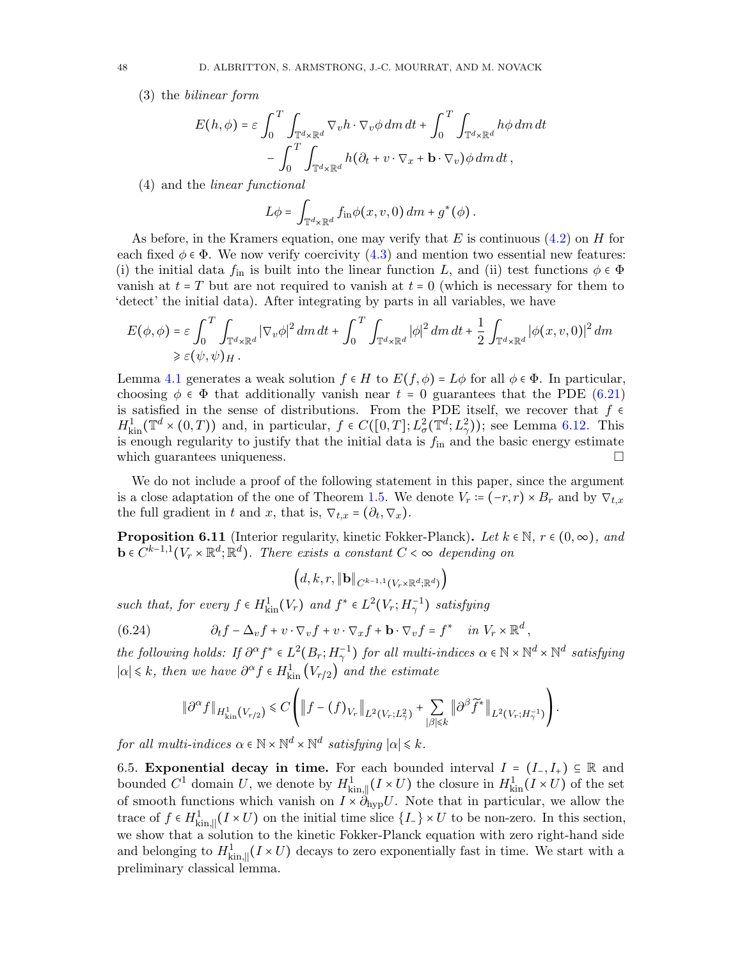(3) the bilinear form

$$
E(h,\phi) = \varepsilon \int_0^T \int_{\mathbb{T}^d \times \mathbb{R}^d} \nabla_v h \cdot \nabla_v \phi \, dm \, dt + \int_0^T \int_{\mathbb{T}^d \times \mathbb{R}^d} h \phi \, dm \, dt - \int_0^T \int_{\mathbb{T}^d \times \mathbb{R}^d} h(\partial_t + v \cdot \nabla_x + \mathbf{b} \cdot \nabla_v) \phi \, dm \, dt,
$$

(4) and the linear functional

$$
L\phi = \int_{\mathbb{T}^d \times \mathbb{R}^d} f_{\text{in}}\phi(x, v, 0) \, dm + g^*(\phi).
$$

As before, in the Kramers equation, one may verify that  $E$  is continuous  $(4.2)$  on  $H$  for each fixed  $\phi \in \Phi$ . We now verify coercivity [\(4.3\)](#page-28-4) and mention two essential new features: (i) the initial data  $f_{\text{in}}$  is built into the linear function L, and (ii) test functions  $\phi \in \Phi$ vanish at  $t = T$  but are not required to vanish at  $t = 0$  (which is necessary for them to 'detect' the initial data). After integrating by parts in all variables, we have

$$
E(\phi, \phi) = \varepsilon \int_0^T \int_{\mathbb{T}^d \times \mathbb{R}^d} |\nabla_v \phi|^2 dm dt + \int_0^T \int_{\mathbb{T}^d \times \mathbb{R}^d} |\phi|^2 dm dt + \frac{1}{2} \int_{\mathbb{T}^d \times \mathbb{R}^d} |\phi(x, v, 0)|^2 dm
$$
  
\$\ge \varepsilon(\psi, \psi)\_H.

Lemma [4.1](#page-28-2) generates a weak solution  $f \in H$  to  $E(f, \phi) = L\phi$  for all  $\phi \in \Phi$ . In particular, choosing  $\phi \in \Phi$  that additionally vanish near  $t = 0$  guarantees that the PDE [\(6.21\)](#page-46-2) is satisfied in the sense of distributions. From the PDE itself, we recover that  $f \in H_{\text{kin}}^1(\mathbb{T}^d \times (0,T))$  and, in particular,  $f \in C([0,T]; L^2_{\sigma}(\mathbb{T}^d; L^2_{\gamma}))$ ; see Lemma [6.12.](#page-48-0) This is enough regularity to justify that which guarantees uniqueness.  $\Box$ 

We do not include a proof of the following statement in this paper, since the argument is a close adaptation of the one of Theorem [1.5.](#page-7-1) We denote  $V_r := (-r, r) \times B_r$  and by  $\nabla_{t,x}$ the full gradient in t and x, that is,  $\nabla_{t,x} = (\partial_t, \nabla_x)$ .

**Proposition 6.11** (Interior regularity, kinetic Fokker-Planck). Let  $k \in \mathbb{N}$ ,  $r \in (0, \infty)$ , and  $\mathbf{b} \in C^{k-1,1}(V_r \times \mathbb{R}^d; \mathbb{R}^d)$ . There exists a constant  $C < \infty$  depending on

$$
\left(d,k,r,\|\mathbf{b}\|_{C^{k-1,1}(V_r\times\mathbb{R}^d;\mathbb{R}^d)}\right)
$$

such that, for every  $f \in H_{\text{kin}}^1(V_r)$  and  $f^* \in L^2(V_r; H_\gamma^{-1})$  satisfying

(6.24) 
$$
\partial_t f - \Delta_v f + v \cdot \nabla_v f + v \cdot \nabla_x f + \mathbf{b} \cdot \nabla_v f = f^* \quad in \ V_r \times \mathbb{R}^d,
$$

the following holds: If  $\partial^{\alpha} f^* \in L^2(B_r; H^{-1}_\gamma)$  for all multi-indices  $\alpha \in \mathbb{N} \times \mathbb{N}^d \times \mathbb{N}^d$  satisfying  $|\alpha| \leq k$ , then we have  $\partial^{\alpha} f \in H^1_{\text{kin}}(V_{r/2})$  and the estimate

$$
\|\partial^{\alpha} f\|_{H^1_{\text{kin}}(V_{r/2})} \leq C \left( \|f - (f)_{V_r}\|_{L^2(V_r;L^2_\gamma)} + \sum_{|\beta| \leq k} \|\partial^{\beta} \widetilde{f}^*\|_{L^2(V_r;H^{-1}_\gamma)} \right).
$$

for all multi-indices  $\alpha \in \mathbb{N} \times \mathbb{N}^d \times \mathbb{N}^d$  satisfying  $|\alpha| \leq k$ .

<span id="page-47-0"></span>6.5. Exponential decay in time. For each bounded interval  $I = (I_-, I_+) \subseteq \mathbb{R}$  and bounded  $C^1$  domain U, we denote by  $H^1_{\text{kin},\parallel}(I \times U)$  the closure in  $H^1_{\text{kin}}(I \times U)$  of the set of smooth functions which vanish on  $I \times \partial_{\text{hyp}} U$ . Note that in particular, we allow the trace of  $f \in H_{\text{kin},\parallel}^1(I \times U)$  on the initial time slice  $\{I_-\} \times U$  to be non-zero. In this section, we show that a solution to the kinetic Fokker-Planck equation with zero right-hand side and belonging to  $H^1_{\text{kin},\parallel}(I \times U)$  decays to zero exponentially fast in time. We start with a nuclimization closical larger preliminary classical lemma.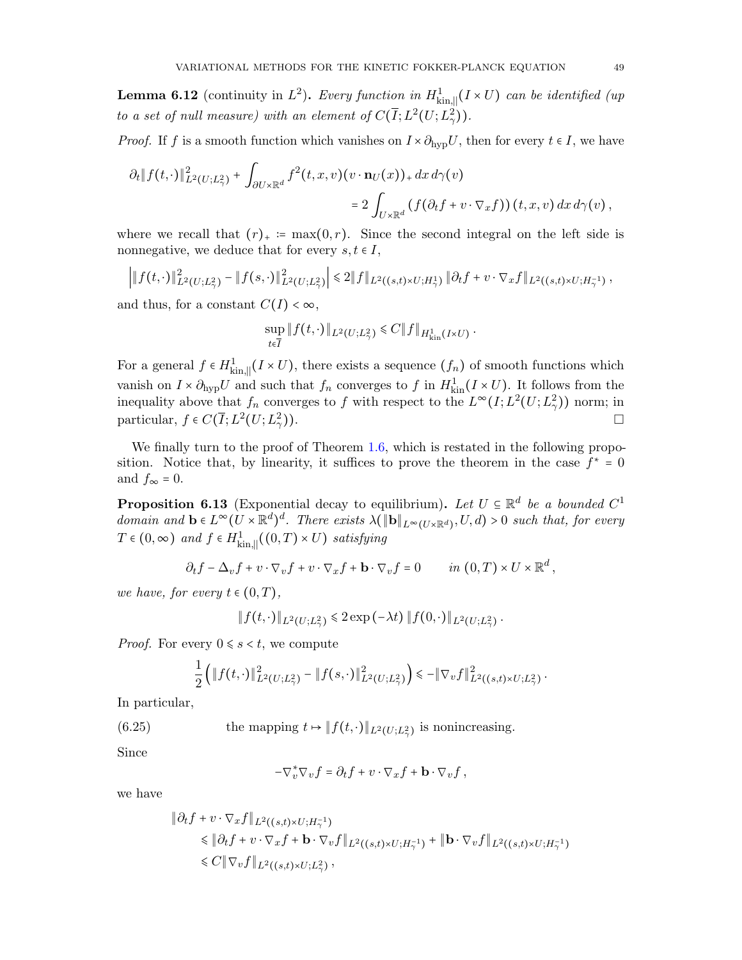<span id="page-48-0"></span>**Lemma 6.12** (continuity in  $L^2$ ). Every function in  $H^1_{\text{kin},\parallel}(I \times U)$  can be identified (up to a set of null measure) with an element of  $C(\overline{I}; L^2(U; L^2_\gamma))$ .

*Proof.* If f is a smooth function which vanishes on  $I \times \partial_{\text{hvp}} U$ , then for every  $t \in I$ , we have

$$
\partial_t \|f(t,\cdot)\|_{L^2(U;L^2_\gamma)}^2 + \int_{\partial U \times \mathbb{R}^d} f^2(t,x,v)(v \cdot \mathbf{n}_U(x))_+ dx d\gamma(v)
$$
  
= 
$$
2 \int_{U \times \mathbb{R}^d} (f(\partial_t f + v \cdot \nabla_x f))(t,x,v) dx d\gamma(v),
$$

where we recall that  $(r)_+ := \max(0, r)$ . Since the second integral on the left side is nonnegative, we deduce that for every  $s, t \in I$ ,

$$
\left| \|f(t,\cdot)\|_{L^2(U;L^2_\gamma)}^2 - \|f(s,\cdot)\|_{L^2(U;L^2_\gamma)}^2 \right| \leq 2 \|f\|_{L^2((s,t)\times U;H^1_\gamma)} \|\partial_t f + v \cdot \nabla_x f\|_{L^2((s,t)\times U;H^{-1}_\gamma)},
$$

and thus, for a constant  $C(I) < \infty$ ,

$$
\sup_{t \in \overline{I}} \| f(t, \cdot) \|_{L^2(U; L^2_\gamma)} \leq C \| f \|_{H^1_{\text{kin}}(I \times U)}.
$$

For a general  $f \in H^1_{\text{kin},\parallel}(I \times U)$ , there exists a sequence  $(f_n)$  of smooth functions which vanish on  $I \times \partial_{\text{hyp}} U$  and such that  $f_n$  converges to f in  $H_{\text{kin}}^1(I \times U)$ . It follows from the inequality above that  $f_n$  converges to f with respect to the  $L^{\infty}(I; L^2(U; L^2_{\gamma}))$  norm; in particular,  $f \in C(\overline{I}; L^2(U; L^2_{\gamma}))$ )).

We finally turn to the proof of Theorem [1.6,](#page-8-0) which is restated in the following proposition. Notice that, by linearity, it suffices to prove the theorem in the case  $f^* = 0$ and  $f_{\infty} = 0$ .

<span id="page-48-2"></span>**Proposition 6.13** (Exponential decay to equilibrium). Let  $U \subseteq \mathbb{R}^d$  be a bounded  $C^1$ <br>density and  $\mathbf{b} \in L^\infty (U \cup \mathbb{R}^d)$  (The second to  $\mathcal{L}(\mathbb{R}^d)$  and  $\mathcal{L}(\mathbb{R}^d)$ ) be a substitute for summary domain and  $\mathbf{b} \in L^{\infty}(U \times \mathbb{R}^d)^d$ . There exists  $\lambda(\|\mathbf{b}\|_{L^{\infty}(U \times \mathbb{R}^d)}, U, d) > 0$  such that, for every  $T \in (0, \infty)$  and  $f \in H^1_{\text{kin},\parallel}((0, T) \times U)$  satisfying

$$
\partial_t f - \Delta_v f + v \cdot \nabla_v f + v \cdot \nabla_x f + \mathbf{b} \cdot \nabla_v f = 0 \qquad in (0, T) \times U \times \mathbb{R}^d,
$$

we have, for every  $t \in (0, T)$ ,

$$
|| f(t, \cdot) ||_{L^2(U; L^2_{\gamma})} \leq 2 \exp(-\lambda t) || f(0, \cdot) ||_{L^2(U; L^2_{\gamma})}.
$$

*Proof.* For every  $0 \leq s \leq t$ , we compute

<span id="page-48-1"></span>
$$
\frac{1}{2}\left(\|f(t,\cdot)\|_{L^2(U;L^2_\gamma)}^2-\|f(s,\cdot)\|_{L^2(U;L^2_\gamma)}^2\right)\leq -\|\nabla_v f\|_{L^2((s,t)\times U;L^2_\gamma)}^2.
$$

In particular,

(6.25) the mapping 
$$
t \mapsto ||f(t, \cdot)||_{L^2(U; L^2_\gamma)}
$$
 is nonincreasing.

Since

$$
-\nabla_v^* \nabla_v f = \partial_t f + v \cdot \nabla_x f + \mathbf{b} \cdot \nabla_v f,
$$

we have

$$
\|\partial_t f + v \cdot \nabla_x f\|_{L^2((s,t)\times U;H_\gamma^{-1})}
$$
  
\$\|\partial\_t f + v \cdot \nabla\_x f + \mathbf{b} \cdot \nabla\_v f\|\_{L^2((s,t)\times U;H\_\gamma^{-1})} + \|\mathbf{b} \cdot \nabla\_v f\|\_{L^2((s,t)\times U;H\_\gamma^{-1})}\$  
\$\leq C \|\nabla\_v f\|\_{L^2((s,t)\times U;L\_\gamma^2)},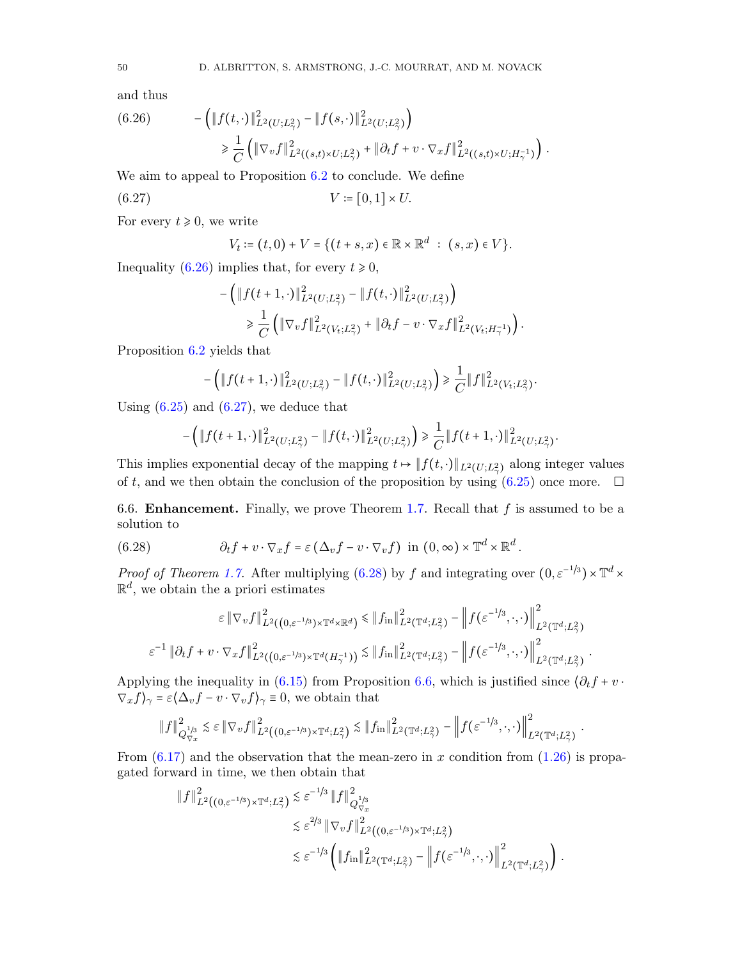and thus

<span id="page-49-1"></span>(6.26) 
$$
- \left( \|f(t, \cdot)\|_{L^2(U; L^2_{\gamma})}^2 - \|f(s, \cdot)\|_{L^2(U; L^2_{\gamma})}^2 \right) \geq \frac{1}{C} \left( \|\nabla_v f\|_{L^2((s,t) \times U; L^2_{\gamma})}^2 + \|\partial_t f + v \cdot \nabla_x f\|_{L^2((s,t) \times U; H^{-1}_{\gamma})}^2 \right).
$$

We aim to appeal to Proposition [6.2](#page-41-0) to conclude. We define

$$
(6.27) \t\t\t V := [0,1] \times U.
$$

For every  $t \geq 0$ , we write

<span id="page-49-2"></span>
$$
V_t := (t,0) + V = \{(t+s,x) \in \mathbb{R} \times \mathbb{R}^d : (s,x) \in V\}.
$$

Inequality [\(6.26\)](#page-49-1) implies that, for every  $t \ge 0$ ,

$$
-\left(\|f(t+1,\cdot)\|_{L^2(U;L^2_\gamma)}^2-\|f(t,\cdot)\|_{L^2(U;L^2_\gamma)}^2\right) \n\geq \frac{1}{C}\left(\|\nabla_v f\|_{L^2(V_t;L^2_\gamma)}^2+\|\partial_t f-v\cdot\nabla_x f\|_{L^2(V_t;H^{-1}_\gamma)}^2\right).
$$

Proposition [6.2](#page-41-0) yields that

$$
-\left(\|f(t+1,\cdot)\|_{L^2(U;L^2_\gamma)}^2-\|f(t,\cdot)\|_{L^2(U;L^2_\gamma)}^2\right)\geq \frac{1}{C}\|f\|_{L^2(V_t;L^2_\gamma)}^2.
$$

Using  $(6.25)$  and  $(6.27)$ , we deduce that

$$
-\left(\|f(t+1,\cdot)\|_{L^2(U;L^2_\gamma)}^2-\|f(t,\cdot)\|_{L^2(U;L^2_\gamma)}^2\right)\geq \frac{1}{C}\|f(t+1,\cdot)\|_{L^2(U;L^2_\gamma)}^2.
$$

This implies exponential decay of the mapping  $t \mapsto \|f(t, \cdot)\|_{L^2(U; L^2_\gamma)}$  along integer values of t, and we then obtain the conclusion of the proposition by using  $(6.25)$  once more.  $\Box$ 

<span id="page-49-0"></span>6.6. **Enhancement.** Finally, we prove Theorem [1.7.](#page-9-0) Recall that  $f$  is assumed to be a solution to

(6.28) 
$$
\partial_t f + v \cdot \nabla_x f = \varepsilon \left( \Delta_v f - v \cdot \nabla_v f \right) \text{ in } (0, \infty) \times \mathbb{T}^d \times \mathbb{R}^d.
$$

*Proof of Theorem [1.7.](#page-9-0)* After multiplying [\(6.28\)](#page-49-3) by f and integrating over  $(0, \varepsilon^{-1/3}) \times \mathbb{T}^d \times$  $\mathbb{R}^d$ , we obtain the a priori estimates

<span id="page-49-3"></span>
$$
\varepsilon \left\| \nabla_v f \right\|_{L^2((0,\varepsilon^{-1/3}) \times \mathbb{T}^d \times \mathbb{R}^d)}^2 \leq \left\| f_{\text{in}} \right\|_{L^2(\mathbb{T}^d;L^2_\gamma)}^2 - \left\| f(\varepsilon^{-1/3},\cdot,\cdot) \right\|_{L^2(\mathbb{T}^d;L^2_\gamma)}^2
$$

$$
\varepsilon^{-1} \left\| \partial_t f + v \cdot \nabla_x f \right\|_{L^2((0,\varepsilon^{-1/3}) \times \mathbb{T}^d(H_\gamma^{-1}))}^2 \lesssim \left\| f_{\text{in}} \right\|_{L^2(\mathbb{T}^d;L^2_\gamma)}^2 - \left\| f(\varepsilon^{-1/3},\cdot,\cdot) \right\|_{L^2(\mathbb{T}^d;L^2_\gamma)}^2.
$$

Applying the inequality in [\(6.15\)](#page-45-2) from Proposition [6.6,](#page-45-0) which is justified since  $\partial_t f + v \cdot$  $\nabla_x f\rangle_\gamma = \varepsilon \langle \Delta_v f - v \cdot \nabla_v f \rangle_\gamma \equiv 0$ , we obtain that

$$
\|f\|_{Q_{\nabla_x}^{1/3}}^2 \lesssim \varepsilon \|\nabla_v f\|_{L^2((0,\varepsilon^{-1/3})\times \mathbb{T}^d;L^2_\gamma)}^2 \lesssim \|f_{\rm in}\|_{L^2(\mathbb{T}^d;L^2_\gamma)}^2 - \left\|f(\varepsilon^{-1/3},\cdot,\cdot)\right\|_{L^2(\mathbb{T}^d;L^2_\gamma)}^2.
$$

From  $(6.17)$  and the observation that the mean-zero in x condition from  $(1.26)$  is propagated forward in time, we then obtain that

$$
\|f\|_{L^{2}((0,\varepsilon^{-1/3})\times\mathbb{T}^{d};L^{2}_{\gamma})}^{2} \lesssim \varepsilon^{-1/3} \|f\|_{Q_{\nabla x}^{1/3}}^{2}
$$
  

$$
\lesssim \varepsilon^{2/3} \|\nabla_{v}f\|_{L^{2}((0,\varepsilon^{-1/3})\times\mathbb{T}^{d};L^{2}_{\gamma})}^{2}
$$
  

$$
\lesssim \varepsilon^{-1/3} \left(\|f_{\text{in}}\|_{L^{2}(\mathbb{T}^{d};L^{2}_{\gamma})}^{2} - \left\|f(\varepsilon^{-1/3},\cdot,\cdot)\right\|_{L^{2}(\mathbb{T}^{d};L^{2}_{\gamma})}^{2}\right).
$$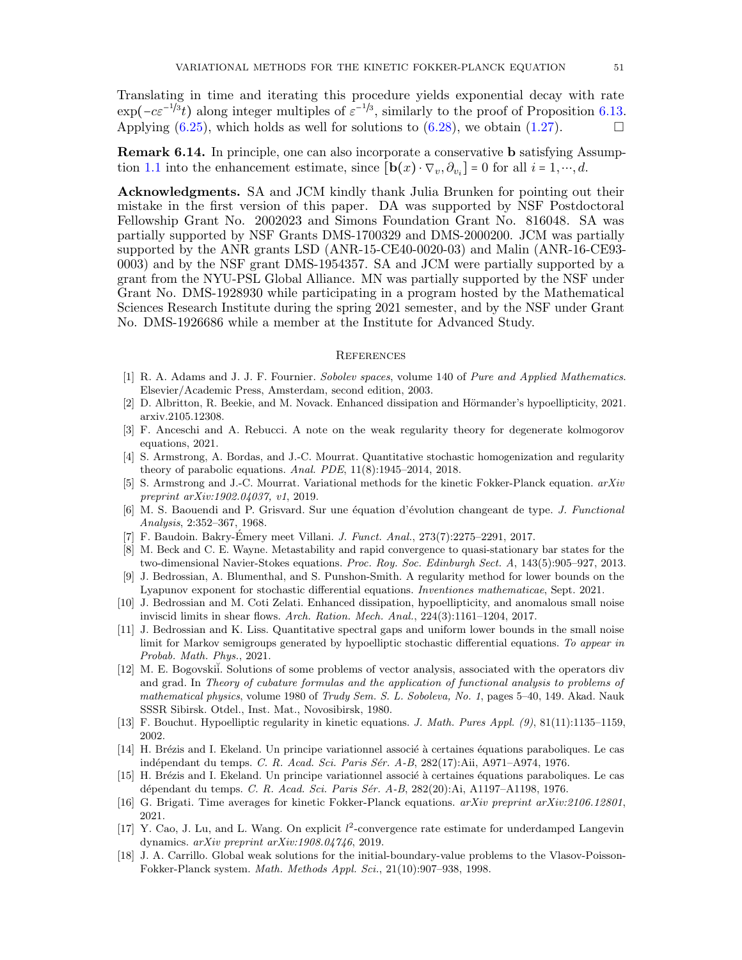Translating in time and iterating this procedure yields exponential decay with rate  $\exp(-ce^{-1/3}t)$  along integer multiples of  $\varepsilon^{-1/3}$ , similarly to the proof of Proposition [6.13.](#page-48-2) Applying  $(6.25)$ , which holds as well for solutions to  $(6.28)$ , we obtain  $(1.27)$ .

<span id="page-50-13"></span>Remark 6.14. In principle, one can also incorporate a conservative b satisfying Assump-tion [1.1](#page-4-1) into the enhancement estimate, since  $[\mathbf{b}(x) \cdot \nabla_v, \partial_{v_i}] = 0$  for all  $i = 1, \dots, d$ .

Acknowledgments. SA and JCM kindly thank Julia Brunken for pointing out their mistake in the first version of this paper. DA was supported by NSF Postdoctoral Fellowship Grant No. 2002023 and Simons Foundation Grant No. 816048. SA was partially supported by NSF Grants DMS-1700329 and DMS-2000200. JCM was partially supported by the ANR grants LSD (ANR-15-CE40-0020-03) and Malin (ANR-16-CE93- 0003) and by the NSF grant DMS-1954357. SA and JCM were partially supported by a grant from the NYU-PSL Global Alliance. MN was partially supported by the NSF under Grant No. DMS-1928930 while participating in a program hosted by the Mathematical Sciences Research Institute during the spring 2021 semester, and by the NSF under Grant No. DMS-1926686 while a member at the Institute for Advanced Study.

#### <span id="page-50-0"></span>**REFERENCES**

- <span id="page-50-19"></span>[1] R. A. Adams and J. J. F. Fournier. Sobolev spaces, volume 140 of Pure and Applied Mathematics. Elsevier/Academic Press, Amsterdam, second edition, 2003.
- <span id="page-50-12"></span>[2] D. Albritton, R. Beekie, and M. Novack. Enhanced dissipation and Hörmander's hypoellipticity, 2021. arxiv.2105.12308.
- <span id="page-50-7"></span>[3] F. Anceschi and A. Rebucci. A note on the weak regularity theory for degenerate kolmogorov equations, 2021.
- <span id="page-50-5"></span>[4] S. Armstrong, A. Bordas, and J.-C. Mourrat. Quantitative stochastic homogenization and regularity theory of parabolic equations. Anal. PDE, 11(8):1945–2014, 2018.
- <span id="page-50-14"></span>[5] S. Armstrong and J.-C. Mourrat. Variational methods for the kinetic Fokker-Planck equation. arXiv preprint arXiv:1902.04037, v1, 2019.
- <span id="page-50-1"></span>[6] M. S. Baouendi and P. Grisvard. Sur une équation d'évolution changeant de type. J. Functional Analysis, 2:352–367, 1968.
- <span id="page-50-8"></span>[7] F. Baudoin. Bakry-Émery meet Villani. *J. Funct. Anal.*, 273(7):2275–2291, 2017.
- <span id="page-50-10"></span>[8] M. Beck and C. E. Wayne. Metastability and rapid convergence to quasi-stationary bar states for the two-dimensional Navier-Stokes equations. Proc. Roy. Soc. Edinburgh Sect. A, 143(5):905–927, 2013.
- <span id="page-50-15"></span>[9] J. Bedrossian, A. Blumenthal, and S. Punshon-Smith. A regularity method for lower bounds on the Lyapunov exponent for stochastic differential equations. Inventiones mathematicae, Sept. 2021.
- <span id="page-50-11"></span>[10] J. Bedrossian and M. Coti Zelati. Enhanced dissipation, hypoellipticity, and anomalous small noise inviscid limits in shear flows. Arch. Ration. Mech. Anal., 224(3):1161–1204, 2017.
- <span id="page-50-16"></span>[11] J. Bedrossian and K. Liss. Quantitative spectral gaps and uniform lower bounds in the small noise limit for Markov semigroups generated by hypoelliptic stochastic differential equations. To appear in Probab. Math. Phys., 2021.
- <span id="page-50-18"></span>[12] M. E. Bogovskii. Solutions of some problems of vector analysis, associated with the operators div and grad. In Theory of cubature formulas and the application of functional analysis to problems of mathematical physics, volume 1980 of Trudy Sem. S. L. Soboleva, No. 1, pages 5–40, 149. Akad. Nauk SSSR Sibirsk. Otdel., Inst. Mat., Novosibirsk, 1980.
- <span id="page-50-6"></span>[13] F. Bouchut. Hypoelliptic regularity in kinetic equations. J. Math. Pures Appl. (9), 81(11):1135–1159, 2002.
- <span id="page-50-3"></span>[14] H. Brézis and I. Ekeland. Un principe variationnel associé à certaines équations paraboliques. Le cas indépendant du temps. C. R. Acad. Sci. Paris Sér. A-B, 282(17):Aii, A971–A974, 1976.
- <span id="page-50-4"></span>[15] H. Brézis and I. Ekeland. Un principe variationnel associé à certaines équations paraboliques. Le cas dépendant du temps. C. R. Acad. Sci. Paris Sér. A-B, 282(20):Ai, A1197–A1198, 1976.
- <span id="page-50-17"></span>[16] G. Brigati. Time averages for kinetic Fokker-Planck equations. arXiv preprint arXiv:2106.12801, 2021.
- <span id="page-50-9"></span>[17] Y. Cao, J. Lu, and L. Wang. On explicit  $l^2$ -convergence rate estimate for underdamped Langevin dynamics. arXiv preprint arXiv:1908.04746, 2019.
- <span id="page-50-2"></span>[18] J. A. Carrillo. Global weak solutions for the initial-boundary-value problems to the Vlasov-Poisson-Fokker-Planck system. Math. Methods Appl. Sci., 21(10):907–938, 1998.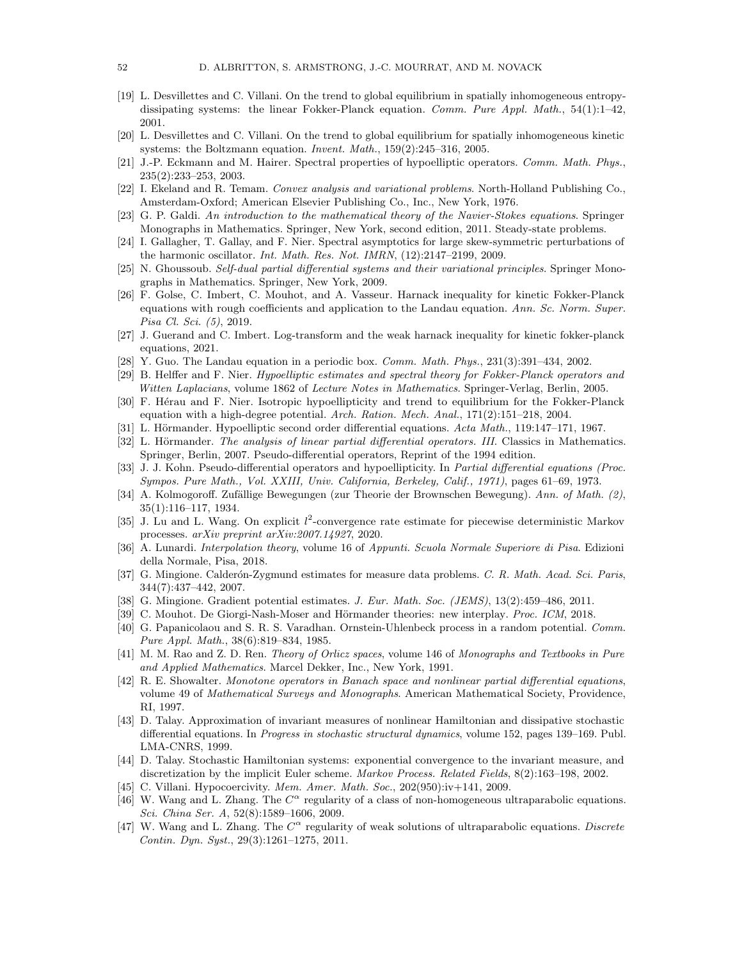- <span id="page-51-11"></span>[19] L. Desvillettes and C. Villani. On the trend to global equilibrium in spatially inhomogeneous entropydissipating systems: the linear Fokker-Planck equation. Comm. Pure Appl. Math.,  $54(1):1-42$ , 2001.
- <span id="page-51-15"></span>[20] L. Desvillettes and C. Villani. On the trend to global equilibrium for spatially inhomogeneous kinetic systems: the Boltzmann equation. Invent. Math., 159(2):245–316, 2005.
- <span id="page-51-14"></span>[21] J.-P. Eckmann and M. Hairer. Spectral properties of hypoelliptic operators. Comm. Math. Phys., 235(2):233–253, 2003.
- <span id="page-51-23"></span>[22] I. Ekeland and R. Temam. Convex analysis and variational problems. North-Holland Publishing Co., Amsterdam-Oxford; American Elsevier Publishing Co., Inc., New York, 1976.
- <span id="page-51-24"></span>[23] G. P. Galdi. An introduction to the mathematical theory of the Navier-Stokes equations. Springer Monographs in Mathematics. Springer, New York, second edition, 2011. Steady-state problems.
- <span id="page-51-20"></span>[24] I. Gallagher, T. Gallay, and F. Nier. Spectral asymptotics for large skew-symmetric perturbations of the harmonic oscillator. Int. Math. Res. Not. IMRN, (12):2147–2199, 2009.
- <span id="page-51-9"></span>[25] N. Ghoussoub. Self-dual partial differential systems and their variational principles. Springer Monographs in Mathematics. Springer, New York, 2009.
- <span id="page-51-7"></span>[26] F. Golse, C. Imbert, C. Mouhot, and A. Vasseur. Harnack inequality for kinetic Fokker-Planck equations with rough coefficients and application to the Landau equation. Ann. Sc. Norm. Super. Pisa Cl. Sci. (5), 2019.
- <span id="page-51-10"></span>[27] J. Guerand and C. Imbert. Log-transform and the weak harnack inequality for kinetic fokker-planck equations, 2021.
- <span id="page-51-19"></span>[28] Y. Guo. The Landau equation in a periodic box. *Comm. Math. Phys.*,  $231(3):391-434$ ,  $2002$ .
- <span id="page-51-13"></span>[29] B. Helffer and F. Nier. Hypoelliptic estimates and spectral theory for Fokker-Planck operators and Witten Laplacians, volume 1862 of Lecture Notes in Mathematics. Springer-Verlag, Berlin, 2005.
- <span id="page-51-12"></span>[30] F. Hérau and F. Nier. Isotropic hypoellipticity and trend to equilibrium for the Fokker-Planck equation with a high-degree potential. Arch. Ration. Mech. Anal.,  $171(2):151-218$ ,  $2004$ .
- <span id="page-51-1"></span>[31] L. Hörmander. Hypoelliptic second order differential equations. Acta Math., 119:147–171, 1967.
- <span id="page-51-3"></span>[32] L. Hörmander. The analysis of linear partial differential operators. III. Classics in Mathematics. Springer, Berlin, 2007. Pseudo-differential operators, Reprint of the 1994 edition.
- <span id="page-51-2"></span>[33] J. J. Kohn. Pseudo-differential operators and hypoellipticity. In Partial differential equations (Proc. Sympos. Pure Math., Vol. XXIII, Univ. California, Berkeley, Calif., 1971), pages 61–69, 1973.
- <span id="page-51-0"></span>[34] A. Kolmogoroff. Zufällige Bewegungen (zur Theorie der Brownschen Bewegung). Ann. of Math. (2), 35(1):116–117, 1934.
- <span id="page-51-21"></span>[35] J. Lu and L. Wang. On explicit  $l^2$ -convergence rate estimate for piecewise deterministic Markov processes. arXiv preprint arXiv:2007.14927, 2020.
- <span id="page-51-22"></span>[36] A. Lunardi. Interpolation theory, volume 16 of Appunti. Scuola Normale Superiore di Pisa. Edizioni della Normale, Pisa, 2018.
- <span id="page-51-27"></span>[37] G. Mingione. Calderón-Zygmund estimates for measure data problems. C. R. Math. Acad. Sci. Paris, 344(7):437–442, 2007.
- <span id="page-51-28"></span>[38] G. Mingione. Gradient potential estimates. J. Eur. Math. Soc. (JEMS), 13(2):459-486, 2011.
- <span id="page-51-8"></span>[39] C. Mouhot. De Giorgi-Nash-Moser and Hörmander theories: new interplay. *Proc. ICM*, 2018.
- <span id="page-51-4"></span>[40] G. Papanicolaou and S. R. S. Varadhan. Ornstein-Uhlenbeck process in a random potential. Comm. Pure Appl. Math., 38(6):819–834, 1985.
- <span id="page-51-25"></span>[41] M. M. Rao and Z. D. Ren. Theory of Orlicz spaces, volume 146 of Monographs and Textbooks in Pure and Applied Mathematics. Marcel Dekker, Inc., New York, 1991.
- <span id="page-51-26"></span>[42] R. E. Showalter. Monotone operators in Banach space and nonlinear partial differential equations, volume 49 of Mathematical Surveys and Monographs. American Mathematical Society, Providence, RI, 1997.
- <span id="page-51-17"></span>[43] D. Talay. Approximation of invariant measures of nonlinear Hamiltonian and dissipative stochastic differential equations. In Progress in stochastic structural dynamics, volume 152, pages 139–169. Publ. LMA-CNRS, 1999.
- <span id="page-51-18"></span>[44] D. Talay. Stochastic Hamiltonian systems: exponential convergence to the invariant measure, and discretization by the implicit Euler scheme. Markov Process. Related Fields, 8(2):163-198, 2002.
- <span id="page-51-16"></span>[45] C. Villani. Hypocoercivity. Mem. Amer. Math. Soc., 202(950):iv+141, 2009.
- <span id="page-51-5"></span>[46] W. Wang and L. Zhang. The  $C^{\alpha}$  regularity of a class of non-homogeneous ultraparabolic equations. Sci. China Ser. A, 52(8):1589–1606, 2009.
- <span id="page-51-6"></span>[47] W. Wang and L. Zhang. The  $C^{\alpha}$  regularity of weak solutions of ultraparabolic equations. Discrete Contin. Dyn. Syst., 29(3):1261–1275, 2011.